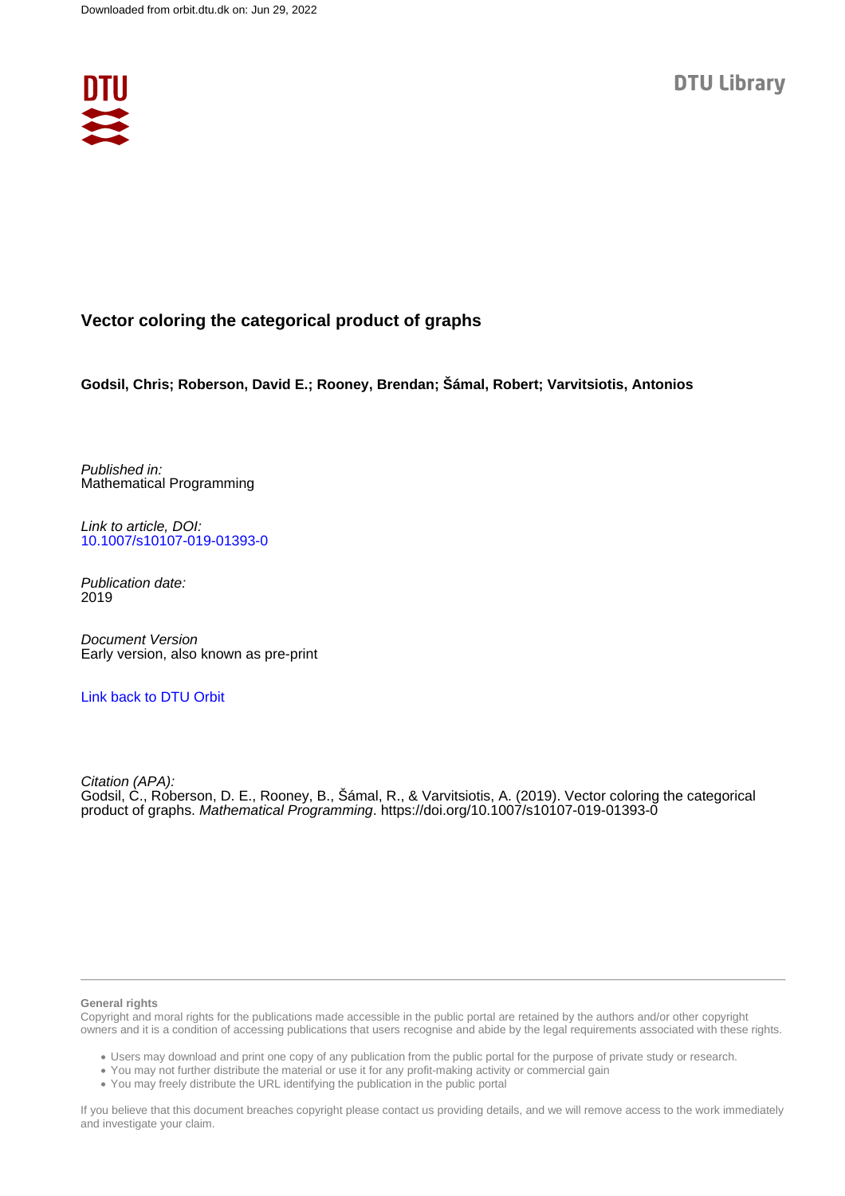

### **Vector coloring the categorical product of graphs**

**Godsil, Chris; Roberson, David E.; Rooney, Brendan; Šámal, Robert; Varvitsiotis, Antonios**

Published in: Mathematical Programming

Link to article, DOI: [10.1007/s10107-019-01393-0](https://doi.org/10.1007/s10107-019-01393-0)

Publication date: 2019

Document Version Early version, also known as pre-print

### [Link back to DTU Orbit](https://orbit.dtu.dk/en/publications/ee5eeb18-2a80-46bc-a791-9f6a12069eff)

Citation (APA): Godsil, C., Roberson, D. E., Rooney, B., Šámal, R., & Varvitsiotis, A. (2019). Vector coloring the categorical product of graphs. Mathematical Programming.<https://doi.org/10.1007/s10107-019-01393-0>

#### **General rights**

Copyright and moral rights for the publications made accessible in the public portal are retained by the authors and/or other copyright owners and it is a condition of accessing publications that users recognise and abide by the legal requirements associated with these rights.

Users may download and print one copy of any publication from the public portal for the purpose of private study or research.

- You may not further distribute the material or use it for any profit-making activity or commercial gain
- You may freely distribute the URL identifying the publication in the public portal

If you believe that this document breaches copyright please contact us providing details, and we will remove access to the work immediately and investigate your claim.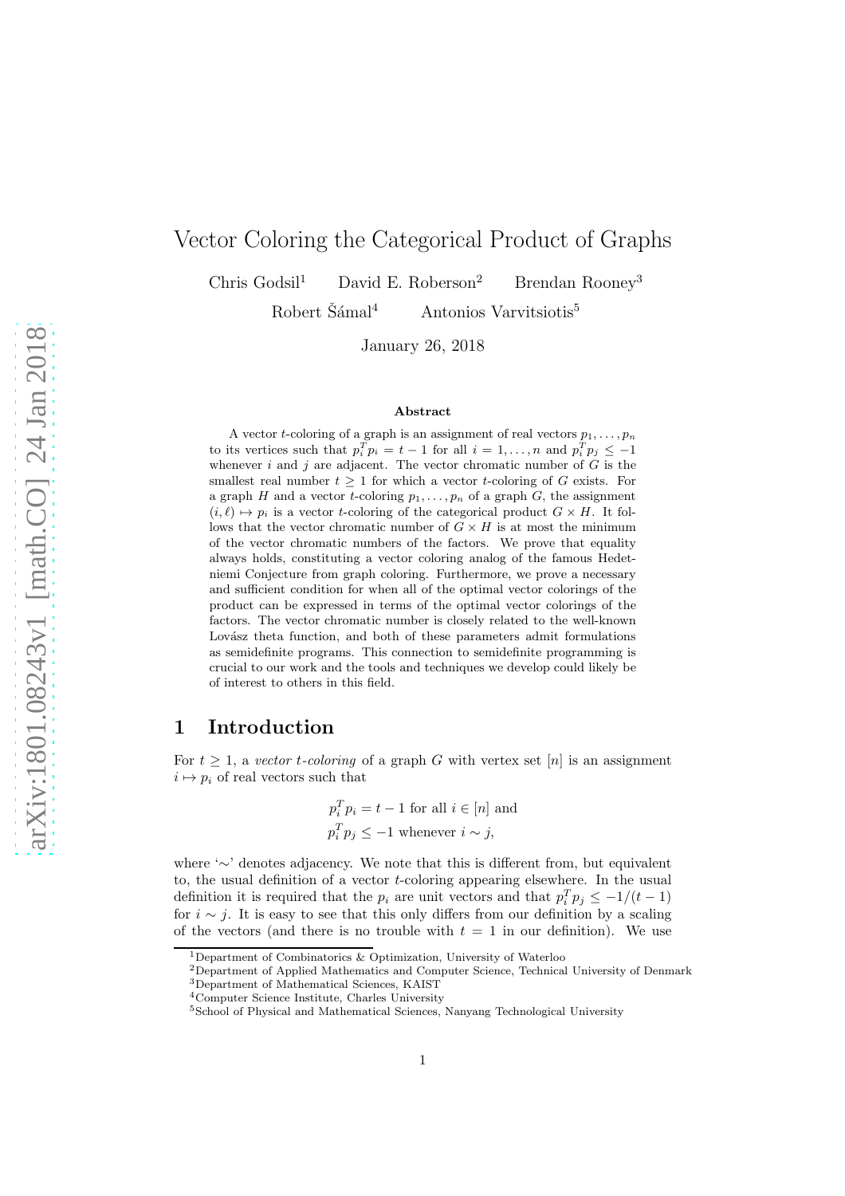# Vector Coloring the Categorical Product of Graphs

Chris Godsil<sup>1</sup> David E. Roberson<sup>2</sup> Brendan Rooney<sup>3</sup>

 $Robert \check{S}$ ámal<sup>4</sup> Antonios Varvitsiotis<sup>5</sup>

January 26, 2018

#### Abstract

A vector *t*-coloring of a graph is an assignment of real vectors  $p_1, \ldots, p_n$ to its vertices such that  $p_i^T p_i = t - 1$  for all  $i = 1, ..., n$  and  $p_i^T p_j \le -1$ whenever  $i$  and  $j$  are adjacent. The vector chromatic number of  $G$  is the smallest real number  $t > 1$  for which a vector t-coloring of G exists. For a graph H and a vector t-coloring  $p_1, \ldots, p_n$  of a graph G, the assignment  $(i, \ell) \mapsto p_i$  is a vector t-coloring of the categorical product  $G \times H$ . It follows that the vector chromatic number of  $G \times H$  is at most the minimum of the vector chromatic numbers of the factors. We prove that equality always holds, constituting a vector coloring analog of the famous Hedetniemi Conjecture from graph coloring. Furthermore, we prove a necessary and sufficient condition for when all of the optimal vector colorings of the product can be expressed in terms of the optimal vector colorings of the factors. The vector chromatic number is closely related to the well-known Lovász theta function, and both of these parameters admit formulations as semidefinite programs. This connection to semidefinite programming is crucial to our work and the tools and techniques we develop could likely be of interest to others in this field.

### 1 Introduction

For  $t \geq 1$ , a *vector t-coloring* of a graph G with vertex set [n] is an assignment  $i \mapsto p_i$  of real vectors such that

$$
p_i^T p_i = t - 1
$$
 for all  $i \in [n]$  and  

$$
p_i^T p_j \le -1
$$
 whenever  $i \sim j$ ,

where '∼' denotes adjacency. We note that this is different from, but equivalent to, the usual definition of a vector  $t$ -coloring appearing elsewhere. In the usual definition it is required that the  $p_i$  are unit vectors and that  $p_i^T p_j \leq -1/(t-1)$ for  $i \sim j$ . It is easy to see that this only differs from our definition by a scaling of the vectors (and there is no trouble with  $t = 1$  in our definition). We use

<sup>1</sup>Department of Combinatorics & Optimization, University of Waterloo

<sup>2</sup>Department of Applied Mathematics and Computer Science, Technical University of Denmark <sup>3</sup>Department of Mathematical Sciences, KAIST

<sup>4</sup>Computer Science Institute, Charles University

<sup>5</sup>School of Physical and Mathematical Sciences, Nanyang Technological University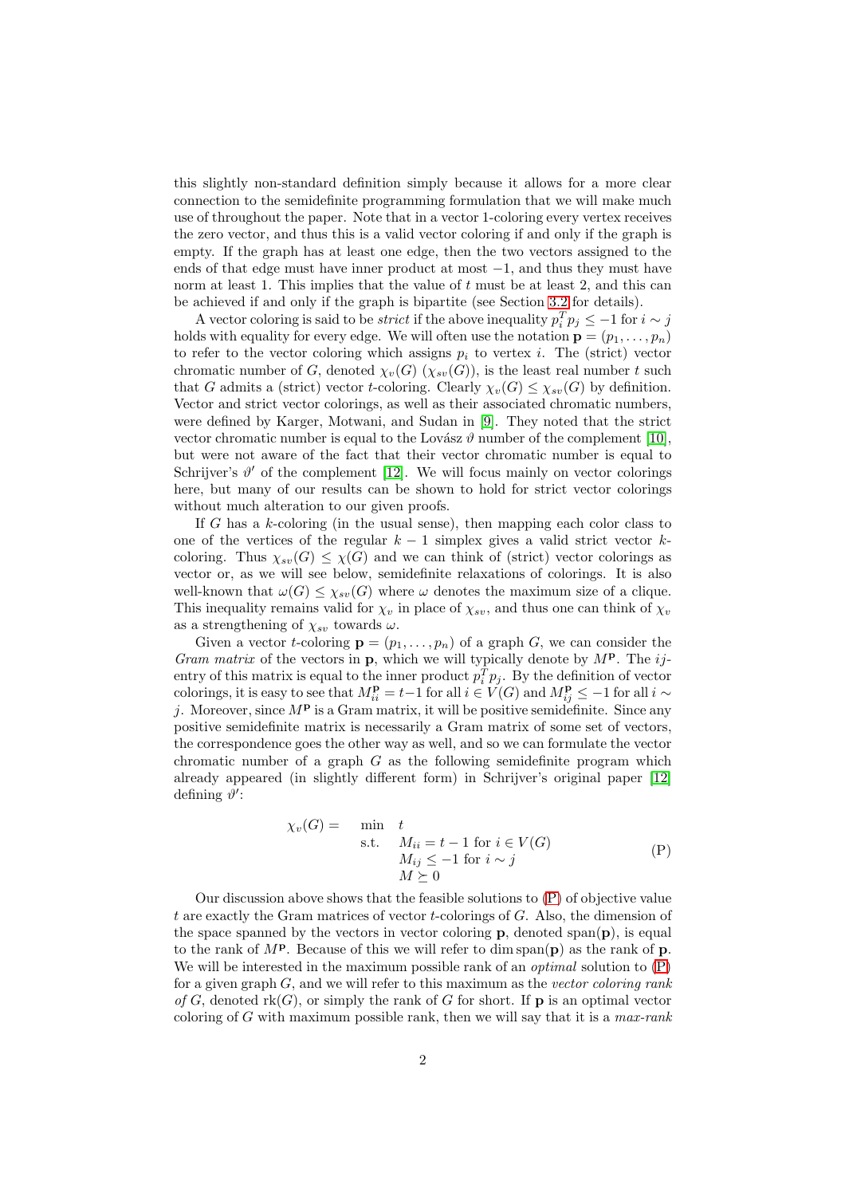this slightly non-standard definition simply because it allows for a more clear connection to the semidefinite programming formulation that we will make much use of throughout the paper. Note that in a vector 1-coloring every vertex receives the zero vector, and thus this is a valid vector coloring if and only if the graph is empty. If the graph has at least one edge, then the two vectors assigned to the ends of that edge must have inner product at most −1, and thus they must have norm at least 1. This implies that the value of t must be at least 2, and this can be achieved if and only if the graph is bipartite (see Section [3.2](#page-21-0) for details).

A vector coloring is said to be *strict* if the above inequality  $p_i^T p_j \leq -1$  for  $i \sim j$ holds with equality for every edge. We will often use the notation  $\mathbf{p} = (p_1, \ldots, p_n)$ to refer to the vector coloring which assigns  $p_i$  to vertex i. The (strict) vector chromatic number of G, denoted  $\chi_v(G)$  ( $\chi_{sv}(G)$ ), is the least real number t such that G admits a (strict) vector t-coloring. Clearly  $\chi_v(G) \leq \chi_{sv}(G)$  by definition. Vector and strict vector colorings, as well as their associated chromatic numbers, were defined by Karger, Motwani, and Sudan in [\[9\]](#page-38-0). They noted that the strict vector chromatic number is equal to the Lovász  $\vartheta$  number of the complement [\[10\]](#page-38-1), but were not aware of the fact that their vector chromatic number is equal to Schrijver's  $\vartheta'$  of the complement [\[12\]](#page-38-2). We will focus mainly on vector colorings here, but many of our results can be shown to hold for strict vector colorings without much alteration to our given proofs.

If  $G$  has a  $k$ -coloring (in the usual sense), then mapping each color class to one of the vertices of the regular  $k - 1$  simplex gives a valid strict vector kcoloring. Thus  $\chi_{\rm\scriptscriptstyle SI}(G) \leq \chi(G)$  and we can think of (strict) vector colorings as vector or, as we will see below, semidefinite relaxations of colorings. It is also well-known that  $\omega(G) \leq \chi_{sv}(G)$  where  $\omega$  denotes the maximum size of a clique. This inequality remains valid for  $\chi_v$  in place of  $\chi_{sv}$ , and thus one can think of  $\chi_v$ as a strengthening of  $\chi_{sv}$  towards  $\omega$ .

Given a vector t-coloring  $\mathbf{p} = (p_1, \ldots, p_n)$  of a graph G, we can consider the *Gram matrix* of the vectors in  $\bf{p}$ , which we will typically denote by  $M^{\bf{p}}$ . The *ij*entry of this matrix is equal to the inner product  $p_i^T p_j$ . By the definition of vector colorings, it is easy to see that  $M_{ii}^{\mathbf{p}} = t-1$  for all  $i \in V(G)$  and  $M_{ij}^{\mathbf{p}} \le -1$  for all  $i \sim$ j. Moreover, since  $M<sup>p</sup>$  is a Gram matrix, it will be positive semidefinite. Since any positive semidefinite matrix is necessarily a Gram matrix of some set of vectors, the correspondence goes the other way as well, and so we can formulate the vector chromatic number of a graph  $G$  as the following semidefinite program which already appeared (in slightly different form) in Schrijver's original paper [\[12\]](#page-38-2) defining  $\vartheta'$ :

<span id="page-2-0"></span>
$$
\chi_v(G) = \min_{\substack{\text{S.t.} \\ M_{ij} \le -1 \text{ for } i \in V(G) \\ M \succeq 0}} t
$$
\n
$$
(P)
$$

Our discussion above shows that the feasible solutions to [\(P\)](#page-2-0) of objective value t are exactly the Gram matrices of vector t-colorings of G. Also, the dimension of the space spanned by the vectors in vector coloring **p**, denoted span(**p**), is equal to the rank of  $M<sup>p</sup>$ . Because of this we will refer to dim span(p) as the rank of p. We will be interested in the maximum possible rank of an *optimal* solution to [\(P\)](#page-2-0) for a given graph G, and we will refer to this maximum as the *vector coloring rank of*  $G$ , denoted  $rk(G)$ , or simply the rank of  $G$  for short. If **p** is an optimal vector coloring of G with maximum possible rank, then we will say that it is a *max-rank*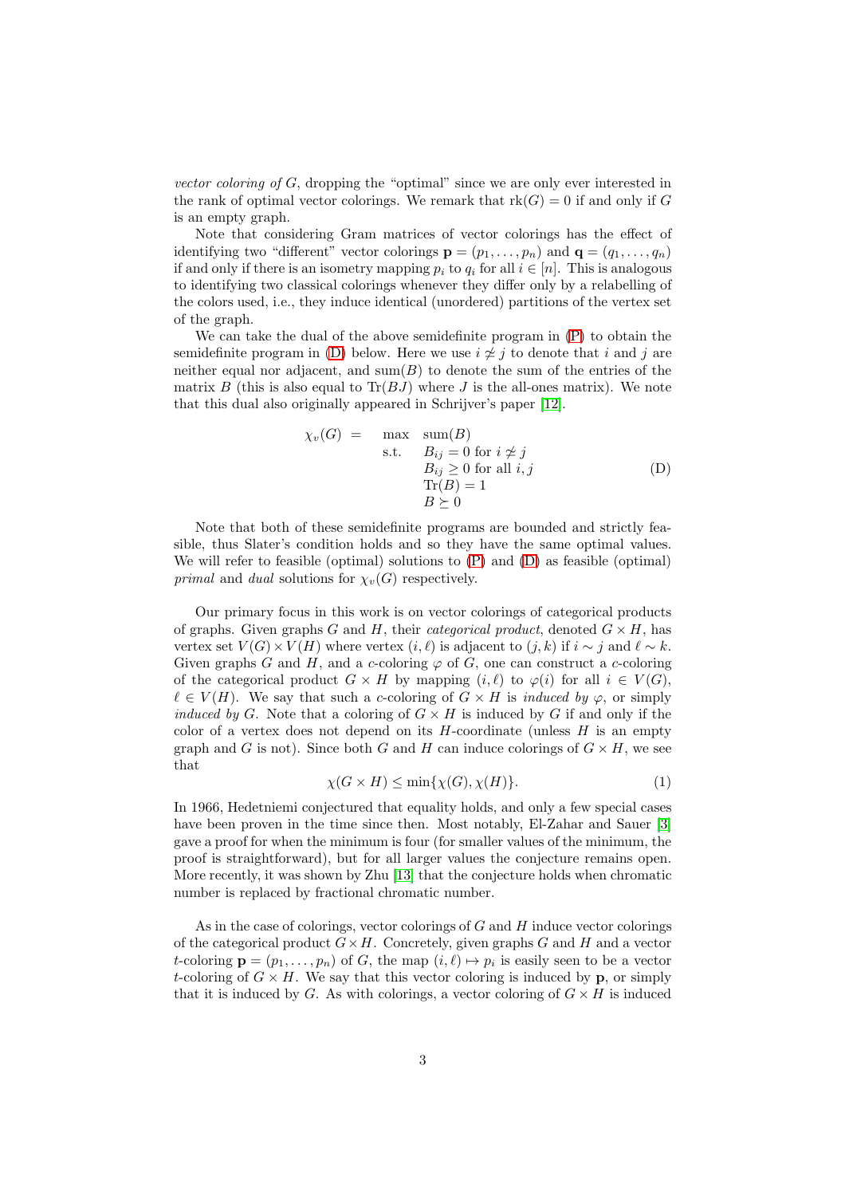*vector coloring of* G, dropping the "optimal" since we are only ever interested in the rank of optimal vector colorings. We remark that  $rk(G) = 0$  if and only if G is an empty graph.

Note that considering Gram matrices of vector colorings has the effect of identifying two "different" vector colorings  $\mathbf{p} = (p_1, \ldots, p_n)$  and  $\mathbf{q} = (q_1, \ldots, q_n)$ if and only if there is an isometry mapping  $p_i$  to  $q_i$  for all  $i \in [n]$ . This is analogous to identifying two classical colorings whenever they differ only by a relabelling of the colors used, i.e., they induce identical (unordered) partitions of the vertex set of the graph.

We can take the dual of the above semidefinite program in [\(P\)](#page-2-0) to obtain the semidefinite program in [\(D\)](#page-3-0) below. Here we use  $i \not\approx j$  to denote that i and j are neither equal nor adjacent, and  $\text{sum}(B)$  to denote the sum of the entries of the matrix B (this is also equal to  $\text{Tr}(BJ)$  where J is the all-ones matrix). We note that this dual also originally appeared in Schrijver's paper [\[12\]](#page-38-2).

<span id="page-3-0"></span>
$$
\chi_v(G) = \max_{\text{sat.}} \text{sum}(B) \n\text{s.t.} \quad B_{ij} = 0 \text{ for } i \neq j \nB_{ij} \geq 0 \text{ for all } i, j \n\text{Tr}(B) = 1
$$
\n
$$
(D) \nB \succeq 0
$$

Note that both of these semidefinite programs are bounded and strictly feasible, thus Slater's condition holds and so they have the same optimal values. We will refer to feasible (optimal) solutions to  $(P)$  and  $(D)$  as feasible (optimal) *primal* and *dual* solutions for  $\chi_v(G)$  respectively.

Our primary focus in this work is on vector colorings of categorical products of graphs. Given graphs G and H, their *categorical product*, denoted  $G \times H$ , has vertex set  $V(G) \times V(H)$  where vertex  $(i, \ell)$  is adjacent to  $(j, k)$  if  $i \sim j$  and  $\ell \sim k$ . Given graphs G and H, and a c-coloring  $\varphi$  of G, one can construct a c-coloring of the categorical product  $G \times H$  by mapping  $(i, \ell)$  to  $\varphi(i)$  for all  $i \in V(G)$ ,  $\ell \in V(H)$ . We say that such a c-coloring of  $G \times H$  is *induced by*  $\varphi$ , or simply *induced by* G. Note that a coloring of  $G \times H$  is induced by G if and only if the color of a vertex does not depend on its  $H$ -coordinate (unless  $H$  is an empty graph and G is not). Since both G and H can induce colorings of  $G \times H$ , we see that

$$
\chi(G \times H) \le \min{\{\chi(G), \chi(H)\}}.
$$
 (1)

In 1966, Hedetniemi conjectured that equality holds, and only a few special cases have been proven in the time since then. Most notably, El-Zahar and Sauer [\[3\]](#page-37-0) gave a proof for when the minimum is four (for smaller values of the minimum, the proof is straightforward), but for all larger values the conjecture remains open. More recently, it was shown by Zhu [\[13\]](#page-38-3) that the conjecture holds when chromatic number is replaced by fractional chromatic number.

As in the case of colorings, vector colorings of  $G$  and  $H$  induce vector colorings of the categorical product  $G \times H$ . Concretely, given graphs G and H and a vector t-coloring  $\mathbf{p} = (p_1, \ldots, p_n)$  of G, the map  $(i, \ell) \mapsto p_i$  is easily seen to be a vector t-coloring of  $G \times H$ . We say that this vector coloring is induced by **p**, or simply that it is induced by G. As with colorings, a vector coloring of  $G \times H$  is induced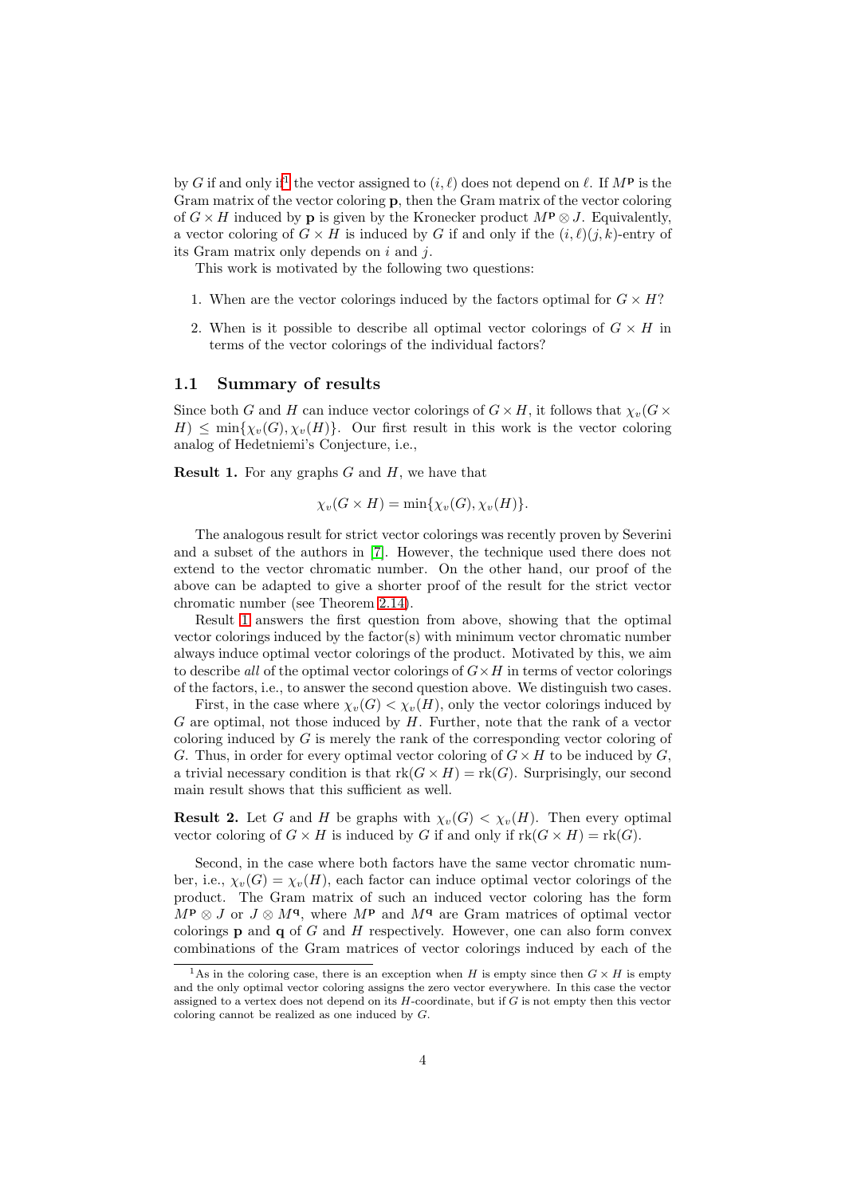by G if and only if<sup>[1](#page-4-0)</sup> the vector assigned to  $(i, \ell)$  does not depend on  $\ell$ . If  $M^{\mathbf{p}}$  is the Gram matrix of the vector coloring p, then the Gram matrix of the vector coloring of  $G \times H$  induced by **p** is given by the Kronecker product  $M^{\mathbf{p}} \otimes J$ . Equivalently, a vector coloring of  $G \times H$  is induced by G if and only if the  $(i, \ell)(j, k)$ -entry of its Gram matrix only depends on  $i$  and  $j$ .

This work is motivated by the following two questions:

- 1. When are the vector colorings induced by the factors optimal for  $G \times H$ ?
- 2. When is it possible to describe all optimal vector colorings of  $G \times H$  in terms of the vector colorings of the individual factors?

#### 1.1 Summary of results

Since both G and H can induce vector colorings of  $G \times H$ , it follows that  $\chi_v(G \times$  $H \leq \min\{\chi_v(G), \chi_v(H)\}.$  Our first result in this work is the vector coloring analog of Hedetniemi's Conjecture, i.e.,

<span id="page-4-1"></span>**Result 1.** For any graphs  $G$  and  $H$ , we have that

$$
\chi_v(G \times H) = \min{\chi_v(G), \chi_v(H)}.
$$

The analogous result for strict vector colorings was recently proven by Severini and a subset of the authors in [\[7\]](#page-38-4). However, the technique used there does not extend to the vector chromatic number. On the other hand, our proof of the above can be adapted to give a shorter proof of the result for the strict vector chromatic number (see Theorem [2.14\)](#page-16-0).

Result [1](#page-4-1) answers the first question from above, showing that the optimal vector colorings induced by the factor(s) with minimum vector chromatic number always induce optimal vector colorings of the product. Motivated by this, we aim to describe *all* of the optimal vector colorings of  $G \times H$  in terms of vector colorings of the factors, i.e., to answer the second question above. We distinguish two cases.

First, in the case where  $\chi_v(G) < \chi_v(H)$ , only the vector colorings induced by  $G$  are optimal, not those induced by  $H$ . Further, note that the rank of a vector coloring induced by G is merely the rank of the corresponding vector coloring of G. Thus, in order for every optimal vector coloring of  $G \times H$  to be induced by G, a trivial necessary condition is that  $rk(G \times H) = rk(G)$ . Surprisingly, our second main result shows that this sufficient as well.

<span id="page-4-2"></span>**Result 2.** Let G and H be graphs with  $\chi_v(G) < \chi_v(H)$ . Then every optimal vector coloring of  $G \times H$  is induced by G if and only if  $rk(G \times H) = rk(G)$ .

Second, in the case where both factors have the same vector chromatic number, i.e.,  $\chi_v(G) = \chi_v(H)$ , each factor can induce optimal vector colorings of the product. The Gram matrix of such an induced vector coloring has the form  $M_P^{\mathbf{p}} \otimes J$  or  $J \otimes M^{\mathbf{q}}$ , where  $M_P^{\mathbf{p}}$  and  $M^{\mathbf{q}}$  are Gram matrices of optimal vector colorings  $\bf{p}$  and  $\bf{q}$  of G and H respectively. However, one can also form convex combinations of the Gram matrices of vector colorings induced by each of the

<span id="page-4-0"></span><sup>&</sup>lt;sup>1</sup>As in the coloring case, there is an exception when H is empty since then  $G \times H$  is empty and the only optimal vector coloring assigns the zero vector everywhere. In this case the vector assigned to a vertex does not depend on its  $H$ -coordinate, but if  $\tilde{G}$  is not empty then this vector coloring cannot be realized as one induced by G.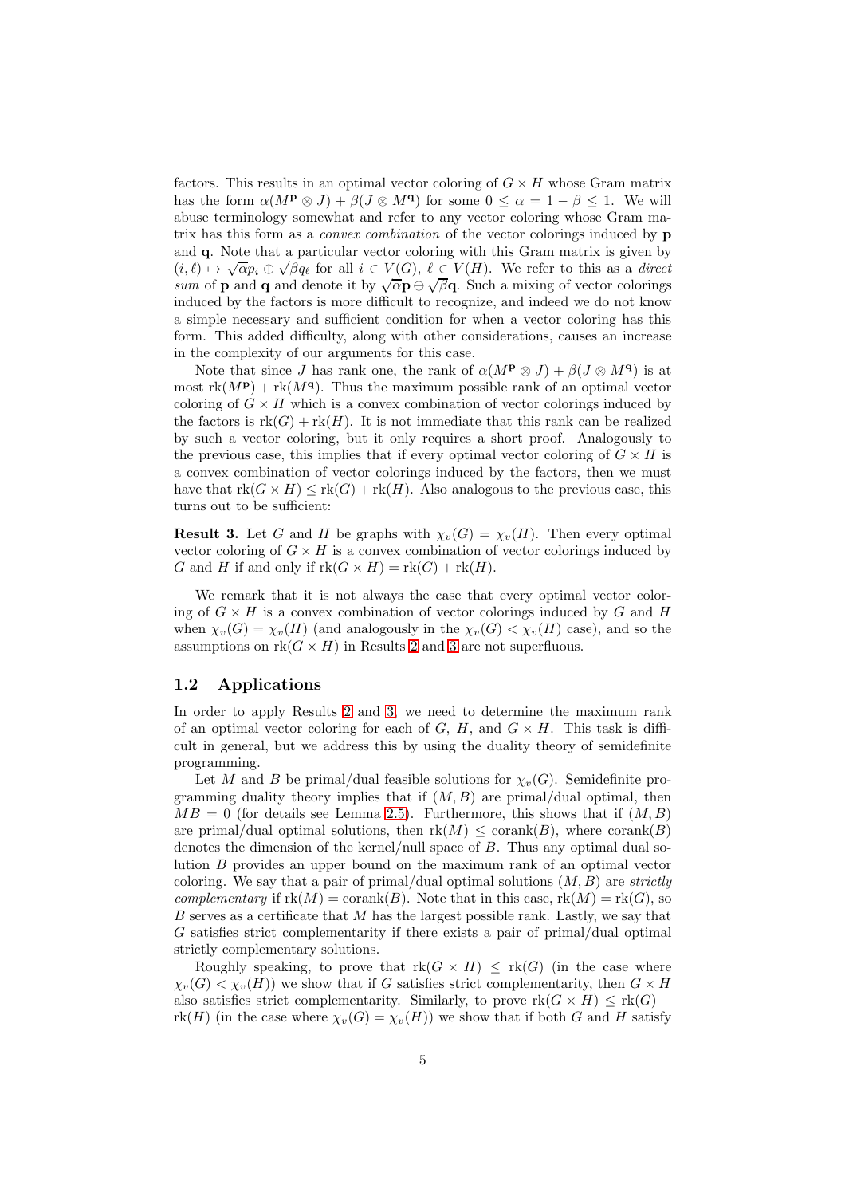factors. This results in an optimal vector coloring of  $G \times H$  whose Gram matrix has the form  $\alpha(M^{\mathbf{p}} \otimes J) + \beta(J \otimes M^{\mathbf{q}})$  for some  $0 \leq \alpha = 1 - \beta \leq 1$ . We will abuse terminology somewhat and refer to any vector coloring whose Gram matrix has this form as a *convex combination* of the vector colorings induced by p and q. Note that a particular vector coloring with this Gram matrix is given by (i,  $\ell$ )  $\mapsto \sqrt{\alpha}p_i \oplus \sqrt{\beta}q_\ell$  for all  $i \in V(G)$ ,  $\ell \in V(H)$ . We refer to this as a *direct sum* of **p** and **q** and denote it by  $\sqrt{\alpha} \mathbf{p} \oplus \sqrt{\beta} \mathbf{q}$ . Such a mixing of vector colorings induced by the factors is more difficult to recognize, and indeed we do not know a simple necessary and sufficient condition for when a vector coloring has this form. This added difficulty, along with other considerations, causes an increase in the complexity of our arguments for this case.

Note that since J has rank one, the rank of  $\alpha(M^{\mathbf{p}} \otimes J) + \beta(J \otimes M^{\mathbf{q}})$  is at most  $rk(M^{\mathbf{p}})+rk(M^{\mathbf{q}})$ . Thus the maximum possible rank of an optimal vector coloring of  $G \times H$  which is a convex combination of vector colorings induced by the factors is  $rk(G) + rk(H)$ . It is not immediate that this rank can be realized by such a vector coloring, but it only requires a short proof. Analogously to the previous case, this implies that if every optimal vector coloring of  $G \times H$  is a convex combination of vector colorings induced by the factors, then we must have that  $rk(G \times H) \leq rk(G) + rk(H)$ . Also analogous to the previous case, this turns out to be sufficient:

<span id="page-5-0"></span>**Result 3.** Let G and H be graphs with  $\chi_v(G) = \chi_v(H)$ . Then every optimal vector coloring of  $G \times H$  is a convex combination of vector colorings induced by G and H if and only if  $rk(G \times H) = rk(G) + rk(H)$ .

We remark that it is not always the case that every optimal vector coloring of  $G \times H$  is a convex combination of vector colorings induced by G and H when  $\chi_v(G) = \chi_v(H)$  (and analogously in the  $\chi_v(G) < \chi_v(H)$  case), and so the assumptions on  $rk(G \times H)$  in Results [2](#page-4-2) and [3](#page-5-0) are not superfluous.

#### <span id="page-5-1"></span>1.2 Applications

In order to apply Results [2](#page-4-2) and [3,](#page-5-0) we need to determine the maximum rank of an optimal vector coloring for each of  $G, H$ , and  $G \times H$ . This task is difficult in general, but we address this by using the duality theory of semidefinite programming.

Let M and B be primal/dual feasible solutions for  $\chi_v(G)$ . Semidefinite programming duality theory implies that if  $(M, B)$  are primal/dual optimal, then  $MB = 0$  (for details see Lemma [2.5\)](#page-11-0). Furthermore, this shows that if  $(M, B)$ are primal/dual optimal solutions, then  $rk(M) \leq$  corank(B), where corank(B) denotes the dimension of the kernel/null space of B. Thus any optimal dual solution B provides an upper bound on the maximum rank of an optimal vector coloring. We say that a pair of primal/dual optimal solutions (M, B) are *strictly complementary* if  $rk(M) = \operatorname{corank}(B)$ . Note that in this case,  $rk(M) = rk(G)$ , so B serves as a certificate that  $M$  has the largest possible rank. Lastly, we say that G satisfies strict complementarity if there exists a pair of primal/dual optimal strictly complementary solutions.

Roughly speaking, to prove that  $\text{rk}(G \times H) \leq \text{rk}(G)$  (in the case where  $\chi_v(G) < \chi_v(H)$  we show that if G satisfies strict complementarity, then  $G \times H$ also satisfies strict complementarity. Similarly, to prove  $rk(G \times H) \leq rk(G)$  + rk(H) (in the case where  $\chi_v(G) = \chi_v(H)$ ) we show that if both G and H satisfy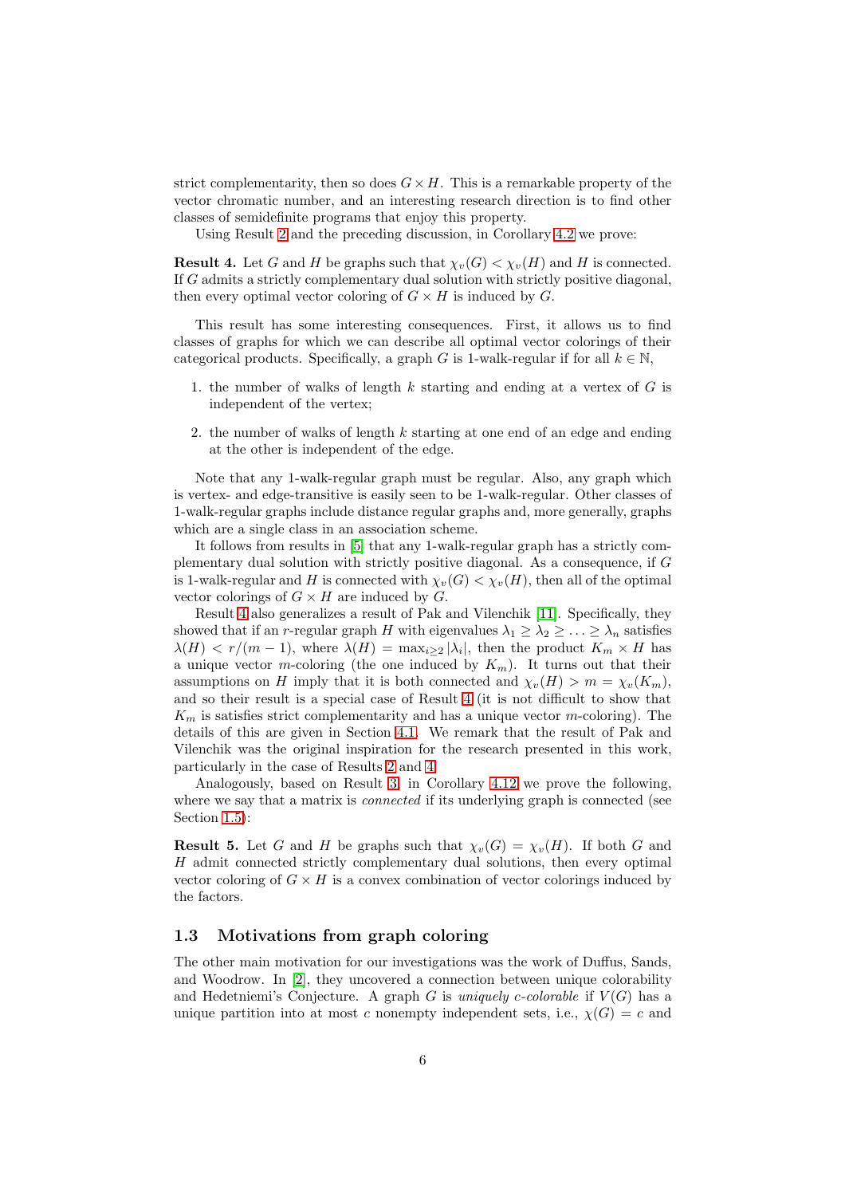strict complementarity, then so does  $G \times H$ . This is a remarkable property of the vector chromatic number, and an interesting research direction is to find other classes of semidefinite programs that enjoy this property.

Using Result [2](#page-4-2) and the preceding discussion, in Corollary [4.2](#page-23-0) we prove:

<span id="page-6-0"></span>**Result 4.** Let G and H be graphs such that  $\chi_v(G) < \chi_v(H)$  and H is connected. If G admits a strictly complementary dual solution with strictly positive diagonal, then every optimal vector coloring of  $G \times H$  is induced by  $G$ .

This result has some interesting consequences. First, it allows us to find classes of graphs for which we can describe all optimal vector colorings of their categorical products. Specifically, a graph G is 1-walk-regular if for all  $k \in \mathbb{N}$ ,

- 1. the number of walks of length  $k$  starting and ending at a vertex of  $G$  is independent of the vertex;
- 2. the number of walks of length  $k$  starting at one end of an edge and ending at the other is independent of the edge.

Note that any 1-walk-regular graph must be regular. Also, any graph which is vertex- and edge-transitive is easily seen to be 1-walk-regular. Other classes of 1-walk-regular graphs include distance regular graphs and, more generally, graphs which are a single class in an association scheme.

It follows from results in [\[5\]](#page-37-1) that any 1-walk-regular graph has a strictly complementary dual solution with strictly positive diagonal. As a consequence, if G is 1-walk-regular and H is connected with  $\chi_v(G) < \chi_v(H)$ , then all of the optimal vector colorings of  $G \times H$  are induced by  $G$ .

Result [4](#page-6-0) also generalizes a result of Pak and Vilenchik [\[11\]](#page-38-5). Specifically, they showed that if an r-regular graph H with eigenvalues  $\lambda_1 \geq \lambda_2 \geq \ldots \geq \lambda_n$  satisfies  $\lambda(H) < r/(m-1)$ , where  $\lambda(H) = \max_{i \geq 2} |\lambda_i|$ , then the product  $K_m \times H$  has a unique vector m-coloring (the one induced by  $K_m$ ). It turns out that their assumptions on H imply that it is both connected and  $\chi_v(H) > m = \chi_v(K_m)$ , and so their result is a special case of Result [4](#page-6-0) (it is not difficult to show that  $K_m$  is satisfies strict complementarity and has a unique vector m-coloring). The details of this are given in Section [4.1.](#page-22-0) We remark that the result of Pak and Vilenchik was the original inspiration for the research presented in this work, particularly in the case of Results [2](#page-4-2) and [4.](#page-6-0)

Analogously, based on Result [3,](#page-5-0) in Corollary [4.12](#page-31-0) we prove the following, where we say that a matrix is *connected* if its underlying graph is connected (see Section [1.5\)](#page-8-0):

<span id="page-6-1"></span>**Result 5.** Let G and H be graphs such that  $\chi_v(G) = \chi_v(H)$ . If both G and  $H$  admit connected strictly complementary dual solutions, then every optimal vector coloring of  $G \times H$  is a convex combination of vector colorings induced by the factors.

#### <span id="page-6-2"></span>1.3 Motivations from graph coloring

The other main motivation for our investigations was the work of Duffus, Sands, and Woodrow. In [\[2\]](#page-37-2), they uncovered a connection between unique colorability and Hedetniemi's Conjecture. A graph  $G$  is *uniquely c-colorable* if  $V(G)$  has a unique partition into at most c nonempty independent sets, i.e.,  $\chi(G) = c$  and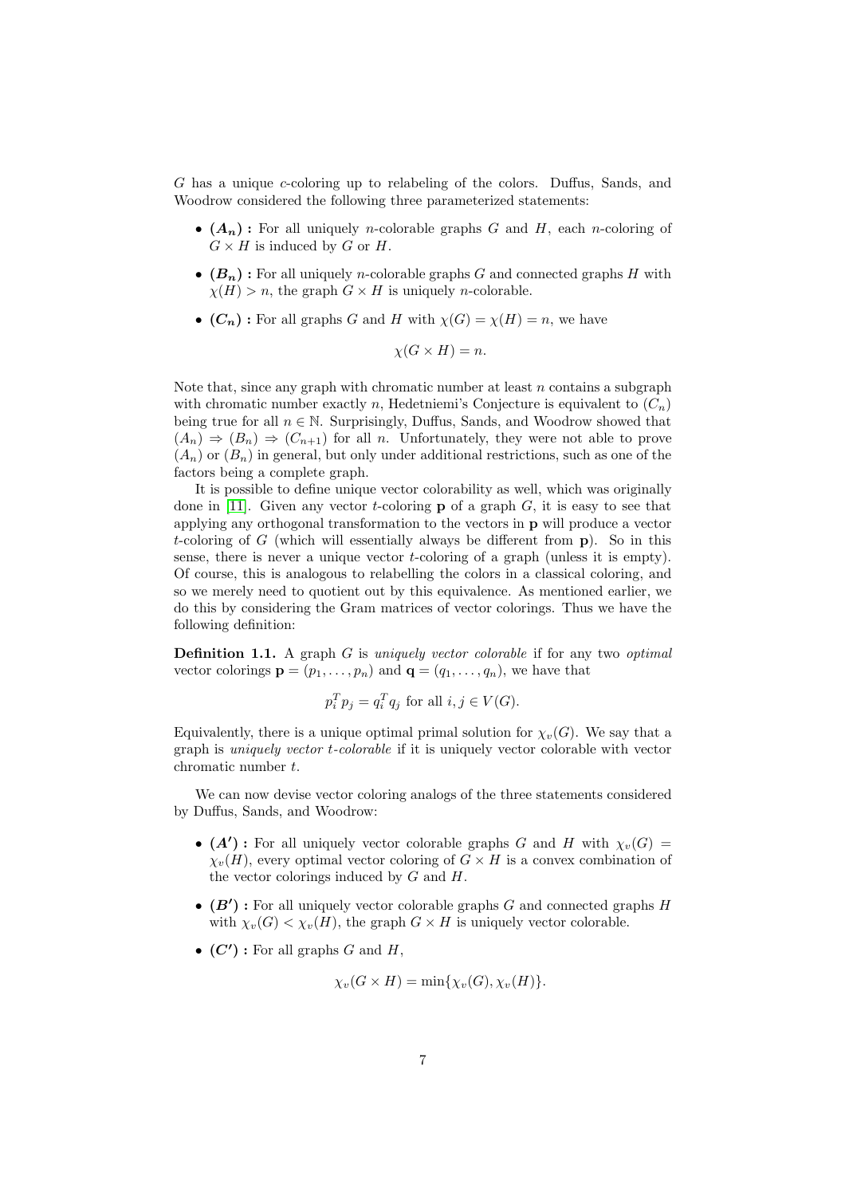G has a unique c-coloring up to relabeling of the colors. Duffus, Sands, and Woodrow considered the following three parameterized statements:

- $(A_n)$ : For all uniquely *n*-colorable graphs G and H, each *n*-coloring of  $G \times H$  is induced by G or H.
- $(B_n)$ : For all uniquely *n*-colorable graphs G and connected graphs H with  $\chi(H) > n$ , the graph  $G \times H$  is uniquely *n*-colorable.
- $(C_n)$ : For all graphs G and H with  $\chi(G) = \chi(H) = n$ , we have

$$
\chi(G \times H) = n.
$$

Note that, since any graph with chromatic number at least  $n$  contains a subgraph with chromatic number exactly n, Hedetniemi's Conjecture is equivalent to  $(C_n)$ being true for all  $n \in \mathbb{N}$ . Surprisingly, Duffus, Sands, and Woodrow showed that  $(A_n) \Rightarrow (B_n) \Rightarrow (C_{n+1})$  for all n. Unfortunately, they were not able to prove  $(A_n)$  or  $(B_n)$  in general, but only under additional restrictions, such as one of the factors being a complete graph.

It is possible to define unique vector colorability as well, which was originally done in [\[11\]](#page-38-5). Given any vector t-coloring **p** of a graph  $G$ , it is easy to see that applying any orthogonal transformation to the vectors in p will produce a vector t-coloring of G (which will essentially always be different from  $\bf{p}$ ). So in this sense, there is never a unique vector t-coloring of a graph (unless it is empty). Of course, this is analogous to relabelling the colors in a classical coloring, and so we merely need to quotient out by this equivalence. As mentioned earlier, we do this by considering the Gram matrices of vector colorings. Thus we have the following definition:

Definition 1.1. A graph G is *uniquely vector colorable* if for any two *optimal* vector colorings  $\mathbf{p} = (p_1, \ldots, p_n)$  and  $\mathbf{q} = (q_1, \ldots, q_n)$ , we have that

$$
p_i^T p_j = q_i^T q_j \text{ for all } i, j \in V(G).
$$

Equivalently, there is a unique optimal primal solution for  $\chi_v(G)$ . We say that a graph is *uniquely vector* t*-colorable* if it is uniquely vector colorable with vector chromatic number t.

We can now devise vector coloring analogs of the three statements considered by Duffus, Sands, and Woodrow:

- $(A')$ : For all uniquely vector colorable graphs G and H with  $\chi_v(G)$  =  $\chi_v(H)$ , every optimal vector coloring of  $G \times H$  is a convex combination of the vector colorings induced by  $G$  and  $H$ .
- $(B')$ : For all uniquely vector colorable graphs  $G$  and connected graphs  $H$ with  $\chi_v(G) < \chi_v(H)$ , the graph  $G \times H$  is uniquely vector colorable.
- $(C')$ : For all graphs G and H,

$$
\chi_v(G \times H) = \min\{\chi_v(G), \chi_v(H)\}.
$$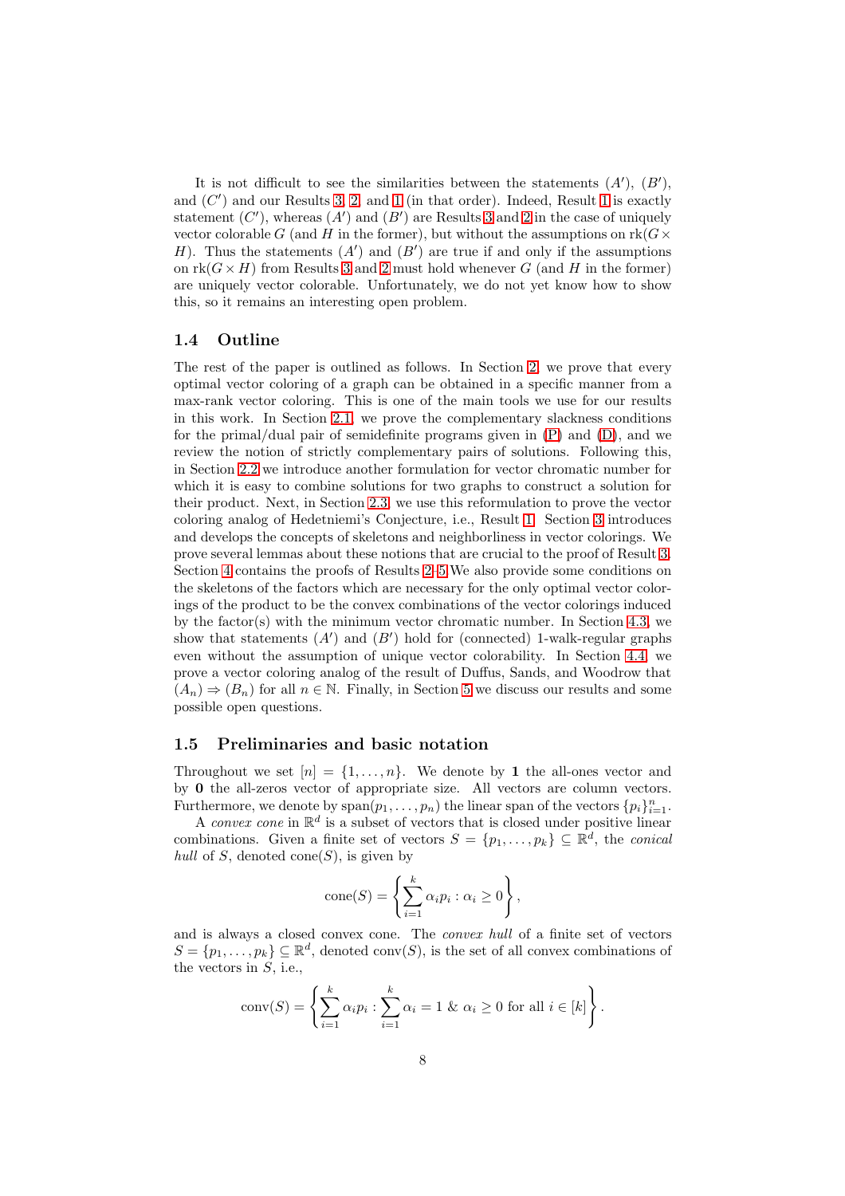It is not difficult to see the similarities between the statements  $(A')$ ,  $(B')$ , and  $(C')$  and our Results [3,](#page-5-0) [2,](#page-4-2) and [1](#page-4-1) (in that order). Indeed, Result 1 is exactly statement  $(C')$ , whereas  $(A')$  and  $(B')$  are Results [3](#page-5-0) and [2](#page-4-2) in the case of uniquely vector colorable G (and H in the former), but without the assumptions on  $rk(G\times$ H). Thus the statements  $(A')$  and  $(B')$  are true if and only if the assumptions on rk( $G \times H$ ) from Results [3](#page-5-0) and [2](#page-4-2) must hold whenever G (and H in the former) are uniquely vector colorable. Unfortunately, we do not yet know how to show this, so it remains an interesting open problem.

#### 1.4 Outline

The rest of the paper is outlined as follows. In Section [2,](#page-9-0) we prove that every optimal vector coloring of a graph can be obtained in a specific manner from a max-rank vector coloring. This is one of the main tools we use for our results in this work. In Section [2.1,](#page-11-1) we prove the complementary slackness conditions for the primal/dual pair of semidefinite programs given in [\(P\)](#page-2-0) and [\(D\)](#page-3-0), and we review the notion of strictly complementary pairs of solutions. Following this, in Section [2.2](#page-13-0) we introduce another formulation for vector chromatic number for which it is easy to combine solutions for two graphs to construct a solution for their product. Next, in Section [2.3,](#page-15-0) we use this reformulation to prove the vector coloring analog of Hedetniemi's Conjecture, i.e., Result [1.](#page-4-1) Section [3](#page-16-1) introduces and develops the concepts of skeletons and neighborliness in vector colorings. We prove several lemmas about these notions that are crucial to the proof of Result [3.](#page-5-0) Section [4](#page-22-1) contains the proofs of Results [2–](#page-4-2)[5.](#page-6-1)We also provide some conditions on the skeletons of the factors which are necessary for the only optimal vector colorings of the product to be the convex combinations of the vector colorings induced by the factor(s) with the minimum vector chromatic number. In Section [4.3,](#page-33-0) we show that statements  $(A')$  and  $(B')$  hold for (connected) 1-walk-regular graphs even without the assumption of unique vector colorability. In Section [4.4,](#page-34-0) we prove a vector coloring analog of the result of Duffus, Sands, and Woodrow that  $(A_n) \Rightarrow (B_n)$  for all  $n \in \mathbb{N}$ . Finally, in Section [5](#page-35-0) we discuss our results and some possible open questions.

#### <span id="page-8-0"></span>1.5 Preliminaries and basic notation

Throughout we set  $[n] = \{1, \ldots, n\}$ . We denote by 1 the all-ones vector and by 0 the all-zeros vector of appropriate size. All vectors are column vectors. Furthermore, we denote by  $\text{span}(p_1, \ldots, p_n)$  the linear span of the vectors  $\{p_i\}_{i=1}^n$ .

A *convex cone* in  $\mathbb{R}^d$  is a subset of vectors that is closed under positive linear combinations. Given a finite set of vectors  $S = \{p_1, \ldots, p_k\} \subseteq \mathbb{R}^d$ , the *conical hull* of S, denoted cone(S), is given by

$$
cone(S) = \left\{ \sum_{i=1}^{k} \alpha_i p_i : \alpha_i \ge 0 \right\},\
$$

and is always a closed convex cone. The *convex hull* of a finite set of vectors  $S = \{p_1, \ldots, p_k\} \subseteq \mathbb{R}^d$ , denoted conv $(S)$ , is the set of all convex combinations of the vectors in  $S$ , i.e.,

$$
conv(S) = \left\{ \sum_{i=1}^{k} \alpha_i p_i : \sum_{i=1}^{k} \alpha_i = 1 \& \alpha_i \ge 0 \text{ for all } i \in [k] \right\}.
$$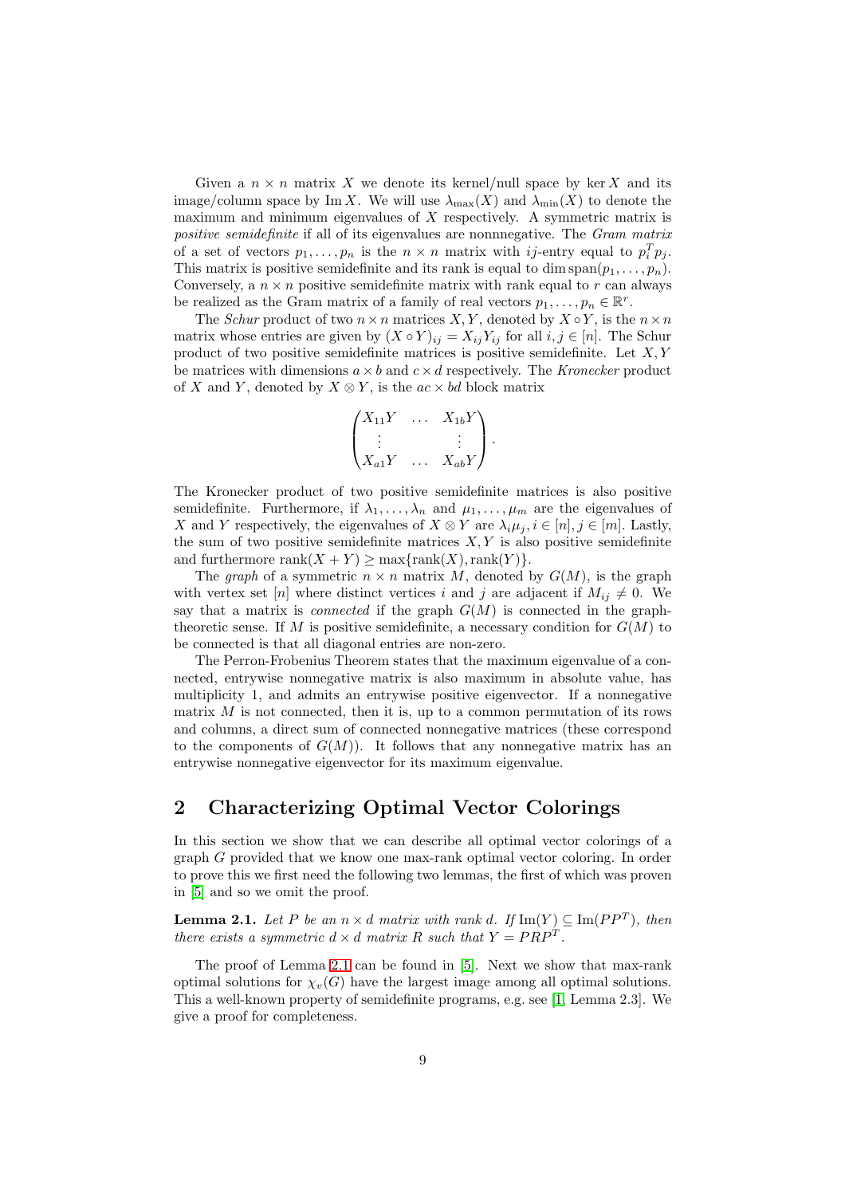Given a  $n \times n$  matrix X we denote its kernel/null space by ker X and its image/column space by Im X. We will use  $\lambda_{\max}(X)$  and  $\lambda_{\min}(X)$  to denote the maximum and minimum eigenvalues of X respectively. A symmetric matrix is *positive semidefinite* if all of its eigenvalues are nonnnegative. The *Gram matrix* of a set of vectors  $p_1, \ldots, p_n$  is the  $n \times n$  matrix with *ij*-entry equal to  $p_i^T p_j$ . This matrix is positive semidefinite and its rank is equal to dim span $(p_1, \ldots, p_n)$ . Conversely, a  $n \times n$  positive semidefinite matrix with rank equal to r can always be realized as the Gram matrix of a family of real vectors  $p_1, \ldots, p_n \in \mathbb{R}^r$ .

The *Schur* product of two  $n \times n$  matrices  $X, Y$ , denoted by  $X \circ Y$ , is the  $n \times n$ matrix whose entries are given by  $(X \circ Y)_{ij} = X_{ij}Y_{ij}$  for all  $i, j \in [n]$ . The Schur product of two positive semidefinite matrices is positive semidefinite. Let  $X, Y$ be matrices with dimensions  $a \times b$  and  $c \times d$  respectively. The *Kronecker* product of X and Y, denoted by  $X \otimes Y$ , is the  $ac \times bd$  block matrix

$$
\begin{pmatrix} X_{11}Y & \dots & X_{1b}Y \\ \vdots & & \vdots \\ X_{a1}Y & \dots & X_{ab}Y \end{pmatrix}.
$$

The Kronecker product of two positive semidefinite matrices is also positive semidefinite. Furthermore, if  $\lambda_1, \ldots, \lambda_n$  and  $\mu_1, \ldots, \mu_m$  are the eigenvalues of X and Y respectively, the eigenvalues of  $X \otimes Y$  are  $\lambda_i \mu_j, i \in [n], j \in [m]$ . Lastly, the sum of two positive semidefinite matrices  $X, Y$  is also positive semidefinite and furthermore  $\text{rank}(X + Y) \ge \max{\text{rank}(X), \text{rank}(Y)}$ .

The *graph* of a symmetric  $n \times n$  matrix M, denoted by  $G(M)$ , is the graph with vertex set [n] where distinct vertices i and j are adjacent if  $M_{ij} \neq 0$ . We say that a matrix is *connected* if the graph  $G(M)$  is connected in the graphtheoretic sense. If M is positive semidefinite, a necessary condition for  $G(M)$  to be connected is that all diagonal entries are non-zero.

The Perron-Frobenius Theorem states that the maximum eigenvalue of a connected, entrywise nonnegative matrix is also maximum in absolute value, has multiplicity 1, and admits an entrywise positive eigenvector. If a nonnegative matrix  $M$  is not connected, then it is, up to a common permutation of its rows and columns, a direct sum of connected nonnegative matrices (these correspond to the components of  $G(M)$ . It follows that any nonnegative matrix has an entrywise nonnegative eigenvector for its maximum eigenvalue.

# <span id="page-9-0"></span>2 Characterizing Optimal Vector Colorings

In this section we show that we can describe all optimal vector colorings of a graph G provided that we know one max-rank optimal vector coloring. In order to prove this we first need the following two lemmas, the first of which was proven in [\[5\]](#page-37-1) and so we omit the proof.

<span id="page-9-1"></span>**Lemma 2.1.** *Let* P *be an*  $n \times d$  *matrix with rank* d. If  $\text{Im}(Y) \subseteq \text{Im}(PP^T)$ *, then there exists a symmetric*  $d \times d$  *matrix*  $R$  *such that*  $Y = PRP^T$ .

The proof of Lemma [2.1](#page-9-1) can be found in [\[5\]](#page-37-1). Next we show that max-rank optimal solutions for  $\chi_v(G)$  have the largest image among all optimal solutions. This a well-known property of semidefinite programs, e.g. see [\[1,](#page-37-3) Lemma 2.3]. We give a proof for completeness.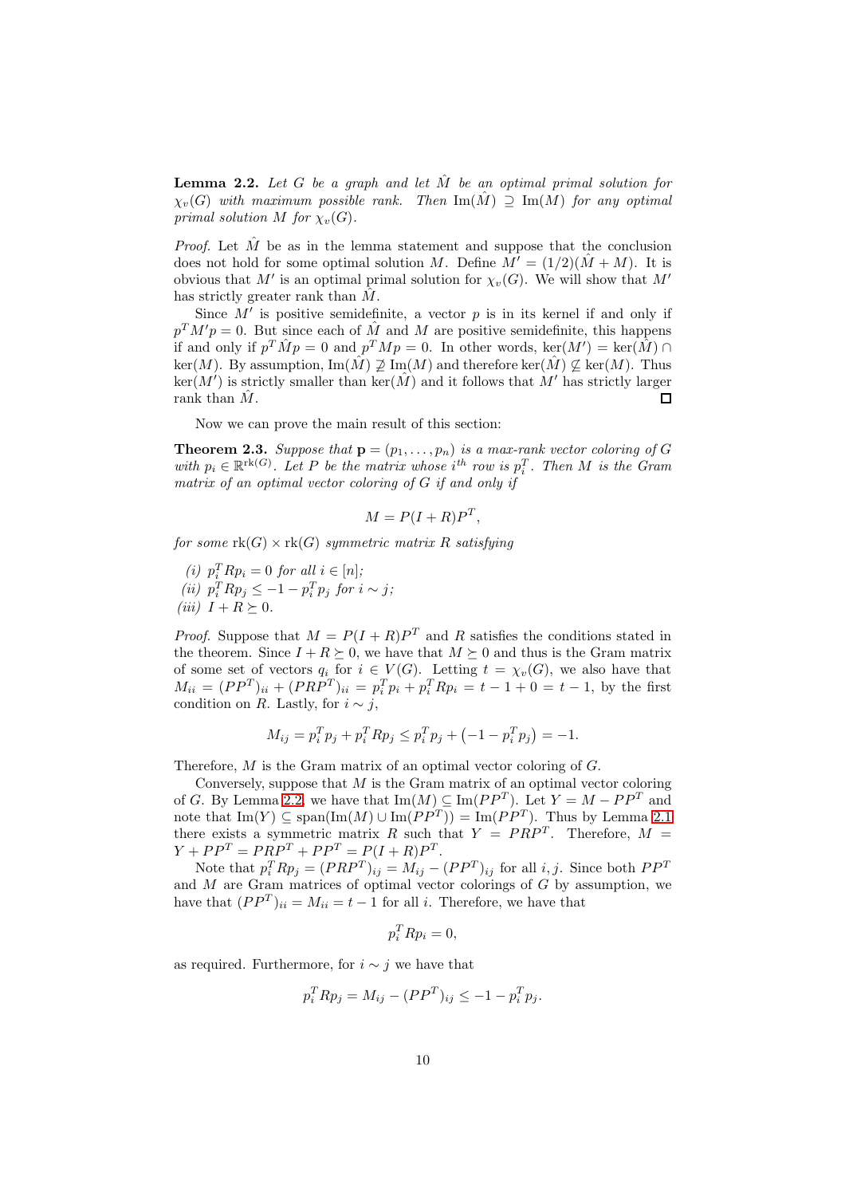<span id="page-10-0"></span>Lemma 2.2. *Let* G *be a graph and let* Mˆ *be an optimal primal solution for*  $\chi_v(G)$  with maximum possible rank. Then  $\text{Im}(\hat{M}) \supseteq \text{Im}(M)$  for any optimal *primal solution*  $M$  *for*  $\chi_v(G)$ *.* 

*Proof.* Let  $\hat{M}$  be as in the lemma statement and suppose that the conclusion does not hold for some optimal solution M. Define  $M' = (1/2)(M + M)$ . It is obvious that M' is an optimal primal solution for  $\chi_v(G)$ . We will show that M' has strictly greater rank than  $\hat{M}$ .

Since  $M'$  is positive semidefinite, a vector  $p$  is in its kernel if and only if  $p^T M' p = 0$ . But since each of  $\hat{M}$  and M are positive semidefinite, this happens if and only if  $p^T \hat{M} p = 0$  and  $p^T M p = 0$ . In other words,  $\ker(M') = \ker(\hat{M}) \cap$ ker(M). By assumption, Im( $\hat{M}$ )  $\not\supseteq$  Im(M) and therefore ker( $\hat{M}$ )  $\not\subseteq$  ker(M). Thus  $\ker(M')$  is strictly smaller than  $\ker(\hat{M})$  and it follows that  $M'$  has strictly larger rank than  $\hat{M}$ . П

Now we can prove the main result of this section:

<span id="page-10-1"></span>**Theorem 2.3.** *Suppose that*  $\mathbf{p} = (p_1, \ldots, p_n)$  *is a max-rank vector coloring of*  $G$ *with*  $p_i \in \mathbb{R}^{rk(G)}$ . Let P be the matrix whose  $i^{th}$  row is  $p_i^T$ . Then M is the Gram *matrix of an optimal vector coloring of* G *if and only if*

$$
M = P(I + R)P^{T},
$$

*for some*  $rk(G) \times rk(G)$  *symmetric matrix* R *satisfying* 

(*i*)  $p_i^T R p_i = 0$  *for all*  $i \in [n]$ ; *(ii)*  $p_i^T R p_j \le -1 - p_i^T p_j$  *for*  $i \sim j$ *; (iii)*  $I + R \succeq 0$ .

*Proof.* Suppose that  $M = P(I + R)P^{T}$  and R satisfies the conditions stated in the theorem. Since  $I + R \succeq 0$ , we have that  $M \succeq 0$  and thus is the Gram matrix of some set of vectors  $q_i$  for  $i \in V(G)$ . Letting  $t = \chi_v(G)$ , we also have that  $M_{ii} = (PP^{T})_{ii} + (PRP^{T})_{ii} = p_{i}^{T} p_{i} + p_{i}^{T} R p_{i} = t - 1 + 0 = t - 1$ , by the first condition on R. Lastly, for  $i \sim i$ ,

$$
M_{ij} = p_i^T p_j + p_i^T R p_j \le p_i^T p_j + (-1 - p_i^T p_j) = -1.
$$

Therefore, M is the Gram matrix of an optimal vector coloring of G.

Conversely, suppose that  $M$  is the Gram matrix of an optimal vector coloring of G. By Lemma [2.2,](#page-10-0) we have that  $\text{Im}(M) \subseteq \text{Im}(PP^T)$ . Let  $Y = M - PP^T$  and note that  $\text{Im}(Y) \subseteq \text{span}(\text{Im}(M) \cup \text{Im}(PP^T)) = \text{Im}(PP^T)$ . Thus by Lemma [2.1](#page-9-1) there exists a symmetric matrix R such that  $Y = PRP<sup>T</sup>$ . Therefore,  $M =$  $Y + PP^{T} = PRP^{T} + PP^{T} = P(I + R)P^{T}.$ 

Note that  $p_i^T R p_j = (PRP^T)_{ij} = M_{ij} - (PP^T)_{ij}$  for all  $i, j$ . Since both  $PP^T$ and M are Gram matrices of optimal vector colorings of G by assumption, we have that  $(PP<sup>T</sup>)<sub>ii</sub> = M<sub>ii</sub> = t - 1$  for all *i*. Therefore, we have that

$$
p_i^T R p_i = 0,
$$

as required. Furthermore, for  $i \sim j$  we have that

$$
p_i^T R p_j = M_{ij} - (P P^T)_{ij} \le -1 - p_i^T p_j.
$$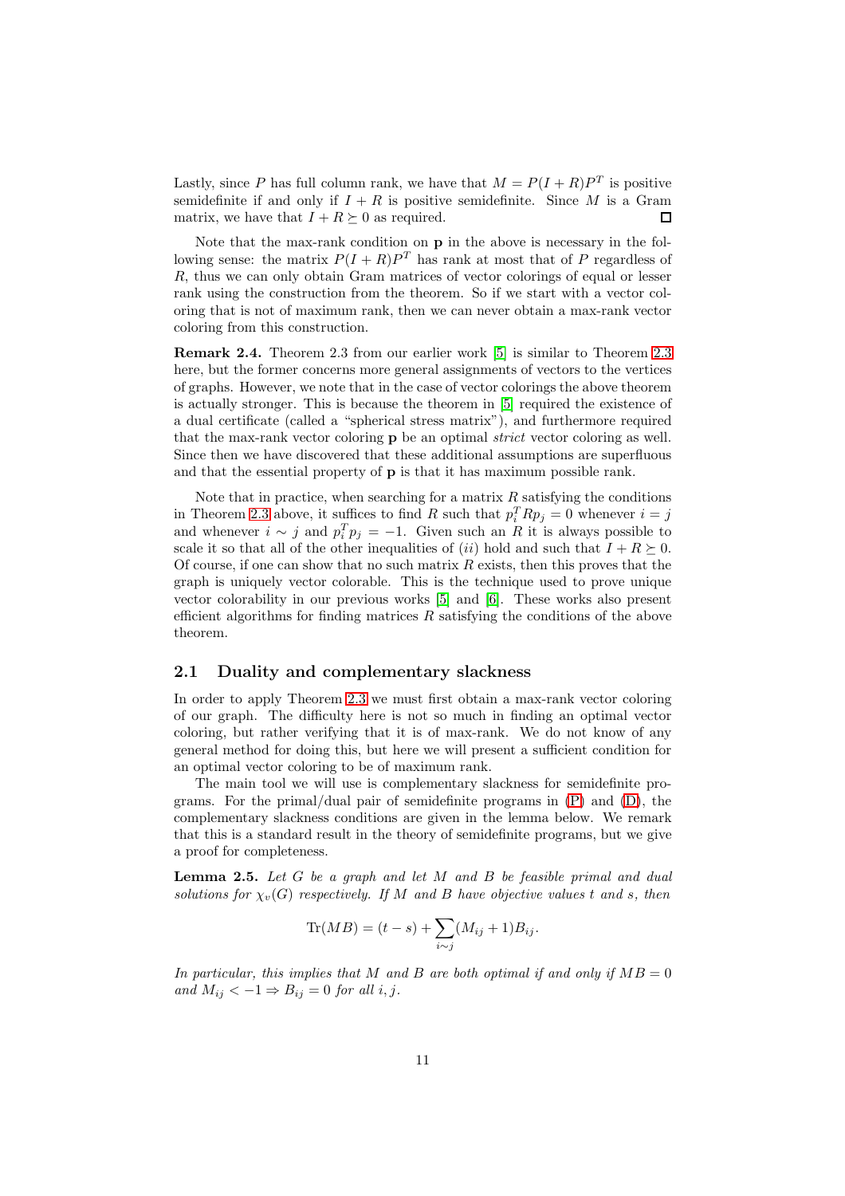Lastly, since P has full column rank, we have that  $M = P(I + R)P^{T}$  is positive semidefinite if and only if  $I + R$  is positive semidefinite. Since M is a Gram matrix, we have that  $I + R \succeq 0$  as required. П

Note that the max-rank condition on **p** in the above is necessary in the following sense: the matrix  $P(I + R)P<sup>T</sup>$  has rank at most that of P regardless of R, thus we can only obtain Gram matrices of vector colorings of equal or lesser rank using the construction from the theorem. So if we start with a vector coloring that is not of maximum rank, then we can never obtain a max-rank vector coloring from this construction.

Remark 2.4. Theorem 2.3 from our earlier work [\[5\]](#page-37-1) is similar to Theorem [2.3](#page-10-1) here, but the former concerns more general assignments of vectors to the vertices of graphs. However, we note that in the case of vector colorings the above theorem is actually stronger. This is because the theorem in [\[5\]](#page-37-1) required the existence of a dual certificate (called a "spherical stress matrix"), and furthermore required that the max-rank vector coloring p be an optimal *strict* vector coloring as well. Since then we have discovered that these additional assumptions are superfluous and that the essential property of p is that it has maximum possible rank.

Note that in practice, when searching for a matrix  $R$  satisfying the conditions in Theorem [2.3](#page-10-1) above, it suffices to find R such that  $p_i^T R p_j = 0$  whenever  $i = j$ and whenever  $i \sim j$  and  $p_i^T p_j = -1$ . Given such an R it is always possible to scale it so that all of the other inequalities of (ii) hold and such that  $I + R \succeq 0$ . Of course, if one can show that no such matrix  $R$  exists, then this proves that the graph is uniquely vector colorable. This is the technique used to prove unique vector colorability in our previous works [\[5\]](#page-37-1) and [\[6\]](#page-38-6). These works also present efficient algorithms for finding matrices  $R$  satisfying the conditions of the above theorem.

#### <span id="page-11-1"></span>2.1 Duality and complementary slackness

In order to apply Theorem [2.3](#page-10-1) we must first obtain a max-rank vector coloring of our graph. The difficulty here is not so much in finding an optimal vector coloring, but rather verifying that it is of max-rank. We do not know of any general method for doing this, but here we will present a sufficient condition for an optimal vector coloring to be of maximum rank.

The main tool we will use is complementary slackness for semidefinite programs. For the primal/dual pair of semidefinite programs in [\(P\)](#page-2-0) and [\(D\)](#page-3-0), the complementary slackness conditions are given in the lemma below. We remark that this is a standard result in the theory of semidefinite programs, but we give a proof for completeness.

<span id="page-11-0"></span>Lemma 2.5. *Let* G *be a graph and let* M *and* B *be feasible primal and dual solutions for*  $\chi_v(G)$  *respectively. If* M *and* B *have objective values* t *and* s, then

$$
\text{Tr}(MB) = (t - s) + \sum_{i \sim j} (M_{ij} + 1)B_{ij}.
$$

*In particular, this implies that* M *and* B *are both optimal if and only if* MB = 0 *and*  $M_{ij} < -1 \Rightarrow B_{ij} = 0$  *for all i*, *j*.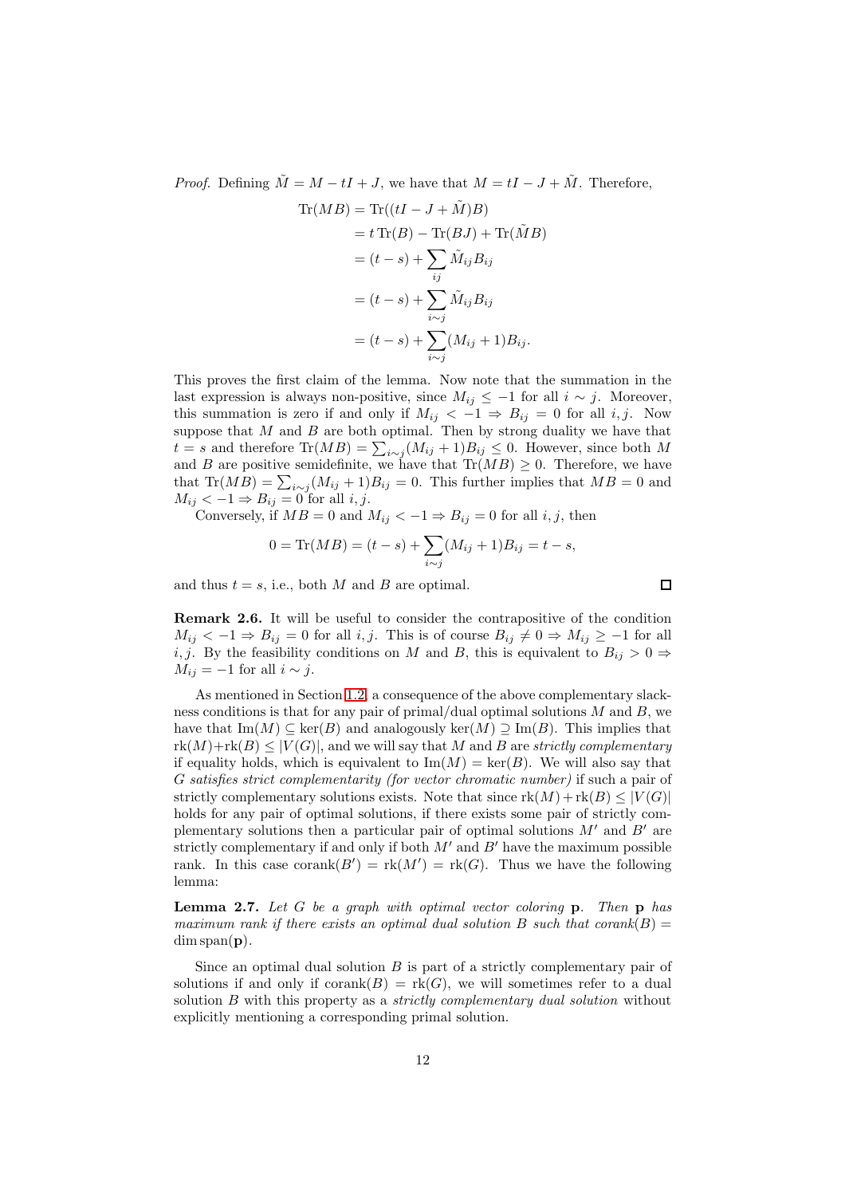*Proof.* Defining  $\tilde{M} = M - tI + J$ , we have that  $M = tI - J + \tilde{M}$ . Therefore,

$$
\text{Tr}(MB) = \text{Tr}((tI - J + \tilde{M})B)
$$
  
=  $t \text{Tr}(B) - \text{Tr}(BJ) + \text{Tr}(\tilde{M}B)$   
=  $(t - s) + \sum_{ij} \tilde{M}_{ij} B_{ij}$   
=  $(t - s) + \sum_{i \sim j} \tilde{M}_{ij} B_{ij}$   
=  $(t - s) + \sum_{i \sim j} (M_{ij} + 1) B_{ij}.$ 

This proves the first claim of the lemma. Now note that the summation in the last expression is always non-positive, since  $M_{ij} \leq -1$  for all  $i \sim j$ . Moreover, this summation is zero if and only if  $M_{ij} < -1 \Rightarrow B_{ij} = 0$  for all i, j. Now suppose that  $M$  and  $B$  are both optimal. Then by strong duality we have that  $t = s$  and therefore  $\text{Tr}(MB) = \sum_{i \sim j} (M_{ij} + 1)B_{ij} \leq 0$ . However, since both M and B are positive semidefinite, we have that  $\text{Tr}(MB) \geq 0$ . Therefore, we have that  $\text{Tr}(MB) = \sum_{i \sim j} (M_{ij} + 1)B_{ij} = 0$ . This further implies that  $MB = 0$  and  $M_{ij} < -1 \Rightarrow B_{ij} = 0$  for all  $i, j$ .

Conversely, if  $MB = 0$  and  $M_{ij} < -1 \Rightarrow B_{ij} = 0$  for all i, j, then

$$
0 = \text{Tr}(MB) = (t - s) + \sum_{i \sim j} (M_{ij} + 1)B_{ij} = t - s,
$$

 $\Box$ 

and thus  $t = s$ , i.e., both M and B are optimal.

Remark 2.6. It will be useful to consider the contrapositive of the condition  $M_{ij} < -1 \Rightarrow B_{ij} = 0$  for all i, j. This is of course  $B_{ij} \neq 0 \Rightarrow M_{ij} \geq -1$  for all i, j. By the feasibility conditions on M and B, this is equivalent to  $B_{ij} > 0 \Rightarrow$  $M_{ij} = -1$  for all  $i \sim j$ .

As mentioned in Section [1.2,](#page-5-1) a consequence of the above complementary slackness conditions is that for any pair of primal/dual optimal solutions  $M$  and  $B$ , we have that  $\text{Im}(M) \subseteq \text{ker}(B)$  and analogously  $\text{ker}(M) \supset \text{Im}(B)$ . This implies that  $r(k(M)+rk(B) \leq |V(G)|$ , and we will say that M and B are *strictly complementary* if equality holds, which is equivalent to  $\text{Im}(M) = \text{ker}(B)$ . We will also say that G *satisfies strict complementarity (for vector chromatic number)* if such a pair of strictly complementary solutions exists. Note that since  $rk(M) + rk(B) \leq |V(G)|$ holds for any pair of optimal solutions, if there exists some pair of strictly complementary solutions then a particular pair of optimal solutions  $M'$  and  $B'$  are strictly complementary if and only if both  $M'$  and  $B'$  have the maximum possible rank. In this case corank $(B') = \text{rk}(M') = \text{rk}(G)$ . Thus we have the following lemma:

Lemma 2.7. *Let* G *be a graph with optimal vector coloring* p*. Then* p *has maximum rank if there exists an optimal dual solution* B *such that corank*( $B$ ) =  $dim span(\mathbf{p})$ .

Since an optimal dual solution  $B$  is part of a strictly complementary pair of solutions if and only if  $corank(B) = rk(G)$ , we will sometimes refer to a dual solution B with this property as a *strictly complementary dual solution* without explicitly mentioning a corresponding primal solution.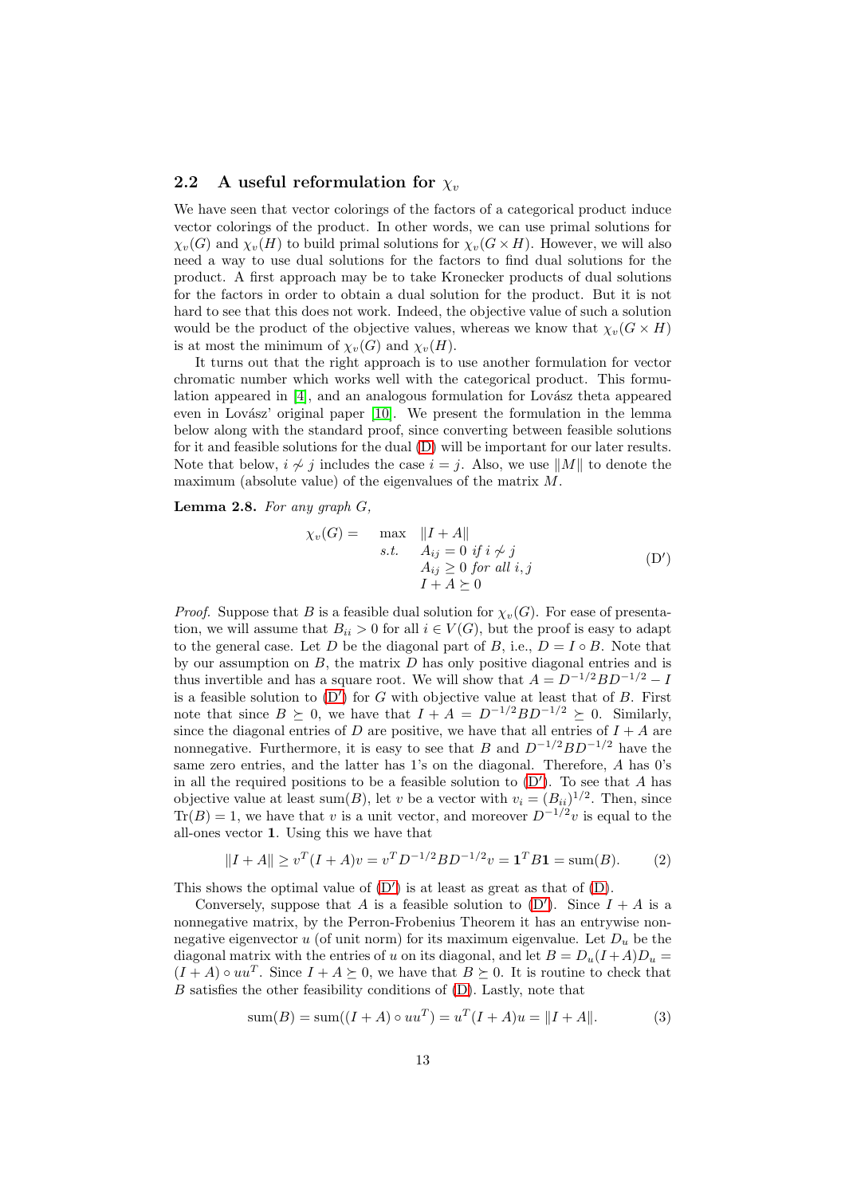#### <span id="page-13-0"></span>2.2 A useful reformulation for  $\chi_v$

We have seen that vector colorings of the factors of a categorical product induce vector colorings of the product. In other words, we can use primal solutions for  $\chi_v(G)$  and  $\chi_v(H)$  to build primal solutions for  $\chi_v(G \times H)$ . However, we will also need a way to use dual solutions for the factors to find dual solutions for the product. A first approach may be to take Kronecker products of dual solutions for the factors in order to obtain a dual solution for the product. But it is not hard to see that this does not work. Indeed, the objective value of such a solution would be the product of the objective values, whereas we know that  $\chi_v(G \times H)$ is at most the minimum of  $\chi_v(G)$  and  $\chi_v(H)$ .

It turns out that the right approach is to use another formulation for vector chromatic number which works well with the categorical product. This formulation appeared in  $[4]$ , and an analogous formulation for Lovász theta appeared even in Lovász' original paper  $[10]$ . We present the formulation in the lemma below along with the standard proof, since converting between feasible solutions for it and feasible solutions for the dual [\(D\)](#page-3-0) will be important for our later results. Note that below,  $i \nsim j$  includes the case  $i = j$ . Also, we use  $||M||$  to denote the maximum (absolute value) of the eigenvalues of the matrix M.

<span id="page-13-2"></span>Lemma 2.8. *For any graph* G*,*

<span id="page-13-1"></span>
$$
\chi_v(G) = \max_{\substack{s.t.\\ A_{ij} = 0 \text{ if } i \neq j}} \frac{\|I + A\|}{\int_{i,j}^{i} \frac{\lambda_j}{\lambda_j}} = 0 \text{ for all } i, j} \tag{D'}
$$
\n
$$
I + A \succeq 0
$$

*Proof.* Suppose that B is a feasible dual solution for  $\chi_v(G)$ . For ease of presentation, we will assume that  $B_{ii} > 0$  for all  $i \in V(G)$ , but the proof is easy to adapt to the general case. Let D be the diagonal part of B, i.e.,  $D = I \circ B$ . Note that by our assumption on  $B$ , the matrix  $D$  has only positive diagonal entries and is thus invertible and has a square root. We will show that  $A = D^{-1/2}BD^{-1/2} - I$ is a feasible solution to  $(D')$  for G with objective value at least that of B. First note that since  $B \succeq 0$ , we have that  $I + A = D^{-1/2}BD^{-1/2} \succeq 0$ . Similarly, since the diagonal entries of  $D$  are positive, we have that all entries of  $I + A$  are nonnegative. Furthermore, it is easy to see that B and  $D^{-1/2}BD^{-1/2}$  have the same zero entries, and the latter has 1's on the diagonal. Therefore, A has 0's in all the required positions to be a feasible solution to  $(D')$ . To see that A has objective value at least sum(B), let v be a vector with  $v_i = (B_{ii})^{1/2}$ . Then, since  $Tr(B) = 1$ , we have that v is a unit vector, and moreover  $D^{-1/2}v$  is equal to the all-ones vector 1. Using this we have that

<span id="page-13-3"></span>
$$
||I + A|| \ge v^T (I + A)v = v^T D^{-1/2} B D^{-1/2} v = \mathbf{1}^T B \mathbf{1} = \text{sum}(B).
$$
 (2)

This shows the optimal value of  $(D')$  is at least as great as that of  $(D)$ .

Conversely, suppose that A is a feasible solution to  $(D')$ . Since  $I + A$  is a nonnegative matrix, by the Perron-Frobenius Theorem it has an entrywise nonnegative eigenvector  $u$  (of unit norm) for its maximum eigenvalue. Let  $D_u$  be the diagonal matrix with the entries of u on its diagonal, and let  $B = D_u(I + A)D_u$  $(I + A) \circ uu^T$ . Since  $I + A \succeq 0$ , we have that  $B \succeq 0$ . It is routine to check that B satisfies the other feasibility conditions of [\(D\)](#page-3-0). Lastly, note that

<span id="page-13-4"></span>sum(B) = sum((I + A) 
$$
\circ uu^T
$$
) =  $u^T(I + A)u = ||I + A||$ . (3)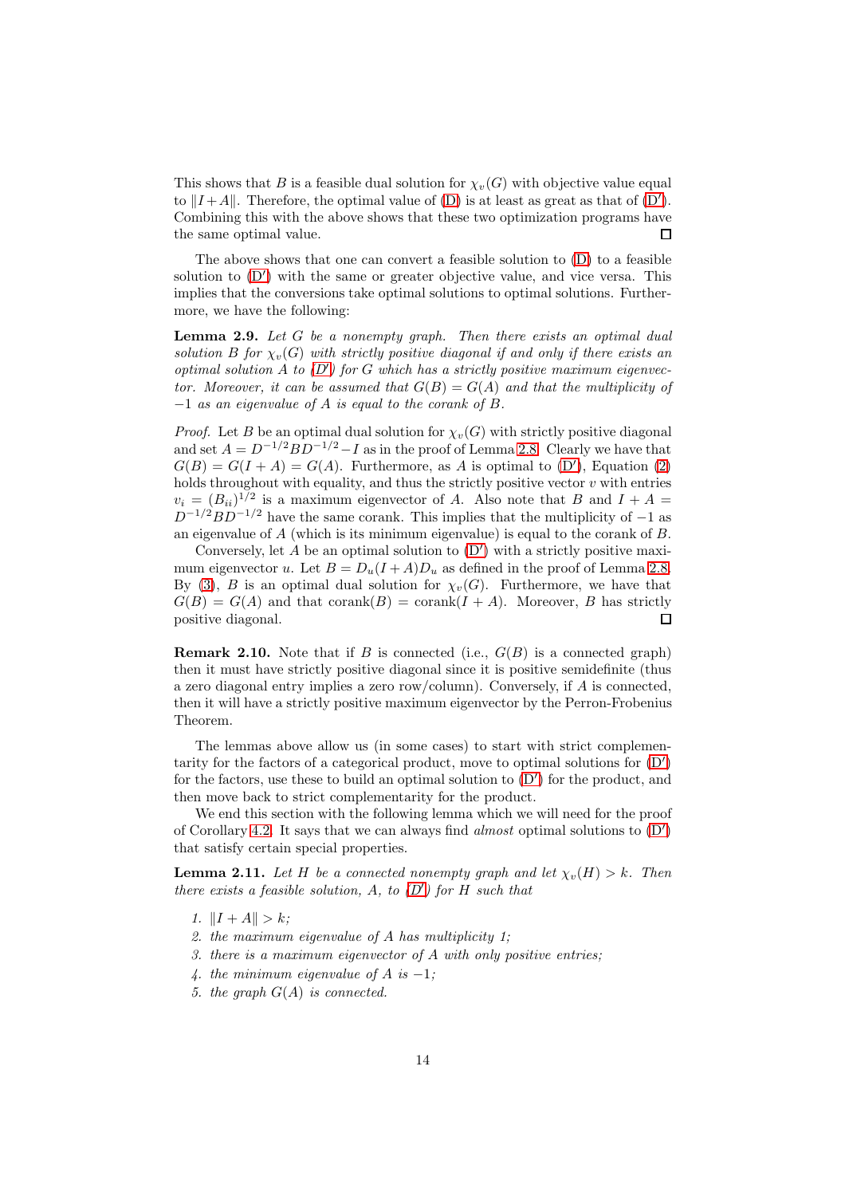This shows that B is a feasible dual solution for  $\chi_v(G)$  with objective value equal to  $||I + A||$ . Therefore, the optimal value of [\(D\)](#page-3-0) is at least as great as that of [\(D](#page-13-1)'). Combining this with the above shows that these two optimization programs have the same optimal value. П

The above shows that one can convert a feasible solution to [\(D\)](#page-3-0) to a feasible solution to  $(D')$  with the same or greater objective value, and vice versa. This implies that the conversions take optimal solutions to optimal solutions. Furthermore, we have the following:

<span id="page-14-1"></span>Lemma 2.9. *Let* G *be a nonempty graph. Then there exists an optimal dual solution* B for  $\chi_v(G)$  *with strictly positive diagonal if and only if there exists an optimal solution* A *to [\(D](#page-13-1)*′ *) for* G *which has a strictly positive maximum eigenvector. Moreover, it can be assumed that*  $G(B) = G(A)$  *and that the multiplicity of* −1 *as an eigenvalue of* A *is equal to the corank of* B*.*

*Proof.* Let B be an optimal dual solution for  $\chi_v(G)$  with strictly positive diagonal and set  $A = D^{-1/2}BD^{-1/2}-I$  as in the proof of Lemma [2.8.](#page-13-2) Clearly we have that  $G(B) = G(I + A) = G(A)$ . Furthermore, as A is optimal to  $(D')$ , Equation [\(2\)](#page-13-3) holds throughout with equality, and thus the strictly positive vector  $v$  with entries  $v_i = (B_{ii})^{1/2}$  is a maximum eigenvector of A. Also note that B and  $I + A =$  $D^{-1/2}BD^{-1/2}$  have the same corank. This implies that the multiplicity of  $-1$  as an eigenvalue of A (which is its minimum eigenvalue) is equal to the corank of B.

Conversely, let  $A$  be an optimal solution to  $(D')$  with a strictly positive maximum eigenvector u. Let  $B = D_u(I + A)D_u$  as defined in the proof of Lemma [2.8.](#page-13-2) By [\(3\)](#page-13-4), B is an optimal dual solution for  $\chi_v(G)$ . Furthermore, we have that  $G(B) = G(A)$  and that corank $(B) = \text{corank}(I + A)$ . Moreover, B has strictly positive diagonal.  $\Box$ 

**Remark 2.10.** Note that if B is connected (i.e.,  $G(B)$  is a connected graph) then it must have strictly positive diagonal since it is positive semidefinite (thus a zero diagonal entry implies a zero row/column). Conversely, if A is connected, then it will have a strictly positive maximum eigenvector by the Perron-Frobenius Theorem.

The lemmas above allow us (in some cases) to start with strict complementarity for the factors of a categorical product, move to optimal solutions for [\(D](#page-13-1)′ ) for the factors, use these to build an optimal solution to [\(D](#page-13-1)′ ) for the product, and then move back to strict complementarity for the product.

We end this section with the following lemma which we will need for the proof of Corollary [4.2.](#page-23-0) It says that we can always find *almost* optimal solutions to [\(D](#page-13-1)′ ) that satisfy certain special properties.

<span id="page-14-0"></span>**Lemma 2.11.** *Let* H *be a connected nonempty graph and let*  $\chi_v(H) > k$ *. Then there exists a feasible solution,* A*, to [\(D](#page-13-1)*′ *) for* H *such that*

- *1.*  $||I + A|| > k$ ;
- *2. the maximum eigenvalue of* A *has multiplicity 1;*
- *3. there is a maximum eigenvector of* A *with only positive entries;*
- *4. the minimum eigenvalue of* A *is* −1*;*
- *5. the graph* G(A) *is connected.*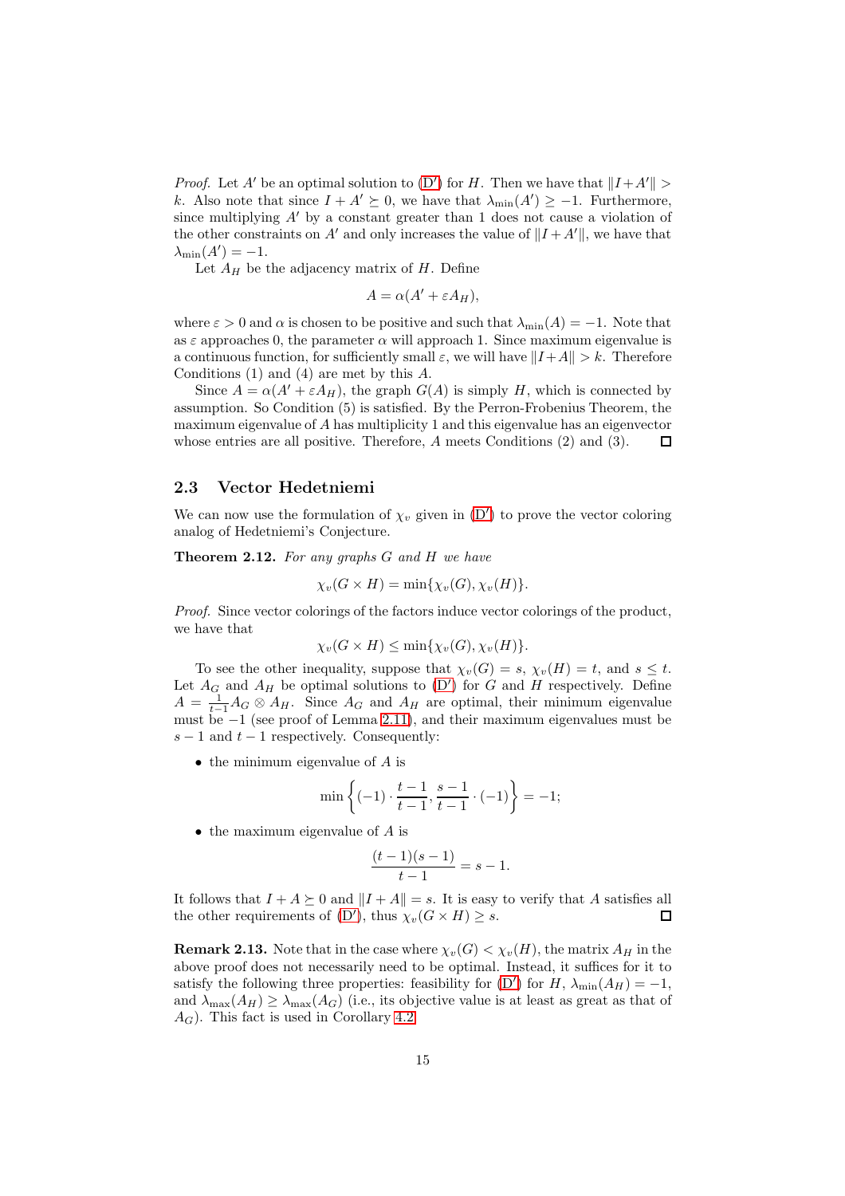*Proof.* Let A' be an optimal solution to  $(D')$  for H. Then we have that  $||I + A'|| >$ k. Also note that since  $I + A' \succeq 0$ , we have that  $\lambda_{\min}(A') \geq -1$ . Furthermore, since multiplying  $A'$  by a constant greater than 1 does not cause a violation of the other constraints on A' and only increases the value of  $||I + A'||$ , we have that  $\lambda_{\min}(A') = -1.$ 

Let  $A_H$  be the adjacency matrix of  $H$ . Define

$$
A = \alpha(A' + \varepsilon A_H),
$$

where  $\varepsilon > 0$  and  $\alpha$  is chosen to be positive and such that  $\lambda_{\min}(A) = -1$ . Note that as  $\varepsilon$  approaches 0, the parameter  $\alpha$  will approach 1. Since maximum eigenvalue is a continuous function, for sufficiently small  $\varepsilon$ , we will have  $||I+A|| > k$ . Therefore Conditions (1) and (4) are met by this A.

Since  $A = \alpha(A' + \varepsilon A_H)$ , the graph  $G(A)$  is simply H, which is connected by assumption. So Condition (5) is satisfied. By the Perron-Frobenius Theorem, the maximum eigenvalue of  $A$  has multiplicity 1 and this eigenvalue has an eigenvector whose entries are all positive. Therefore, A meets Conditions (2) and (3).  $\Box$ 

#### <span id="page-15-0"></span>2.3 Vector Hedetniemi

We can now use the formulation of  $\chi_v$  given in  $(D')$  to prove the vector coloring analog of Hedetniemi's Conjecture.

<span id="page-15-1"></span>Theorem 2.12. *For any graphs* G *and* H *we have*

$$
\chi_v(G \times H) = \min{\{\chi_v(G), \chi_v(H)\}}.
$$

*Proof.* Since vector colorings of the factors induce vector colorings of the product, we have that

$$
\chi_v(G \times H) \le \min{\chi_v(G), \chi_v(H)}.
$$

To see the other inequality, suppose that  $\chi_v(G) = s$ ,  $\chi_v(H) = t$ , and  $s \leq t$ . Let  $A_G$  and  $A_H$  be optimal solutions to  $(D')$  for G and H respectively. Define  $A = \frac{1}{t-1}A_G \otimes A_H$ . Since  $A_G$  and  $A_H$  are optimal, their minimum eigenvalue must be −1 (see proof of Lemma [2.11\)](#page-14-0), and their maximum eigenvalues must be  $s-1$  and  $t-1$  respectively. Consequently:

 $\bullet$  the minimum eigenvalue of A is

$$
\min\left\{(-1)\cdot\frac{t-1}{t-1},\frac{s-1}{t-1}\cdot(-1)\right\}=-1;
$$

• the maximum eigenvalue of A is

$$
\frac{(t-1)(s-1)}{t-1} = s-1.
$$

It follows that  $I + A \succeq 0$  and  $||I + A|| = s$ . It is easy to verify that A satisfies all the other requirements of  $(D')$ , thus  $\chi_n(G \times H) > s$ . the other requirements of  $(D')$ , thus  $\chi_v(G \times H) \geq s$ .

<span id="page-15-2"></span>**Remark 2.13.** Note that in the case where  $\chi_v(G) < \chi_v(H)$ , the matrix  $A_H$  in the above proof does not necessarily need to be optimal. Instead, it suffices for it to satisfy the following three properties: feasibility for  $(D')$  for  $H$ ,  $\lambda_{\min}(A_H) = -1$ , and  $\lambda_{\max}(A_H) \geq \lambda_{\max}(A_G)$  (i.e., its objective value is at least as great as that of  $A_G$ ). This fact is used in Corollary [4.2.](#page-23-0)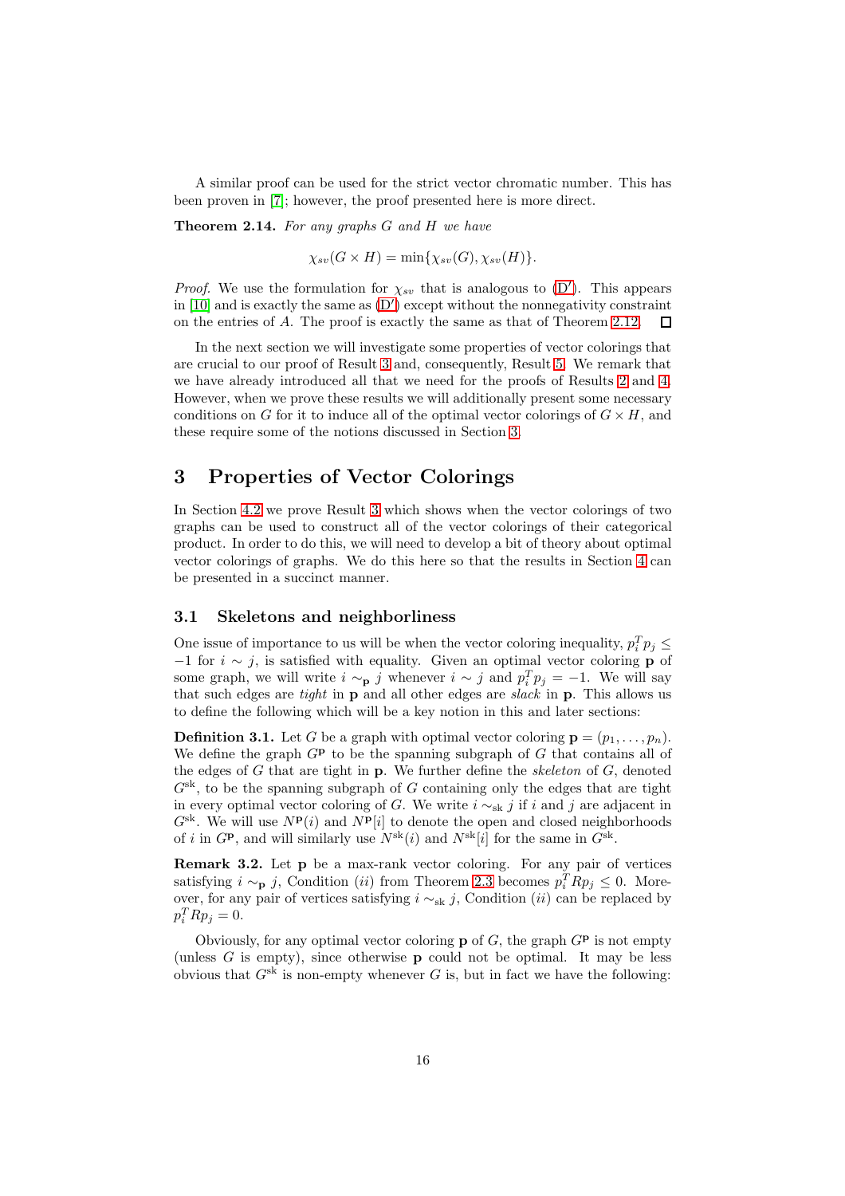A similar proof can be used for the strict vector chromatic number. This has been proven in [\[7\]](#page-38-4); however, the proof presented here is more direct.

<span id="page-16-0"></span>Theorem 2.14. *For any graphs* G *and* H *we have*

 $\chi_{sv}(G \times H) = \min\{\chi_{sv}(G), \chi_{sv}(H)\}.$ 

*Proof.* We use the formulation for  $\chi_{sv}$  that is analogous to  $(D')$ . This appears in [\[10\]](#page-38-1) and is exactly the same as [\(D](#page-13-1)′ ) except without the nonnegativity constraint on the entries of A. The proof is exactly the same as that of Theorem [2.12.](#page-15-1) П

In the next section we will investigate some properties of vector colorings that are crucial to our proof of Result [3](#page-5-0) and, consequently, Result [5.](#page-6-1) We remark that we have already introduced all that we need for the proofs of Results [2](#page-4-2) and [4.](#page-6-0) However, when we prove these results we will additionally present some necessary conditions on G for it to induce all of the optimal vector colorings of  $G \times H$ , and these require some of the notions discussed in Section [3.](#page-16-1)

### <span id="page-16-1"></span>3 Properties of Vector Colorings

In Section [4.2](#page-26-0) we prove Result [3](#page-5-0) which shows when the vector colorings of two graphs can be used to construct all of the vector colorings of their categorical product. In order to do this, we will need to develop a bit of theory about optimal vector colorings of graphs. We do this here so that the results in Section [4](#page-22-1) can be presented in a succinct manner.

#### <span id="page-16-3"></span>3.1 Skeletons and neighborliness

One issue of importance to us will be when the vector coloring inequality,  $p_i^T p_j \leq$  $-1$  for  $i \sim j$ , is satisfied with equality. Given an optimal vector coloring **p** of some graph, we will write  $i \sim_{\mathbf{p}} j$  whenever  $i \sim j$  and  $p_i^T p_j = -1$ . We will say that such edges are *tight* in p and all other edges are *slack* in p. This allows us to define the following which will be a key notion in this and later sections:

**Definition 3.1.** Let G be a graph with optimal vector coloring  $\mathbf{p} = (p_1, \ldots, p_n)$ . We define the graph  $G<sup>p</sup>$  to be the spanning subgraph of G that contains all of the edges of G that are tight in p. We further define the *skeleton* of G, denoted  $G<sup>sk</sup>$ , to be the spanning subgraph of G containing only the edges that are tight in every optimal vector coloring of G. We write  $i \sim_{sk} j$  if  $i$  and j are adjacent in  $G^{\text{sk}}$ . We will use  $N^{\textbf{p}}(i)$  and  $N^{\textbf{p}}[i]$  to denote the open and closed neighborhoods of *i* in  $G^{\mathbf{p}}$ , and will similarly use  $N^{\text{sk}}(i)$  and  $N^{\text{sk}}[i]$  for the same in  $G^{\text{sk}}$ .

<span id="page-16-2"></span>Remark 3.2. Let p be a max-rank vector coloring. For any pair of vertices satisfying  $i \sim_{\mathbf{p}} j$ , Condition (*ii*) from Theorem [2.3](#page-10-1) becomes  $p_i^T R p_j \leq 0$ . Moreover, for any pair of vertices satisfying  $i \sim_{\text{sk}} j$ , Condition (ii) can be replaced by  $p_i^T R p_j = 0.$ 

Obviously, for any optimal vector coloring **p** of G, the graph  $G<sup>p</sup>$  is not empty (unless  $G$  is empty), since otherwise **p** could not be optimal. It may be less obvious that  $G^{sk}$  is non-empty whenever G is, but in fact we have the following: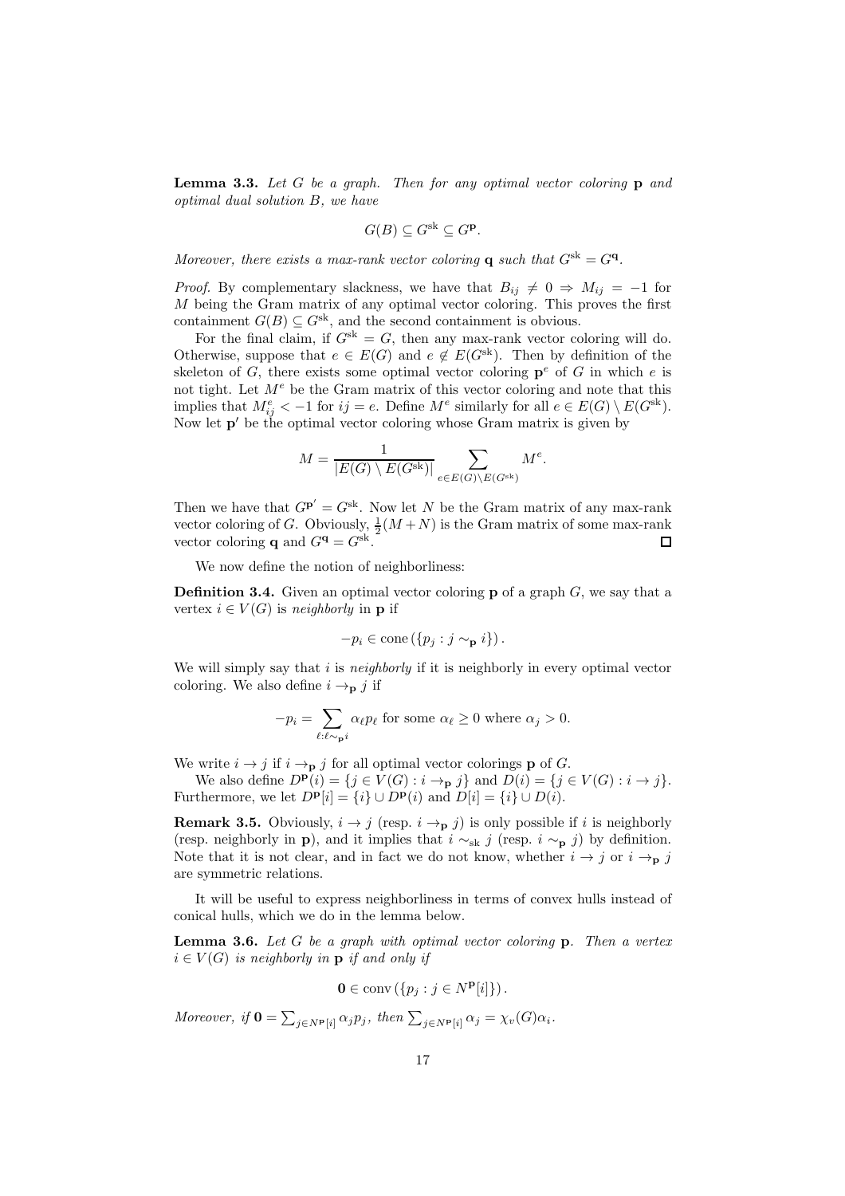<span id="page-17-1"></span>Lemma 3.3. *Let* G *be a graph. Then for any optimal vector coloring* p *and optimal dual solution* B*, we have*

$$
G(B) \subseteq G^{\text{sk}} \subseteq G^{\mathbf{p}}.
$$

*Moreover, there exists a max-rank vector coloring* **q** *such that*  $G^{sk} = G^{\mathbf{q}}$ .

*Proof.* By complementary slackness, we have that  $B_{ij} \neq 0 \Rightarrow M_{ij} = -1$  for  $M$  being the Gram matrix of any optimal vector coloring. This proves the first containment  $G(B) \subseteq G^{\text{sk}}$ , and the second containment is obvious.

For the final claim, if  $G^{sk} = G$ , then any max-rank vector coloring will do. Otherwise, suppose that  $e \in E(G)$  and  $e \notin E(G^{\text{sk}})$ . Then by definition of the skeleton of G, there exists some optimal vector coloring  $p^e$  of G in which e is not tight. Let  $M^e$  be the Gram matrix of this vector coloring and note that this implies that  $M_{ij}^e < -1$  for  $ij = e$ . Define  $M^e$  similarly for all  $e \in E(G) \setminus E(G^{\text{sk}})$ . Now let  $p'$  be the optimal vector coloring whose Gram matrix is given by

$$
M = \frac{1}{|E(G) \setminus E(G^{\text{sk}})|} \sum_{e \in E(G) \setminus E(G^{\text{sk}})} M^e.
$$

Then we have that  $G\mathbf{P}' = G^{sk}$ . Now let N be the Gram matrix of any max-rank vector coloring of G. Obviously,  $\frac{1}{2}(M+N)$  is the Gram matrix of some max-rank vector coloring **q** and  $G^{\mathbf{q}} = G^{\text{sk}}$ .  $\Box$ 

We now define the notion of neighborliness:

**Definition 3.4.** Given an optimal vector coloring **p** of a graph  $G$ , we say that a vertex  $i \in V(G)$  is *neighborly* in **p** if

$$
-p_i \in \text{cone}(\{p_j : j \sim_{\mathbf{p}} i\}).
$$

We will simply say that i is *neighborly* if it is neighborly in every optimal vector coloring. We also define  $i \rightarrow p$  j if

$$
-p_i = \sum_{\ell:\ell \sim_{\mathbf{p}} i} \alpha_\ell p_\ell \text{ for some } \alpha_\ell \ge 0 \text{ where } \alpha_j > 0.
$$

We write  $i \to j$  if  $i \to p$  j for all optimal vector colorings **p** of G.

We also define  $D^{\mathbf{p}}(i) = \{j \in V(G) : i \to_{\mathbf{p}} j\}$  and  $D(i) = \{j \in V(G) : i \to j\}.$ Furthermore, we let  $D^{\mathbf{p}}[i] = \{i\} \cup D^{\mathbf{p}}(i)$  and  $D[i] = \{i\} \cup D(i)$ .

<span id="page-17-2"></span>**Remark 3.5.** Obviously,  $i \rightarrow j$  (resp.  $i \rightarrow p$  j) is only possible if i is neighborly (resp. neighborly in **p**), and it implies that  $i \sim_{sk} j$  (resp.  $i \sim_{\mathbf{p}} j$ ) by definition. Note that it is not clear, and in fact we do not know, whether  $i \to j$  or  $i \to_{\mathbf{p}} j$ are symmetric relations.

It will be useful to express neighborliness in terms of convex hulls instead of conical hulls, which we do in the lemma below.

<span id="page-17-0"></span>Lemma 3.6. *Let* G *be a graph with optimal vector coloring* p*. Then a vertex*  $i \in V(G)$  *is neighborly in* **p** *if and only if* 

$$
\mathbf{0} \in \operatorname{conv}\left(\{p_j : j \in N^{\mathbf{p}}[i]\}\right).
$$

*Moreover, if*  $\mathbf{0} = \sum_{j \in N^{\mathbf{p}}[i]} \alpha_j p_j$ *, then*  $\sum_{j \in N^{\mathbf{p}}[i]} \alpha_j = \chi_v(G) \alpha_i$ *.*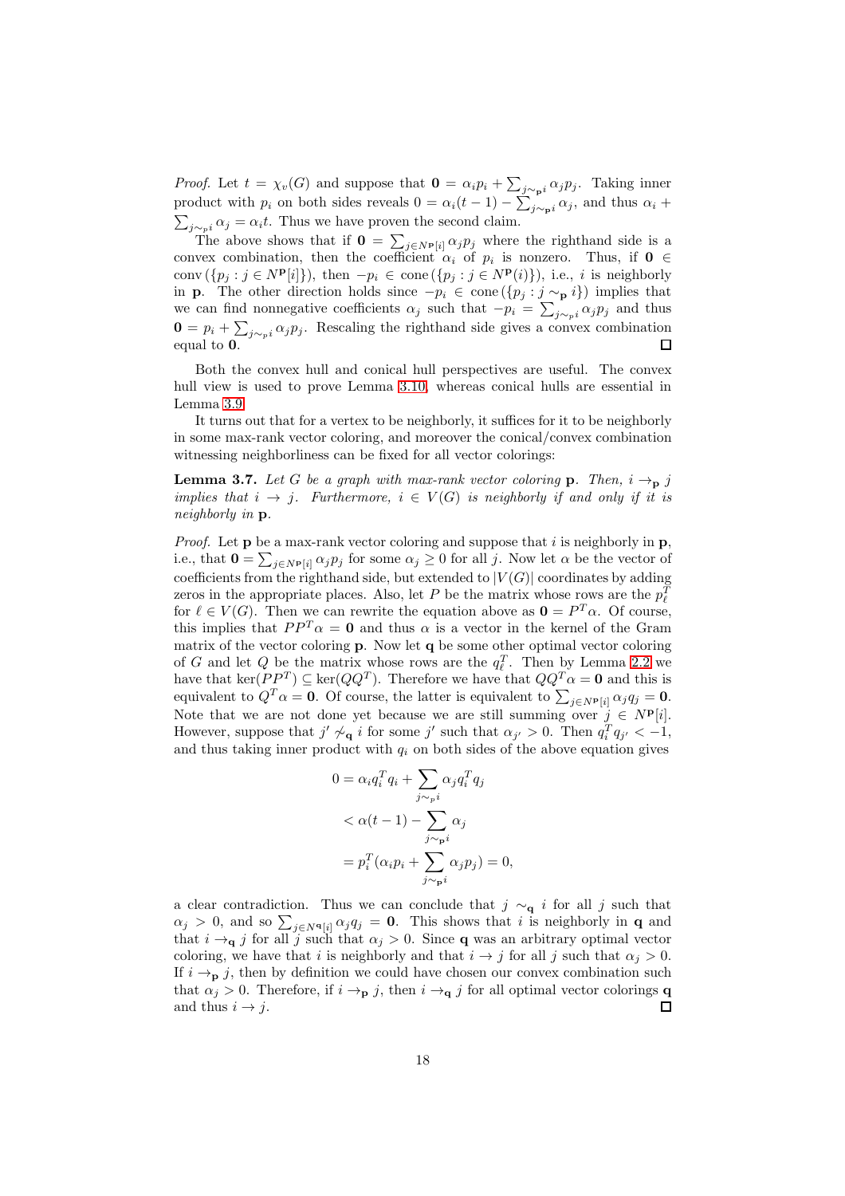*Proof.* Let  $t = \chi_v(G)$  and suppose that  $\mathbf{0} = \alpha_i p_i + \sum_{j \sim_{\mathbf{p}} i} \alpha_j p_j$ . Taking inner product with  $p_i$  on both sides reveals  $0 = \alpha_i(t-1) - \sum_{j \sim_{\mathbf{p}} i} \alpha_j$ , and thus  $\alpha_i$  +  $\sum_{j \sim p_i} \alpha_j = \alpha_i t$ . Thus we have proven the second claim.

The above shows that if  $\mathbf{0} = \sum_{j \in N^p[i]} \alpha_j p_j$  where the righthand side is a convex combination, then the coefficient  $\alpha_i$  of  $p_i$  is nonzero. Thus, if  $\mathbf{0} \in$ conv  $({p_j : j \in N^{\mathbf{p}}[i]}), \text{ then } -p_i \in \text{cone}({p_j : j \in N^{\mathbf{p}}(i)}), \text{ i.e., } i \text{ is neighbouring}$ in **p**. The other direction holds since  $-p_i \in \text{cone}(\{p_j : j \sim_{\mathbf{p}} i\})$  implies that we can find nonnegative coefficients  $\alpha_j$  such that  $-p_i = \sum_{j \sim_p i} \alpha_j p_j$  and thus  $\mathbf{0} = p_i + \sum_{j \sim p_i} \alpha_j p_j$ . Rescaling the righthand side gives a convex combination equal to  $\overline{0}$ .

Both the convex hull and conical hull perspectives are useful. The convex hull view is used to prove Lemma [3.10,](#page-20-0) whereas conical hulls are essential in Lemma [3.9.](#page-19-0)

It turns out that for a vertex to be neighborly, it suffices for it to be neighborly in some max-rank vector coloring, and moreover the conical/convex combination witnessing neighborliness can be fixed for all vector colorings:

<span id="page-18-0"></span>**Lemma 3.7.** Let G be a graph with max-rank vector coloring **p**. Then,  $i \rightarrow p$  j *implies that*  $i \rightarrow j$ *. Furthermore,*  $i \in V(G)$  *is neighborly if and only if it is neighborly in* p*.*

*Proof.* Let  $p$  be a max-rank vector coloring and suppose that i is neighborly in  $p$ , i.e., that  $\mathbf{0} = \sum_{j \in N^{\mathbf{p}}[i]} \alpha_j p_j$  for some  $\alpha_j \geq 0$  for all j. Now let  $\alpha$  be the vector of coefficients from the righthand side, but extended to  $|V(G)|$  coordinates by adding zeros in the appropriate places. Also, let P be the matrix whose rows are the  $p_{\ell}^T$ for  $\ell \in V(G)$ . Then we can rewrite the equation above as  $\mathbf{0} = P^T \alpha$ . Of course, this implies that  $PP^T \alpha = 0$  and thus  $\alpha$  is a vector in the kernel of the Gram matrix of the vector coloring  $\bf{p}$ . Now let  $\bf{q}$  be some other optimal vector coloring of G and let Q be the matrix whose rows are the  $q_{\ell}^{T}$ . Then by Lemma [2.2](#page-10-0) we have that ker $(PP^T) \subseteq \text{ker}(QQ^T)$ . Therefore we have that  $QQ^T \alpha = \mathbf{0}$  and this is equivalent to  $Q^T \alpha = 0$ . Of course, the latter is equivalent to  $\sum_{j \in N^p[i]} \alpha_j q_j = 0$ . Note that we are not done yet because we are still summing over  $j \in N^{\mathbf{p}}[i]$ . However, suppose that  $j' \not\sim_{\mathbf{q}} i$  for some  $j'$  such that  $\alpha_{j'} > 0$ . Then  $q_i^T q_{j'} < -1$ , and thus taking inner product with  $q_i$  on both sides of the above equation gives

$$
0 = \alpha_i q_i^T q_i + \sum_{j \sim_p i} \alpha_j q_i^T q_j
$$
  

$$
< \alpha(t - 1) - \sum_{j \sim_p i} \alpha_j
$$
  

$$
= p_i^T (\alpha_i p_i + \sum_{j \sim_p i} \alpha_j p_j) = 0,
$$

a clear contradiction. Thus we can conclude that  $j \sim_{q} i$  for all j such that  $\alpha_j > 0$ , and so  $\sum_{j \in N^{\mathbf{q}}[i]} \alpha_j q_j = \mathbf{0}$ . This shows that i is neighborly in **q** and that  $i \rightarrow_q j$  for all j such that  $\alpha_j > 0$ . Since **q** was an arbitrary optimal vector coloring, we have that i is neighborly and that  $i \to j$  for all j such that  $\alpha_j > 0$ . If  $i \rightarrow_p j$ , then by definition we could have chosen our convex combination such that  $\alpha_j > 0$ . Therefore, if  $i \to_{\mathbf{p}} j$ , then  $i \to_{\mathbf{q}} j$  for all optimal vector colorings **q**<br>and thus  $i \to i$ and thus  $i \rightarrow j$ .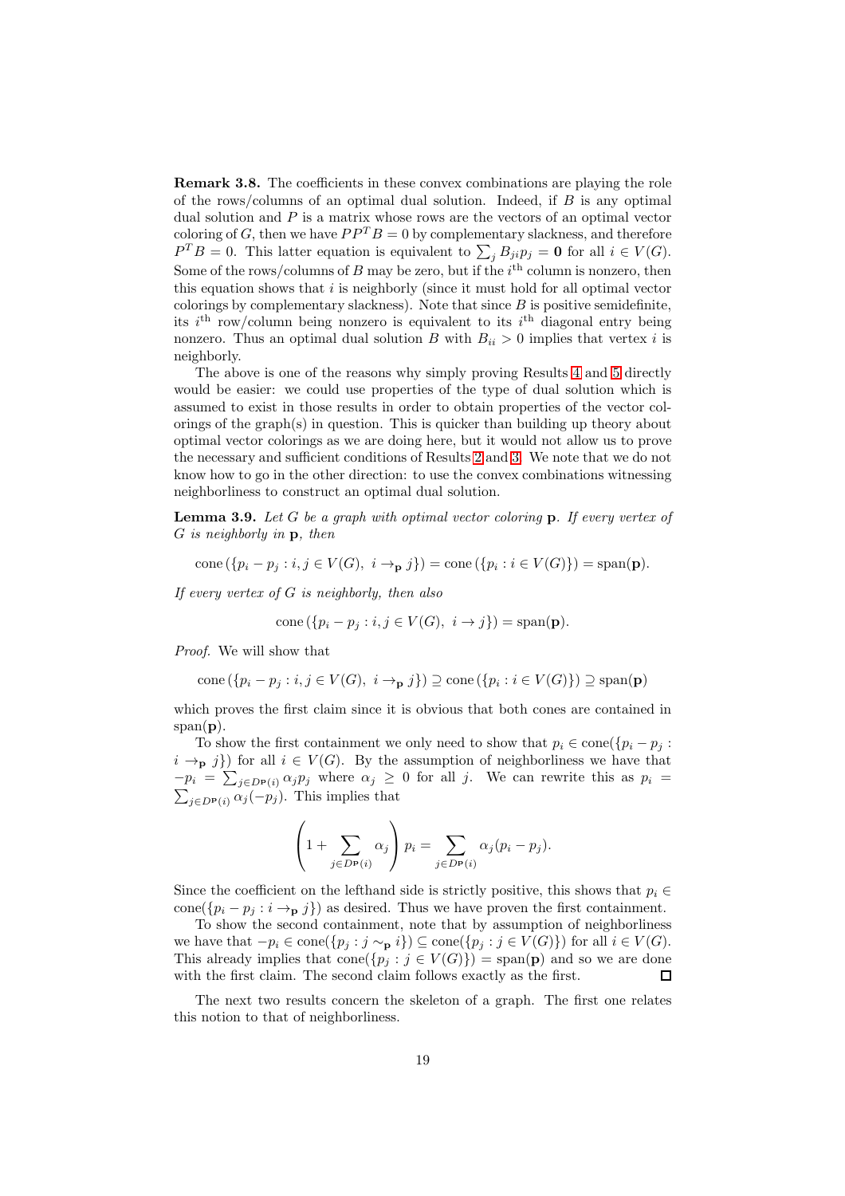<span id="page-19-1"></span>Remark 3.8. The coefficients in these convex combinations are playing the role of the rows/columns of an optimal dual solution. Indeed, if  $B$  is any optimal dual solution and P is a matrix whose rows are the vectors of an optimal vector coloring of G, then we have  $PP<sup>T</sup>B = 0$  by complementary slackness, and therefore  $P^T B = 0$ . This latter equation is equivalent to  $\sum_j B_{ji} p_j = \mathbf{0}$  for all  $i \in V(G)$ . Some of the rows/columns of B may be zero, but if the  $i<sup>th</sup>$  column is nonzero, then this equation shows that  $i$  is neighborly (since it must hold for all optimal vector colorings by complementary slackness). Note that since  $B$  is positive semidefinite, its  $i^{\text{th}}$  row/column being nonzero is equivalent to its  $i^{\text{th}}$  diagonal entry being nonzero. Thus an optimal dual solution B with  $B_{ii} > 0$  implies that vertex i is neighborly.

The above is one of the reasons why simply proving Results [4](#page-6-0) and [5](#page-6-1) directly would be easier: we could use properties of the type of dual solution which is assumed to exist in those results in order to obtain properties of the vector colorings of the graph(s) in question. This is quicker than building up theory about optimal vector colorings as we are doing here, but it would not allow us to prove the necessary and sufficient conditions of Results [2](#page-4-2) and [3.](#page-5-0) We note that we do not know how to go in the other direction: to use the convex combinations witnessing neighborliness to construct an optimal dual solution.

<span id="page-19-0"></span>Lemma 3.9. *Let* G *be a graph with optimal vector coloring* p*. If every vertex of* G *is neighborly in* p*, then*

cone  $({p_i - p_j : i, j \in V(G), i \to_{\mathbf{p}} j}) = \text{cone}({p_i : i \in V(G)}) = \text{span}(\mathbf{p}).$ 

*If every vertex of* G *is neighborly, then also*

cone 
$$
(\{p_i - p_j : i, j \in V(G), i \rightarrow j\})
$$
 = span(**p**).

*Proof.* We will show that

cone(
$$
\{p_i - p_j : i, j \in V(G), i \rightarrow_{\mathbf{p}} j\}
$$
)  $\supseteq$ cone( $\{p_i : i \in V(G)\}$ )  $\supseteq$ span(**p**)

which proves the first claim since it is obvious that both cones are contained in  $span(\mathbf{p})$ .

To show the first containment we only need to show that  $p_i \in \text{cone}(\{p_i - p_j :$  $i \to_{\mathbf{p}} j$  for all  $i \in V(G)$ . By the assumption of neighborliness we have that  $-p_i = \sum_{j \in D_P(i)} \alpha_j p_j$  where  $\alpha_j \ge 0$  for all j. We can rewrite this as  $p_i = \sum_{j \in D_P(i)} \alpha_j (-p_j)$ . This implies that

$$
\left(1 + \sum_{j \in D^{\mathbf{p}}(i)} \alpha_j\right) p_i = \sum_{j \in D^{\mathbf{p}}(i)} \alpha_j (p_i - p_j).
$$

Since the coefficient on the lefthand side is strictly positive, this shows that  $p_i \in$ cone( $\{p_i - p_j : i \rightarrow_p j\}$ ) as desired. Thus we have proven the first containment.

To show the second containment, note that by assumption of neighborliness we have that  $-p_i \in \text{cone}(\{p_j : j \sim_{\mathbf{p}} i\}) \subseteq \text{cone}(\{p_j : j \in V(G)\})$  for all  $i \in V(G)$ . This already implies that cone( $\{p_j : j \in V(G)\}\)$  = span(**p**) and so we are done with the first claim. The second claim follows exactly as the first. with the first claim. The second claim follows exactly as the first.

The next two results concern the skeleton of a graph. The first one relates this notion to that of neighborliness.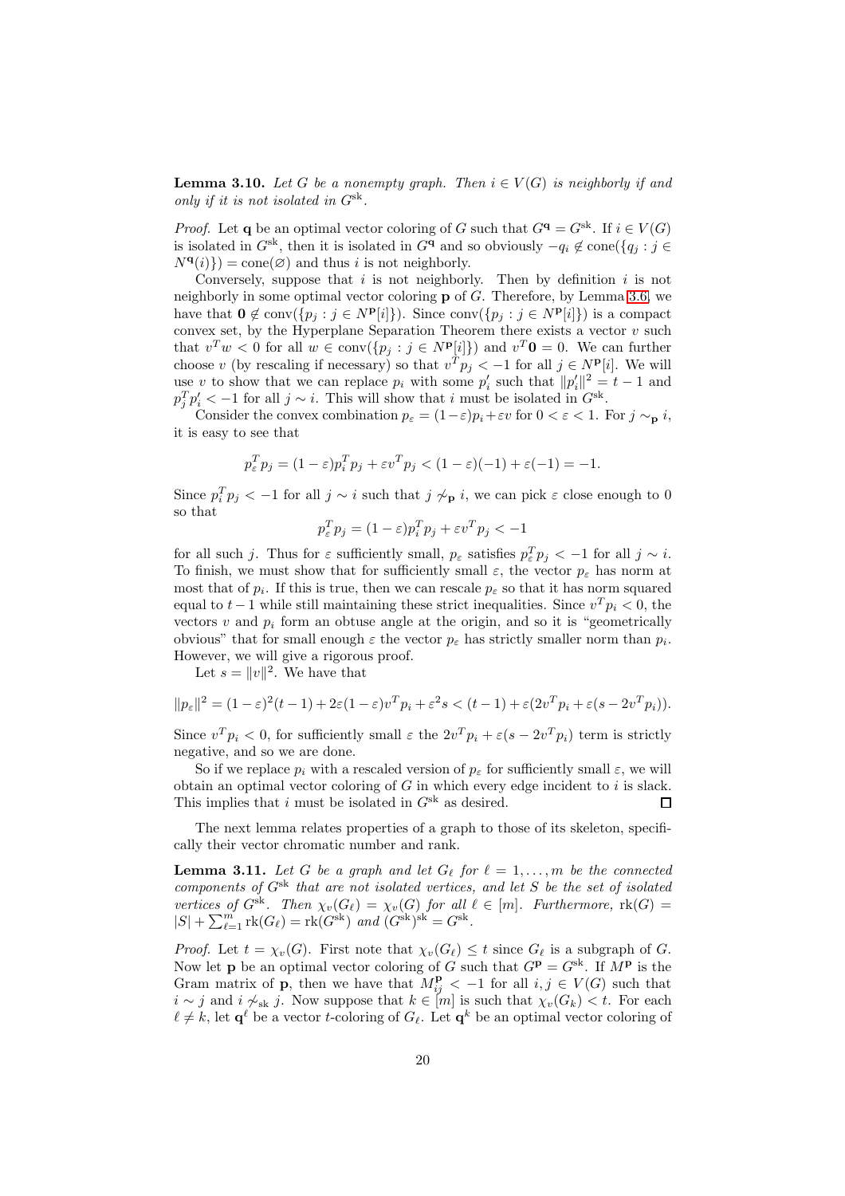<span id="page-20-0"></span>**Lemma 3.10.** Let G be a nonempty graph. Then  $i \in V(G)$  is neighborly if and *only if it is not isolated in* Gsk *.*

*Proof.* Let **q** be an optimal vector coloring of G such that  $G^{\mathbf{q}} = G^{\text{sk}}$ . If  $i \in V(G)$ is isolated in  $G^{sk}$ , then it is isolated in  $G^{q}$  and so obviously  $-q_i \notin \text{cone}(\{q_i : j \in$  $N^{\mathbf{q}}(i)$ }) = cone( $\emptyset$ ) and thus *i* is not neighborly.

Conversely, suppose that  $i$  is not neighborly. Then by definition  $i$  is not neighborly in some optimal vector coloring  $\bf{p}$  of  $G$ . Therefore, by Lemma [3.6,](#page-17-0) we have that  $\mathbf{0} \notin \text{conv}(\{p_j : j \in N^{\mathbf{p}}[i]\})$ . Since  $\text{conv}(\{p_j : j \in N^{\mathbf{p}}[i]\})$  is a compact convex set, by the Hyperplane Separation Theorem there exists a vector  $v$  such that  $v^T w < 0$  for all  $w \in \text{conv}(\{p_j : j \in N^{\mathbf{p}}[i]\})$  and  $v^T \mathbf{0} = 0$ . We can further choose v (by rescaling if necessary) so that  $v^T p_j < -1$  for all  $j \in N^p[i]$ . We will use v to show that we can replace  $p_i$  with some  $p'_i$  such that  $||p'_i||^2 = t - 1$  and  $p_j^T p'_i < -1$  for all  $j \sim i$ . This will show that i must be isolated in  $G<sup>sk</sup>$ .

Consider the convex combination  $p_{\varepsilon} = (1 - \varepsilon)p_i + \varepsilon v$  for  $0 < \varepsilon < 1$ . For  $j \sim_{\mathbf{p}} i$ , it is easy to see that

$$
p_{\varepsilon}^T p_j = (1 - \varepsilon) p_i^T p_j + \varepsilon v^T p_j < (1 - \varepsilon)(-1) + \varepsilon(-1) = -1.
$$

Since  $p_i^T p_j < -1$  for all  $j \sim i$  such that  $j \not\sim_{\mathbf{p}} i$ , we can pick  $\varepsilon$  close enough to 0 so that

$$
p_{\varepsilon}^T p_j = (1 - \varepsilon) p_i^T p_j + \varepsilon v^T p_j < -1
$$

for all such j. Thus for  $\varepsilon$  sufficiently small,  $p_{\varepsilon}$  satisfies  $p_{\varepsilon}^T p_j < -1$  for all  $j \sim i$ . To finish, we must show that for sufficiently small  $\varepsilon$ , the vector  $p_{\varepsilon}$  has norm at most that of  $p_i$ . If this is true, then we can rescale  $p_\varepsilon$  so that it has norm squared equal to  $t - 1$  while still maintaining these strict inequalities. Since  $v^T p_i < 0$ , the vectors  $v$  and  $p_i$  form an obtuse angle at the origin, and so it is "geometrically obvious" that for small enough  $\varepsilon$  the vector  $p_{\varepsilon}$  has strictly smaller norm than  $p_i$ . However, we will give a rigorous proof.

Let  $s = ||v||^2$ . We have that

$$
||p_{\varepsilon}||^{2} = (1 - \varepsilon)^{2}(t - 1) + 2\varepsilon(1 - \varepsilon)v^{T}p_{i} + \varepsilon^{2}s < (t - 1) + \varepsilon(2v^{T}p_{i} + \varepsilon(s - 2v^{T}p_{i})).
$$

Since  $v^T p_i < 0$ , for sufficiently small  $\varepsilon$  the  $2v^T p_i + \varepsilon (s - 2v^T p_i)$  term is strictly negative, and so we are done.

So if we replace  $p_i$  with a rescaled version of  $p_{\varepsilon}$  for sufficiently small  $\varepsilon$ , we will obtain an optimal vector coloring of  $G$  in which every edge incident to i is slack. This implies that i must be isolated in  $G<sup>sk</sup>$  as desired.  $\mathsf \Pi$ 

The next lemma relates properties of a graph to those of its skeleton, specifically their vector chromatic number and rank.

<span id="page-20-1"></span>**Lemma 3.11.** Let G be a graph and let  $G_\ell$  for  $\ell = 1, \ldots, m$  be the connected *components of* Gsk *that are not isolated vertices, and let* S *be the set of isolated vertices of*  $G^{sk}$ *. Then*  $\chi_v(G_\ell) = \chi_v(G)$  *for all*  $\ell \in [m]$ *. Furthermore,*  $rk(G) =$  $|S| + \sum_{\ell=1}^{m} \text{rk}(G_{\ell}) = \text{rk}(G^{\text{sk}})$  *and*  $(G^{\text{sk}})^{\text{sk}} = G^{\text{sk}}$ *.* 

*Proof.* Let  $t = \chi_v(G)$ . First note that  $\chi_v(G_\ell) \leq t$  since  $G_\ell$  is a subgraph of G. Now let **p** be an optimal vector coloring of G such that  $G<sup>p</sup> = G<sup>sk</sup>$ . If  $M<sup>p</sup>$  is the Gram matrix of **p**, then we have that  $M_{ij}^{\mathbf{p}} < -1$  for all  $i, j \in V(G)$  such that  $i \sim j$  and  $i \not\sim_{sk} j$ . Now suppose that  $k \in [m]$  is such that  $\chi_v(G_k) < t$ . For each  $\ell \neq k$ , let  $\mathbf{q}^{\ell}$  be a vector t-coloring of  $G_{\ell}$ . Let  $\mathbf{q}^{k}$  be an optimal vector coloring of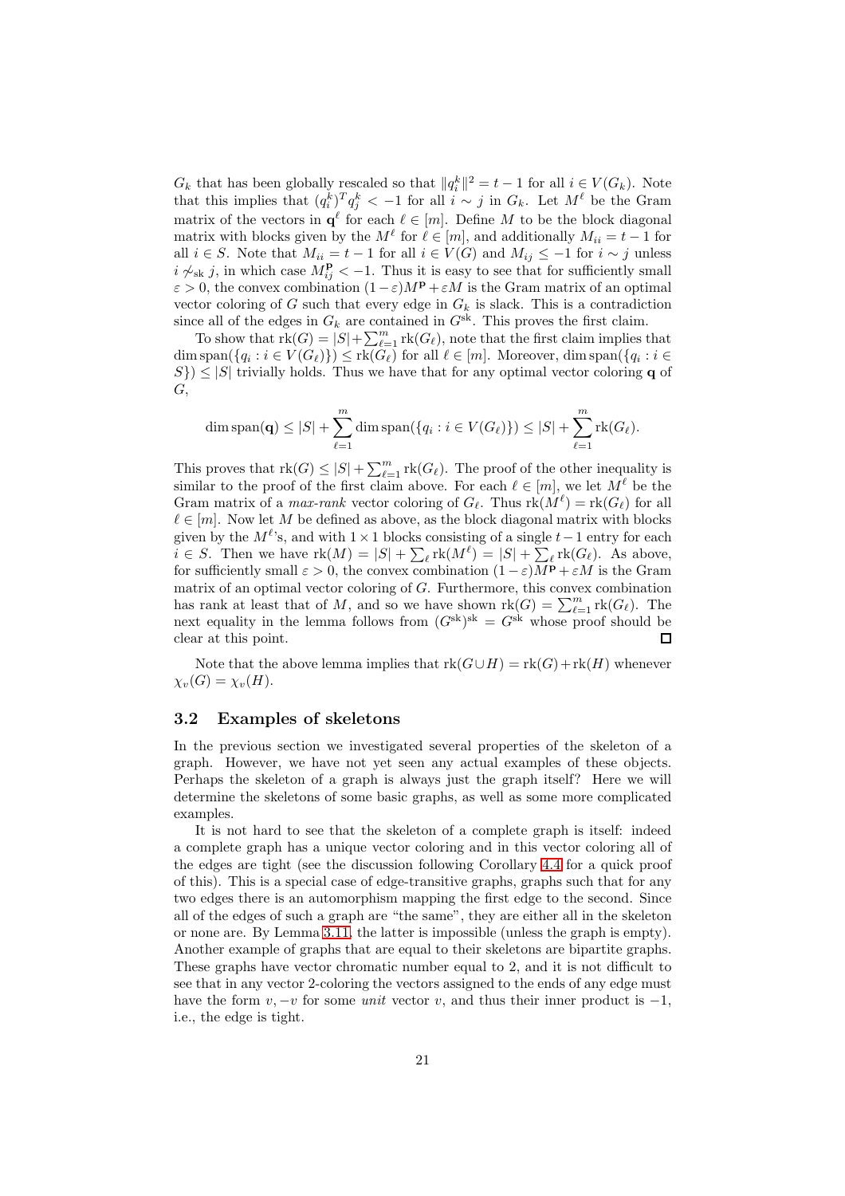$G_k$  that has been globally rescaled so that  $||q_i^k||^2 = t - 1$  for all  $i \in V(G_k)$ . Note that this implies that  $(q_i^k)^T q_j^k < -1$  for all  $i \sim j$  in  $G_k$ . Let  $M^{\ell}$  be the Gram matrix of the vectors in  $\mathbf{q}^{\ell}$  for each  $\ell \in [m]$ . Define M to be the block diagonal matrix with blocks given by the  $M^{\ell}$  for  $\ell \in [m]$ , and additionally  $M_{ii} = t - 1$  for all  $i \in S$ . Note that  $M_{ii} = t - 1$  for all  $i \in V(G)$  and  $M_{ij} \leq -1$  for  $i \sim j$  unless *i*  $\mathcal{A}_{sk}$  *j*, in which case  $M_{ij}^{\mathbf{p}} < -1$ . Thus it is easy to see that for sufficiently small  $\varepsilon > 0$ , the convex combination  $(1 - \varepsilon)M^{\mathbf{p}} + \varepsilon M$  is the Gram matrix of an optimal vector coloring of G such that every edge in  $G_k$  is slack. This is a contradiction since all of the edges in  $G_k$  are contained in  $G^{sk}$ . This proves the first claim.

To show that  $rk(G) = |S| + \sum_{\ell=1}^m rk(G_{\ell}),$  note that the first claim implies that dim span $({q_i : i \in V(G_\ell)} ) \leq$  rk $(G_\ell)$  for all  $\ell \in [m]$ . Moreover, dim span $({q_i : i \in$  $S$ })  $\leq$  |S| trivially holds. Thus we have that for any optimal vector coloring **q** of G,

$$
\dim \mathrm{span}(\mathbf{q}) \leq |S| + \sum_{\ell=1}^{m} \dim \mathrm{span}(\{q_i : i \in V(G_{\ell})\}) \leq |S| + \sum_{\ell=1}^{m} \mathrm{rk}(G_{\ell}).
$$

This proves that  $rk(G) \leq |S| + \sum_{\ell=1}^m rk(G_{\ell})$ . The proof of the other inequality is similar to the proof of the first claim above. For each  $\ell \in [m]$ , we let  $M^{\ell}$  be the Gram matrix of a *max-rank* vector coloring of  $G_{\ell}$ . Thus  $\text{rk}(M^{\ell}) = \text{rk}(G_{\ell})$  for all  $\ell \in [m]$ . Now let M be defined as above, as the block diagonal matrix with blocks given by the  $M^{\ell}$ 's, and with  $1 \times 1$  blocks consisting of a single  $t-1$  entry for each  $i \in S$ . Then we have  $\text{rk}(M) = |S| + \sum_{\ell} \text{rk}(M^{\ell}) = |S| + \sum_{\ell} \text{rk}(G_{\ell})$ . As above, for sufficiently small  $\varepsilon > 0$ , the convex combination  $(1 - \varepsilon)M^{\mathbf{p}} + \varepsilon M$  is the Gram matrix of an optimal vector coloring of G. Furthermore, this convex combination has rank at least that of M, and so we have shown  $\text{rk}(G) = \sum_{\ell=1}^{m} \text{rk}(G_{\ell})$ . The next equality in the lemma follows from  $(G<sup>sk</sup>)<sup>sk</sup> = G<sup>sk</sup>$  whose proof should be clear at this point.  $\Box$ 

Note that the above lemma implies that  $rk(G\cup H) = rk(G) + rk(H)$  whenever  $\chi_v(G) = \chi_v(H)$ .

#### <span id="page-21-0"></span>3.2 Examples of skeletons

In the previous section we investigated several properties of the skeleton of a graph. However, we have not yet seen any actual examples of these objects. Perhaps the skeleton of a graph is always just the graph itself? Here we will determine the skeletons of some basic graphs, as well as some more complicated examples.

It is not hard to see that the skeleton of a complete graph is itself: indeed a complete graph has a unique vector coloring and in this vector coloring all of the edges are tight (see the discussion following Corollary [4.4](#page-24-0) for a quick proof of this). This is a special case of edge-transitive graphs, graphs such that for any two edges there is an automorphism mapping the first edge to the second. Since all of the edges of such a graph are "the same", they are either all in the skeleton or none are. By Lemma [3.11,](#page-20-1) the latter is impossible (unless the graph is empty). Another example of graphs that are equal to their skeletons are bipartite graphs. These graphs have vector chromatic number equal to 2, and it is not difficult to see that in any vector 2-coloring the vectors assigned to the ends of any edge must have the form  $v, -v$  for some *unit* vector v, and thus their inner product is  $-1$ , i.e., the edge is tight.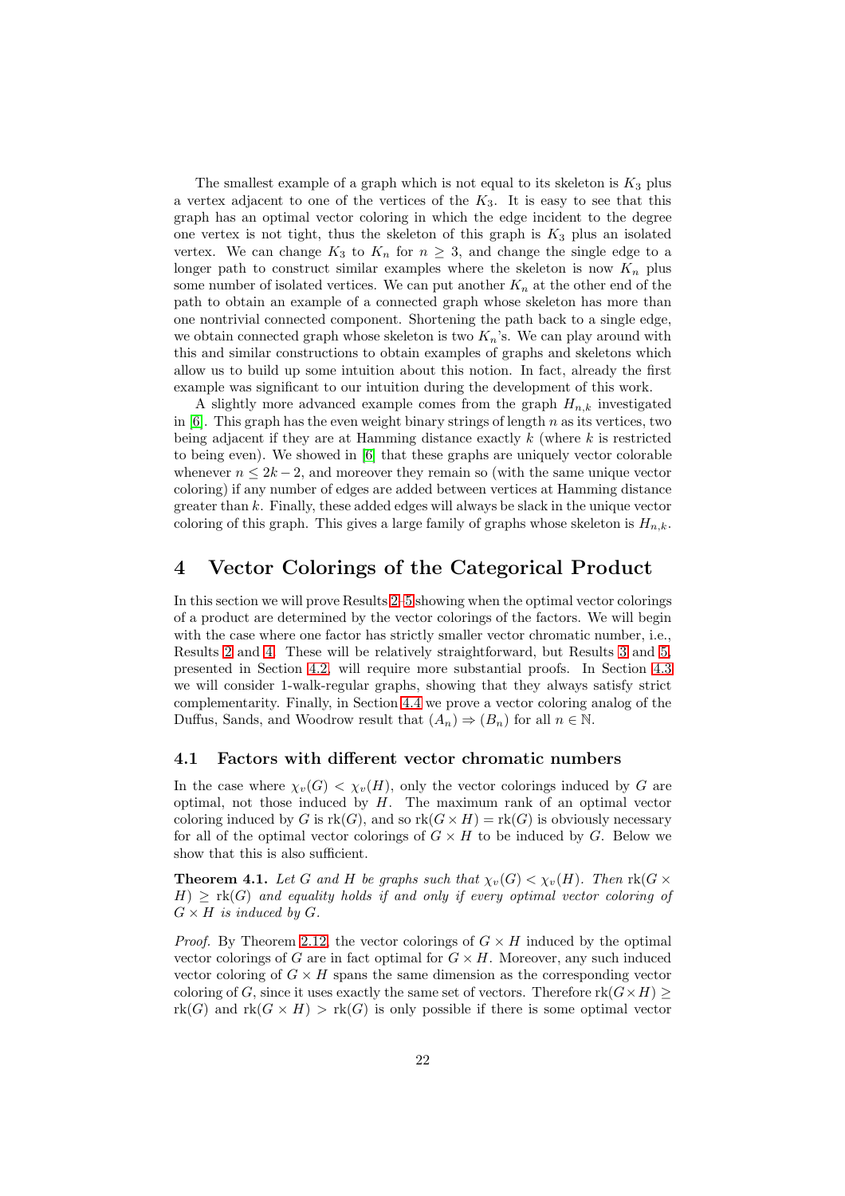The smallest example of a graph which is not equal to its skeleton is  $K_3$  plus a vertex adjacent to one of the vertices of the  $K_3$ . It is easy to see that this graph has an optimal vector coloring in which the edge incident to the degree one vertex is not tight, thus the skeleton of this graph is  $K_3$  plus an isolated vertex. We can change  $K_3$  to  $K_n$  for  $n \geq 3$ , and change the single edge to a longer path to construct similar examples where the skeleton is now  $K_n$  plus some number of isolated vertices. We can put another  $K_n$  at the other end of the path to obtain an example of a connected graph whose skeleton has more than one nontrivial connected component. Shortening the path back to a single edge, we obtain connected graph whose skeleton is two  $K_n$ 's. We can play around with this and similar constructions to obtain examples of graphs and skeletons which allow us to build up some intuition about this notion. In fact, already the first example was significant to our intuition during the development of this work.

A slightly more advanced example comes from the graph  $H_{n,k}$  investigated in  $[6]$ . This graph has the even weight binary strings of length n as its vertices, two being adjacent if they are at Hamming distance exactly  $k$  (where  $k$  is restricted to being even). We showed in [\[6\]](#page-38-6) that these graphs are uniquely vector colorable whenever  $n \leq 2k-2$ , and moreover they remain so (with the same unique vector coloring) if any number of edges are added between vertices at Hamming distance greater than  $k$ . Finally, these added edges will always be slack in the unique vector coloring of this graph. This gives a large family of graphs whose skeleton is  $H_{n,k}$ .

## <span id="page-22-1"></span>4 Vector Colorings of the Categorical Product

In this section we will prove Results [2](#page-4-2)[–5](#page-6-1) showing when the optimal vector colorings of a product are determined by the vector colorings of the factors. We will begin with the case where one factor has strictly smaller vector chromatic number, i.e., Results [2](#page-4-2) and [4.](#page-6-0) These will be relatively straightforward, but Results [3](#page-5-0) and [5,](#page-6-1) presented in Section [4.2,](#page-26-0) will require more substantial proofs. In Section [4.3](#page-33-0) we will consider 1-walk-regular graphs, showing that they always satisfy strict complementarity. Finally, in Section [4.4](#page-34-0) we prove a vector coloring analog of the Duffus, Sands, and Woodrow result that  $(A_n) \Rightarrow (B_n)$  for all  $n \in \mathbb{N}$ .

### <span id="page-22-0"></span>4.1 Factors with different vector chromatic numbers

In the case where  $\chi_v(G) < \chi_v(H)$ , only the vector colorings induced by G are optimal, not those induced by  $H$ . The maximum rank of an optimal vector coloring induced by G is  $rk(G)$ , and so  $rk(G \times H) = rk(G)$  is obviously necessary for all of the optimal vector colorings of  $G \times H$  to be induced by G. Below we show that this is also sufficient.

<span id="page-22-2"></span>**Theorem 4.1.** Let G and H be graphs such that  $\chi_v(G) < \chi_v(H)$ . Then  $\text{rk}(G \times$  $H$ )  $\geq$  rk(G) and equality holds if and only if every optimal vector coloring of  $G \times H$  *is induced by G.* 

*Proof.* By Theorem [2.12,](#page-15-1) the vector colorings of  $G \times H$  induced by the optimal vector colorings of G are in fact optimal for  $G \times H$ . Moreover, any such induced vector coloring of  $G \times H$  spans the same dimension as the corresponding vector coloring of G, since it uses exactly the same set of vectors. Therefore  $rk(G\times H)$  $rk(G)$  and  $rk(G \times H) > rk(G)$  is only possible if there is some optimal vector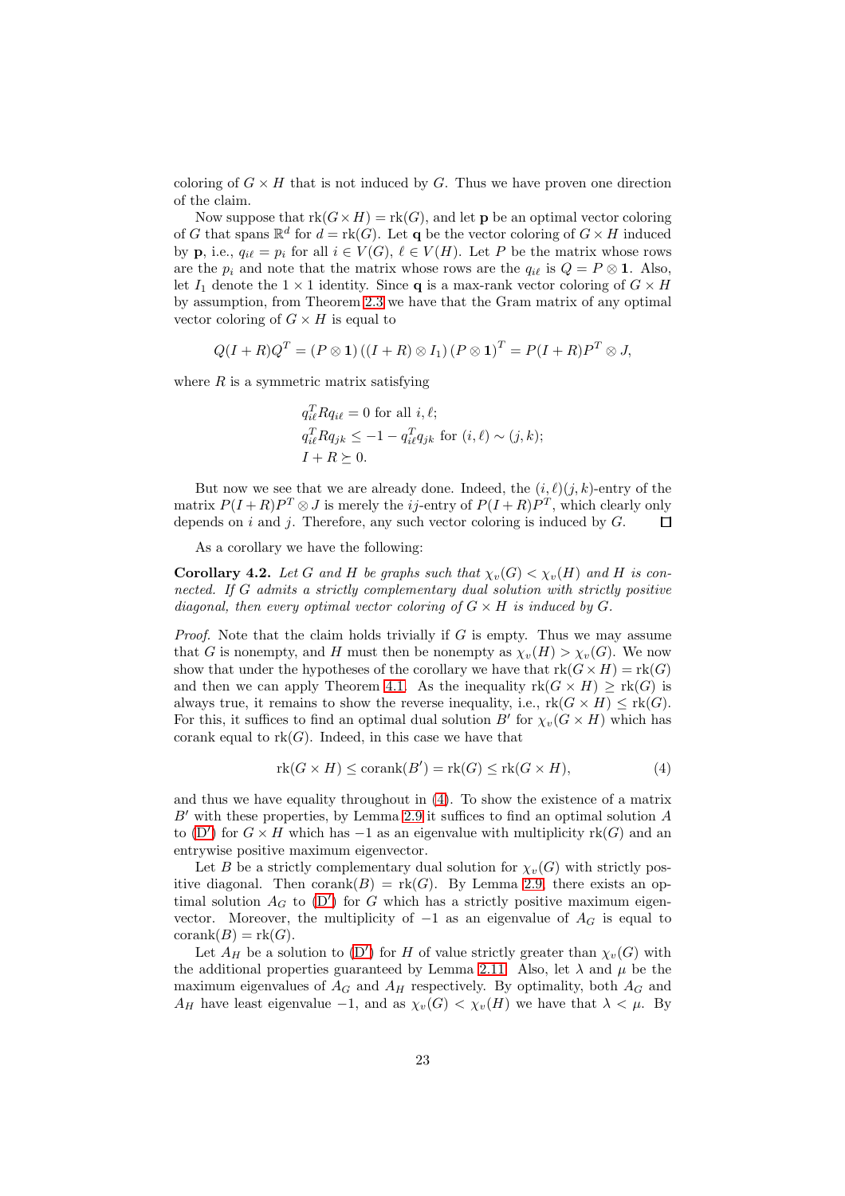coloring of  $G \times H$  that is not induced by G. Thus we have proven one direction of the claim.

Now suppose that  $rk(G\times H)=rk(G)$ , and let **p** be an optimal vector coloring of G that spans  $\mathbb{R}^d$  for  $d = \text{rk}(G)$ . Let **q** be the vector coloring of  $G \times H$  induced by **p**, i.e.,  $q_{i\ell} = p_i$  for all  $i \in V(G)$ ,  $\ell \in V(H)$ . Let P be the matrix whose rows are the  $p_i$  and note that the matrix whose rows are the  $q_{i\ell}$  is  $Q = P \otimes \mathbf{1}$ . Also, let  $I_1$  denote the  $1 \times 1$  identity. Since **q** is a max-rank vector coloring of  $G \times H$ by assumption, from Theorem [2.3](#page-10-1) we have that the Gram matrix of any optimal vector coloring of  $G \times H$  is equal to

$$
Q(I + R)Q^{T} = (P \otimes \mathbf{1})((I + R) \otimes I_{1})(P \otimes \mathbf{1})^{T} = P(I + R)P^{T} \otimes J,
$$

where  $R$  is a symmetric matrix satisfying

$$
q_{i\ell}^T R q_{i\ell} = 0 \text{ for all } i, \ell;
$$
  
\n
$$
q_{i\ell}^T R q_{jk} \le -1 - q_{i\ell}^T q_{jk} \text{ for } (i, \ell) \sim (j, k);
$$
  
\n
$$
I + R \succeq 0.
$$

But now we see that we are already done. Indeed, the  $(i, \ell)(j, k)$ -entry of the matrix  $P(I+R)P^T \otimes J$  is merely the *ij*-entry of  $P(I+R)P^T$ , which clearly only depends on  $i$  and  $j$ . Therefore, any such vector coloring is induced by  $G$ .  $\Box$ 

As a corollary we have the following:

<span id="page-23-0"></span>**Corollary 4.2.** Let G and H be graphs such that  $\chi_v(G) < \chi_v(H)$  and H is con*nected. If* G *admits a strictly complementary dual solution with strictly positive diagonal, then every optimal vector coloring of*  $G \times H$  *is induced by*  $G$ *.* 

*Proof.* Note that the claim holds trivially if G is empty. Thus we may assume that G is nonempty, and H must then be nonempty as  $\chi_v(H) > \chi_v(G)$ . We now show that under the hypotheses of the corollary we have that  $rk(G\times H)=rk(G)$ and then we can apply Theorem [4.1.](#page-22-2) As the inequality  $rk(G \times H) \geq rk(G)$  is always true, it remains to show the reverse inequality, i.e.,  $\text{rk}(G \times H) \leq \text{rk}(G)$ . For this, it suffices to find an optimal dual solution  $B'$  for  $\chi_v(G \times H)$  which has corank equal to  $rk(G)$ . Indeed, in this case we have that

<span id="page-23-1"></span>
$$
rk(G \times H) \le \operatorname{corank}(B') = \operatorname{rk}(G) \le \operatorname{rk}(G \times H),\tag{4}
$$

and thus we have equality throughout in [\(4\)](#page-23-1). To show the existence of a matrix  $B'$  with these properties, by Lemma [2.9](#page-14-1) it suffices to find an optimal solution A to [\(D](#page-13-1)') for  $G \times H$  which has  $-1$  as an eigenvalue with multiplicity  $\text{rk}(G)$  and an entrywise positive maximum eigenvector.

Let B be a strictly complementary dual solution for  $\chi_v(G)$  with strictly positive diagonal. Then  $corank(B) = \text{rk}(G)$ . By Lemma [2.9,](#page-14-1) there exists an optimal solution  $A_G$  to  $(D')$  for G which has a strictly positive maximum eigenvector. Moreover, the multiplicity of  $-1$  as an eigenvalue of  $A_G$  is equal to  $corank(B) = \text{rk}(G).$ 

Let  $A_H$  be a solution to  $(D')$  for H of value strictly greater than  $\chi_v(G)$  with the additional properties guaranteed by Lemma [2.11.](#page-14-0) Also, let  $\lambda$  and  $\mu$  be the maximum eigenvalues of  $A_G$  and  $A_H$  respectively. By optimality, both  $A_G$  and  $A_H$  have least eigenvalue -1, and as  $\chi_v(G) < \chi_v(H)$  we have that  $\lambda < \mu$ . By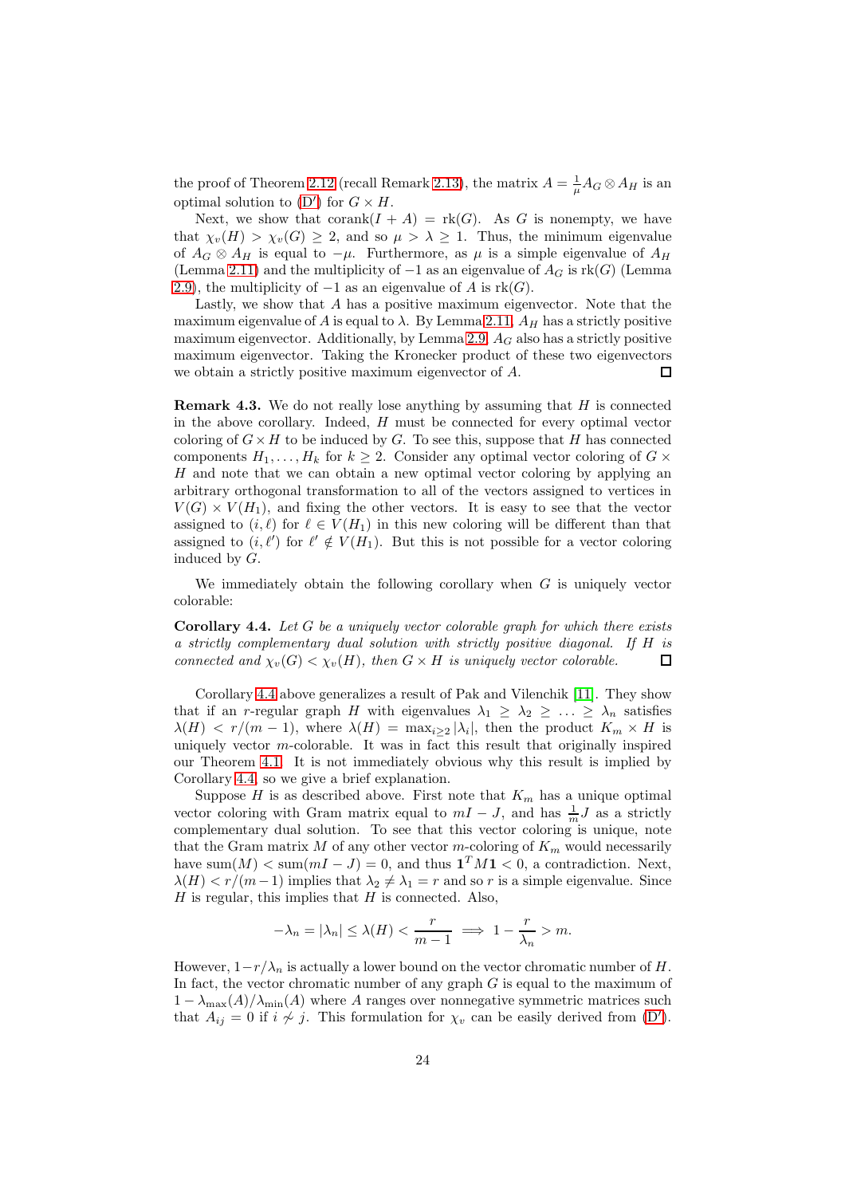the proof of Theorem [2.12](#page-15-1) (recall Remark [2.13\)](#page-15-2), the matrix  $A = \frac{1}{\mu} A_G \otimes A_H$  is an optimal solution to  $(D')$  for  $G \times H$ .

Next, we show that  $\mathrm{corank}(I + A) = \mathrm{rk}(G)$ . As G is nonempty, we have that  $\chi_v(H) > \chi_v(G) \geq 2$ , and so  $\mu > \lambda \geq 1$ . Thus, the minimum eigenvalue of  $A_G \otimes A_H$  is equal to  $-\mu$ . Furthermore, as  $\mu$  is a simple eigenvalue of  $A_H$ (Lemma [2.11\)](#page-14-0) and the multiplicity of  $-1$  as an eigenvalue of  $A_G$  is rk(G) (Lemma [2.9\)](#page-14-1), the multiplicity of  $-1$  as an eigenvalue of A is  $rk(G)$ .

Lastly, we show that A has a positive maximum eigenvector. Note that the maximum eigenvalue of A is equal to  $\lambda$ . By Lemma [2.11,](#page-14-0)  $A_H$  has a strictly positive maximum eigenvector. Additionally, by Lemma [2.9,](#page-14-1)  $A_G$  also has a strictly positive maximum eigenvector. Taking the Kronecker product of these two eigenvectors we obtain a strictly positive maximum eigenvector of A. П

**Remark 4.3.** We do not really lose anything by assuming that  $H$  is connected in the above corollary. Indeed,  $H$  must be connected for every optimal vector coloring of  $G \times H$  to be induced by G. To see this, suppose that H has connected components  $H_1, \ldots, H_k$  for  $k \geq 2$ . Consider any optimal vector coloring of  $G \times$ H and note that we can obtain a new optimal vector coloring by applying an arbitrary orthogonal transformation to all of the vectors assigned to vertices in  $V(G) \times V(H_1)$ , and fixing the other vectors. It is easy to see that the vector assigned to  $(i, \ell)$  for  $\ell \in V(H_1)$  in this new coloring will be different than that assigned to  $(i, \ell')$  for  $\ell' \notin V(H_1)$ . But this is not possible for a vector coloring induced by G.

We immediately obtain the following corollary when  $G$  is uniquely vector colorable:

<span id="page-24-0"></span>Corollary 4.4. *Let* G *be a uniquely vector colorable graph for which there exists a strictly complementary dual solution with strictly positive diagonal. If* H *is connected and*  $\chi_v(G) < \chi_v(H)$ *, then*  $G \times H$  *is uniquely vector colorable.*  $\Box$ 

Corollary [4.4](#page-24-0) above generalizes a result of Pak and Vilenchik [\[11\]](#page-38-5). They show that if an r-regular graph H with eigenvalues  $\lambda_1 \geq \lambda_2 \geq \ldots \geq \lambda_n$  satisfies  $\lambda(H) < r/(m-1)$ , where  $\lambda(H) = \max_{i \geq 2} |\lambda_i|$ , then the product  $K_m \times H$  is uniquely vector  $m$ -colorable. It was in fact this result that originally inspired our Theorem [4.1.](#page-22-2) It is not immediately obvious why this result is implied by Corollary [4.4,](#page-24-0) so we give a brief explanation.

Suppose H is as described above. First note that  $K_m$  has a unique optimal vector coloring with Gram matrix equal to  $mI - J$ , and has  $\frac{1}{m}J$  as a strictly complementary dual solution. To see that this vector coloring is unique, note that the Gram matrix M of any other vector m-coloring of  $K_m$  would necessarily have sum $(M) < \text{sum}(mI - J) = 0$ , and thus  $\mathbf{1}^T M \mathbf{1} < 0$ , a contradiction. Next,  $\lambda(H) < r/(m-1)$  implies that  $\lambda_2 \neq \lambda_1 = r$  and so r is a simple eigenvalue. Since  $H$  is regular, this implies that  $H$  is connected. Also,

$$
-\lambda_n = |\lambda_n| \le \lambda(H) < \frac{r}{m-1} \implies 1 - \frac{r}{\lambda_n} > m.
$$

However,  $1-r/\lambda_n$  is actually a lower bound on the vector chromatic number of H. In fact, the vector chromatic number of any graph  $G$  is equal to the maximum of  $1 - \lambda_{\max}(A)/\lambda_{\min}(A)$  where A ranges over nonnegative symmetric matrices such that  $A_{ij} = 0$  if  $i \nsim j$ . This formulation for  $\chi_v$  can be easily derived from [\(D](#page-13-1)').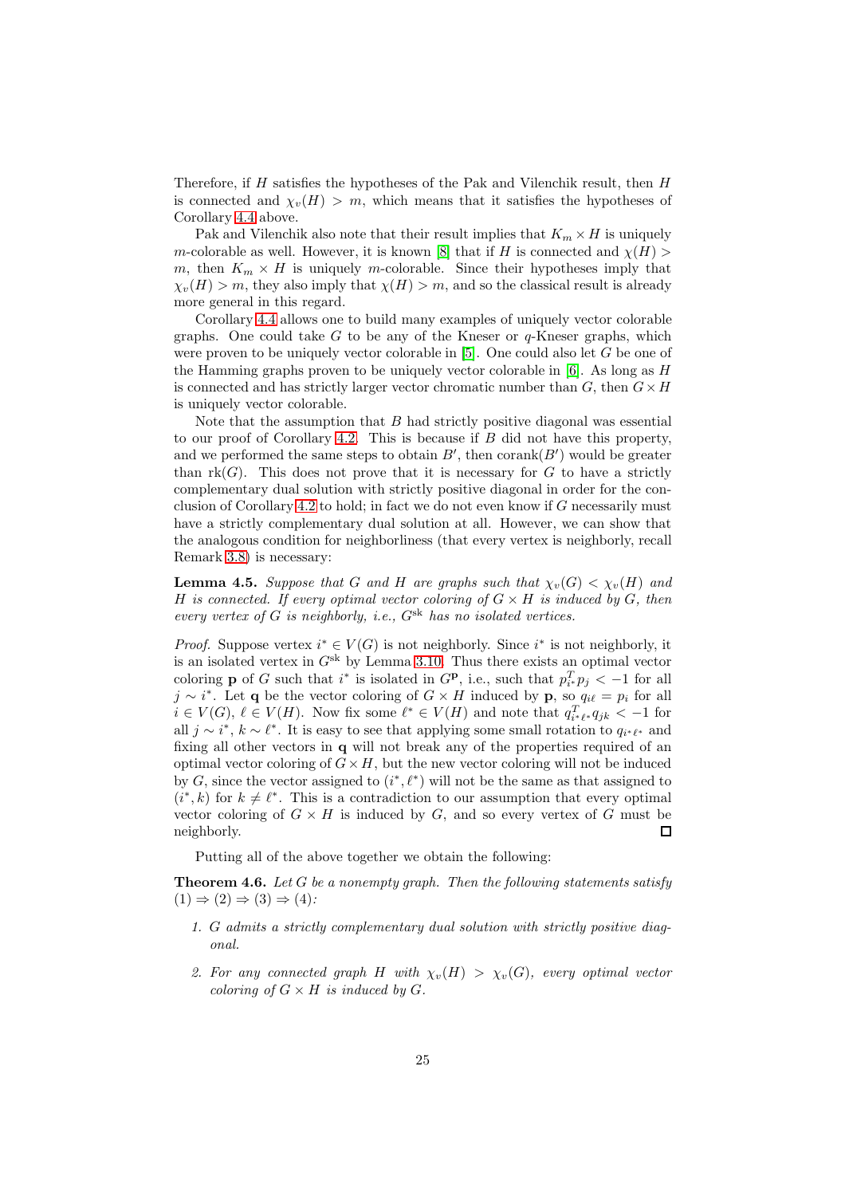Therefore, if  $H$  satisfies the hypotheses of the Pak and Vilenchik result, then  $H$ is connected and  $\chi_v(H) > m$ , which means that it satisfies the hypotheses of Corollary [4.4](#page-24-0) above.

Pak and Vilenchik also note that their result implies that  $K_m \times H$  is uniquely m-colorable as well. However, it is known [\[8\]](#page-38-7) that if H is connected and  $\chi(H)$ m, then  $K_m \times H$  is uniquely m-colorable. Since their hypotheses imply that  $\chi_v(H) > m$ , they also imply that  $\chi(H) > m$ , and so the classical result is already more general in this regard.

Corollary [4.4](#page-24-0) allows one to build many examples of uniquely vector colorable graphs. One could take  $G$  to be any of the Kneser or  $q$ -Kneser graphs, which were proven to be uniquely vector colorable in  $[5]$ . One could also let G be one of the Hamming graphs proven to be uniquely vector colorable in  $[6]$ . As long as H is connected and has strictly larger vector chromatic number than  $G$ , then  $G \times H$ is uniquely vector colorable.

Note that the assumption that B had strictly positive diagonal was essential to our proof of Corollary [4.2.](#page-23-0) This is because if  $B$  did not have this property, and we performed the same steps to obtain  $B'$ , then corank $(B')$  would be greater than  $rk(G)$ . This does not prove that it is necessary for G to have a strictly complementary dual solution with strictly positive diagonal in order for the con-clusion of Corollary [4.2](#page-23-0) to hold; in fact we do not even know if  $G$  necessarily must have a strictly complementary dual solution at all. However, we can show that the analogous condition for neighborliness (that every vertex is neighborly, recall Remark [3.8\)](#page-19-1) is necessary:

**Lemma 4.5.** *Suppose that* G *and* H *are graphs such that*  $\chi_v(G) < \chi_v(H)$  *and* H *is connected. If every optimal vector coloring of*  $G \times H$  *is induced by*  $G$ *, then every vertex of* G *is neighborly, i.e.,* Gsk *has no isolated vertices.*

*Proof.* Suppose vertex  $i^* \in V(G)$  is not neighborly. Since  $i^*$  is not neighborly, it is an isolated vertex in  $G<sup>sk</sup>$  by Lemma [3.10.](#page-20-0) Thus there exists an optimal vector coloring **p** of G such that  $i^*$  is isolated in  $G^{\mathbf{p}}$ , i.e., such that  $p_{i^*}^T p_j < -1$  for all  $j \sim i^*$ . Let q be the vector coloring of  $G \times H$  induced by p, so  $q_{i\ell} = p_i$  for all  $i \in V(G)$ ,  $\ell \in V(H)$ . Now fix some  $\ell^* \in V(H)$  and note that  $q_{i^* \ell^*}^T q_{jk} < -1$  for all  $j \sim i^*, k \sim \ell^*$ . It is easy to see that applying some small rotation to  $q_{i^*\ell^*}$  and fixing all other vectors in q will not break any of the properties required of an optimal vector coloring of  $G \times H$ , but the new vector coloring will not be induced by G, since the vector assigned to  $(i^*, \ell^*)$  will not be the same as that assigned to  $(i^*, k)$  for  $k \neq \ell^*$ . This is a contradiction to our assumption that every optimal vector coloring of  $G \times H$  is induced by  $G$ , and so every vertex of  $G$  must be neighborly. neighborly.

Putting all of the above together we obtain the following:

<span id="page-25-0"></span>Theorem 4.6. *Let* G *be a nonempty graph. Then the following statements satisfy*  $(1) \Rightarrow (2) \Rightarrow (3) \Rightarrow (4)$ :

- *1.* G *admits a strictly complementary dual solution with strictly positive diagonal.*
- 2. For any connected graph H with  $\chi_v(H) > \chi_v(G)$ , every optimal vector *coloring of*  $G \times H$  *is induced by*  $G$ *.*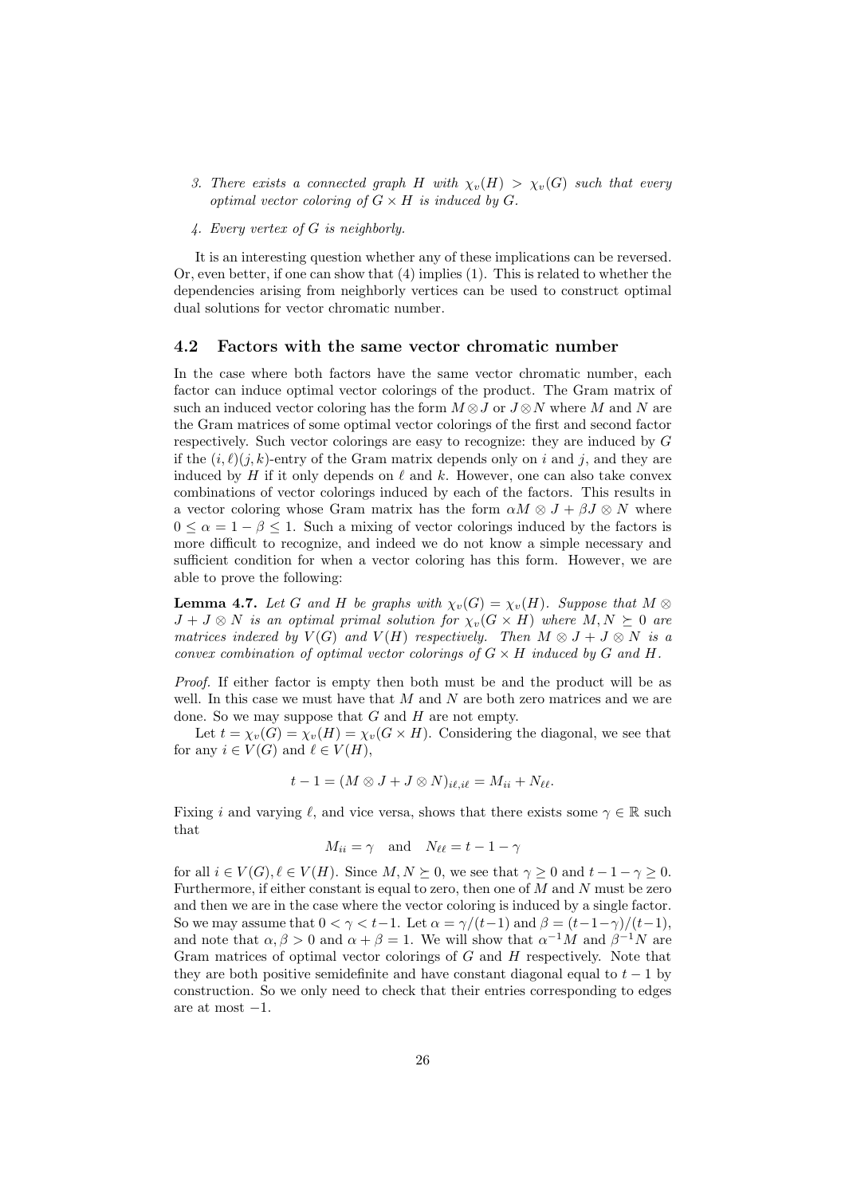- *3. There exists a connected graph* H with  $\chi_v(H) > \chi_v(G)$  such that every *optimal vector coloring of*  $G \times H$  *is induced by*  $G$ *.*
- *4. Every vertex of* G *is neighborly.*

It is an interesting question whether any of these implications can be reversed. Or, even better, if one can show that (4) implies (1). This is related to whether the dependencies arising from neighborly vertices can be used to construct optimal dual solutions for vector chromatic number.

#### <span id="page-26-0"></span>4.2 Factors with the same vector chromatic number

In the case where both factors have the same vector chromatic number, each factor can induce optimal vector colorings of the product. The Gram matrix of such an induced vector coloring has the form  $M \otimes J$  or  $J \otimes N$  where M and N are the Gram matrices of some optimal vector colorings of the first and second factor respectively. Such vector colorings are easy to recognize: they are induced by G if the  $(i, \ell)(j, k)$ -entry of the Gram matrix depends only on i and j, and they are induced by H if it only depends on  $\ell$  and k. However, one can also take convex combinations of vector colorings induced by each of the factors. This results in a vector coloring whose Gram matrix has the form  $\alpha M \otimes J + \beta J \otimes N$  where  $0 \leq \alpha = 1 - \beta \leq 1$ . Such a mixing of vector colorings induced by the factors is more difficult to recognize, and indeed we do not know a simple necessary and sufficient condition for when a vector coloring has this form. However, we are able to prove the following:

<span id="page-26-1"></span>**Lemma 4.7.** *Let* G and H *be graphs with*  $\chi_v(G) = \chi_v(H)$ *. Suppose that*  $M \otimes$  $J + J \otimes N$  *is an optimal primal solution for*  $\chi_v(G \times H)$  where  $M, N \succeq 0$  are *matrices indexed by*  $V(G)$  *and*  $V(H)$  *respectively. Then*  $M \otimes J + J \otimes N$  *is a convex combination of optimal vector colorings of*  $G \times H$  *induced by*  $G$  *and*  $H$ .

*Proof.* If either factor is empty then both must be and the product will be as well. In this case we must have that  $M$  and  $N$  are both zero matrices and we are done. So we may suppose that  $G$  and  $H$  are not empty.

Let  $t = \chi_v(G) = \chi_v(H) = \chi_v(G \times H)$ . Considering the diagonal, we see that for any  $i \in V(G)$  and  $\ell \in V(H)$ ,

$$
t-1=(M\otimes J+J\otimes N)_{i\ell,i\ell}=M_{ii}+N_{\ell\ell}.
$$

Fixing i and varying  $\ell$ , and vice versa, shows that there exists some  $\gamma \in \mathbb{R}$  such that

$$
M_{ii} = \gamma \quad \text{and} \quad N_{\ell\ell} = t - 1 - \gamma
$$

for all  $i \in V(G)$ ,  $\ell \in V(H)$ . Since  $M, N \succeq 0$ , we see that  $\gamma \geq 0$  and  $t-1-\gamma \geq 0$ . Furthermore, if either constant is equal to zero, then one of M and N must be zero and then we are in the case where the vector coloring is induced by a single factor. So we may assume that  $0 < \gamma < t-1$ . Let  $\alpha = \gamma/(t-1)$  and  $\beta = (t-1-\gamma)/(t-1)$ , and note that  $\alpha, \beta > 0$  and  $\alpha + \beta = 1$ . We will show that  $\alpha^{-1}M$  and  $\beta^{-1}N$  are Gram matrices of optimal vector colorings of  $G$  and  $H$  respectively. Note that they are both positive semidefinite and have constant diagonal equal to  $t - 1$  by construction. So we only need to check that their entries corresponding to edges are at most  $-1$ .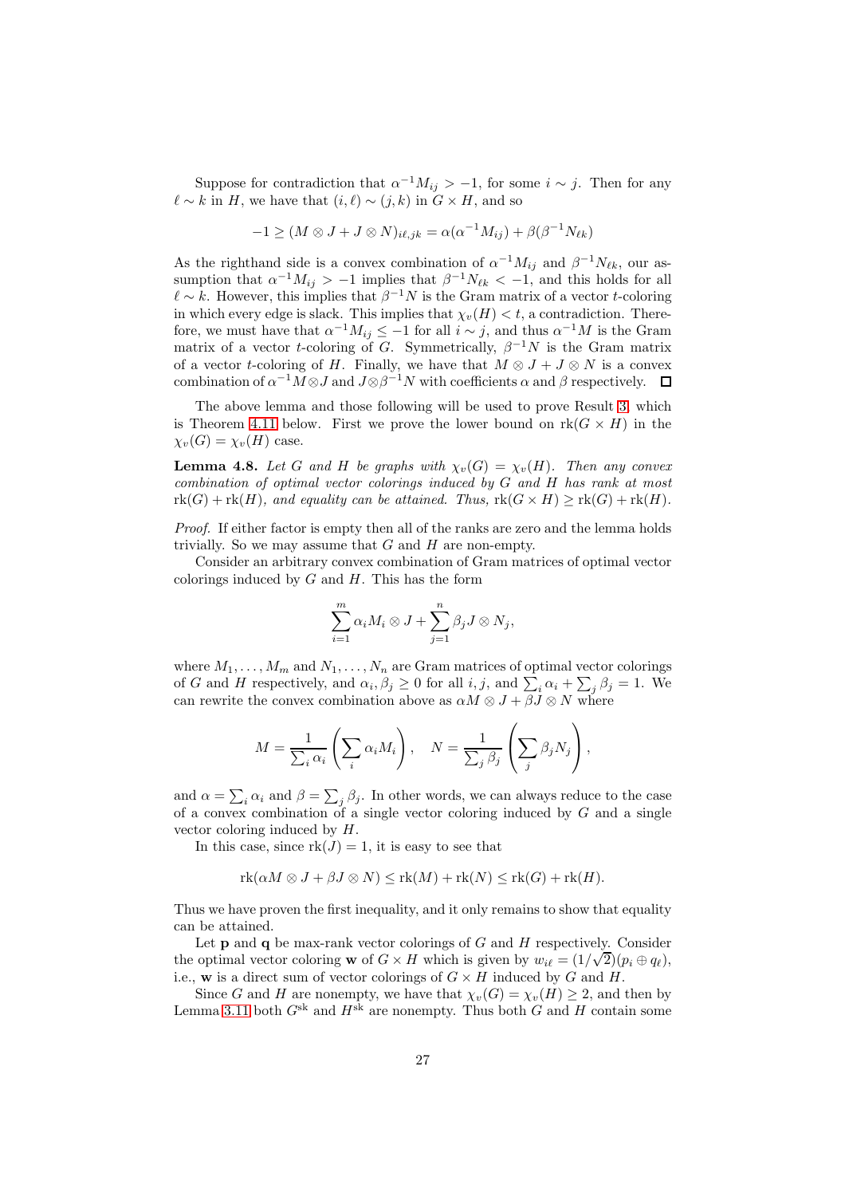Suppose for contradiction that  $\alpha^{-1}M_{ij} > -1$ , for some  $i \sim j$ . Then for any  $\ell \sim k$  in H, we have that  $(i, \ell) \sim (j, k)$  in  $G \times H$ , and so

$$
-1 \ge (M \otimes J + J \otimes N)_{i\ell,jk} = \alpha(\alpha^{-1}M_{ij}) + \beta(\beta^{-1}N_{\ell k})
$$

As the righthand side is a convex combination of  $\alpha^{-1} M_{ij}$  and  $\beta^{-1} N_{\ell k}$ , our assumption that  $\alpha^{-1} M_{ij} > -1$  implies that  $\beta^{-1} N_{\ell k} < -1$ , and this holds for all  $\ell \sim k$ . However, this implies that  $\beta^{-1}N$  is the Gram matrix of a vector t-coloring in which every edge is slack. This implies that  $\chi_v(H) < t$ , a contradiction. Therefore, we must have that  $\alpha^{-1}M_{ij} \leq -1$  for all  $i \sim j$ , and thus  $\alpha^{-1}M$  is the Gram matrix of a vector t-coloring of G. Symmetrically,  $\beta^{-1}N$  is the Gram matrix of a vector t-coloring of H. Finally, we have that  $M \otimes J + J \otimes N$  is a convex combination of  $\alpha^{-1}M\otimes J$  and  $J\otimes\beta^{-1}N$  with coefficients  $\alpha$  and  $\beta$  respectively.

The above lemma and those following will be used to prove Result [3,](#page-5-0) which is Theorem [4.11](#page-29-0) below. First we prove the lower bound on  $rk(G \times H)$  in the  $\chi_v(G) = \chi_v(H)$  case.

<span id="page-27-0"></span>**Lemma 4.8.** Let G and H be graphs with  $\chi_v(G) = \chi_v(H)$ . Then any convex *combination of optimal vector colorings induced by* G *and* H *has rank at most*  $rk(G) + rk(H)$ *, and equality can be attained. Thus,*  $rk(G \times H) \geq rk(G) + rk(H)$ *.* 

*Proof.* If either factor is empty then all of the ranks are zero and the lemma holds trivially. So we may assume that  $G$  and  $H$  are non-empty.

Consider an arbitrary convex combination of Gram matrices of optimal vector colorings induced by  $G$  and  $H$ . This has the form

$$
\sum_{i=1}^{m} \alpha_i M_i \otimes J + \sum_{j=1}^{n} \beta_j J \otimes N_j,
$$

where  $M_1, \ldots, M_m$  and  $N_1, \ldots, N_n$  are Gram matrices of optimal vector colorings of G and H respectively, and  $\alpha_i, \beta_j \ge 0$  for all  $i, j$ , and  $\sum_i \alpha_i + \sum_j \beta_j = 1$ . We can rewrite the convex combination above as  $\alpha M \otimes J + \beta J \otimes N$  where

$$
M = \frac{1}{\sum_i \alpha_i} \left( \sum_i \alpha_i M_i \right), \quad N = \frac{1}{\sum_j \beta_j} \left( \sum_j \beta_j N_j \right),
$$

and  $\alpha = \sum_i \alpha_i$  and  $\beta = \sum_j \beta_j$ . In other words, we can always reduce to the case of a convex combination of a single vector coloring induced by  $G$  and a single vector coloring induced by H.

In this case, since  $rk(J) = 1$ , it is easy to see that

$$
rk(\alpha M \otimes J + \beta J \otimes N) \leq rk(M) + rk(N) \leq rk(G) + rk(H).
$$

Thus we have proven the first inequality, and it only remains to show that equality can be attained.

Let  $\bf{p}$  and  $\bf{q}$  be max-rank vector colorings of  $G$  and  $H$  respectively. Consider the optimal vector coloring w of  $G \times H$  which is given by  $w_{i\ell} = (1/\sqrt{2})(p_i \oplus q_\ell)$ , i.e., w is a direct sum of vector colorings of  $G \times H$  induced by G and H.

Since G and H are nonempty, we have that  $\chi_v(G) = \chi_v(H) \geq 2$ , and then by Lemma [3.11](#page-20-1) both  $G^{sk}$  and  $H^{sk}$  are nonempty. Thus both  $G$  and  $H$  contain some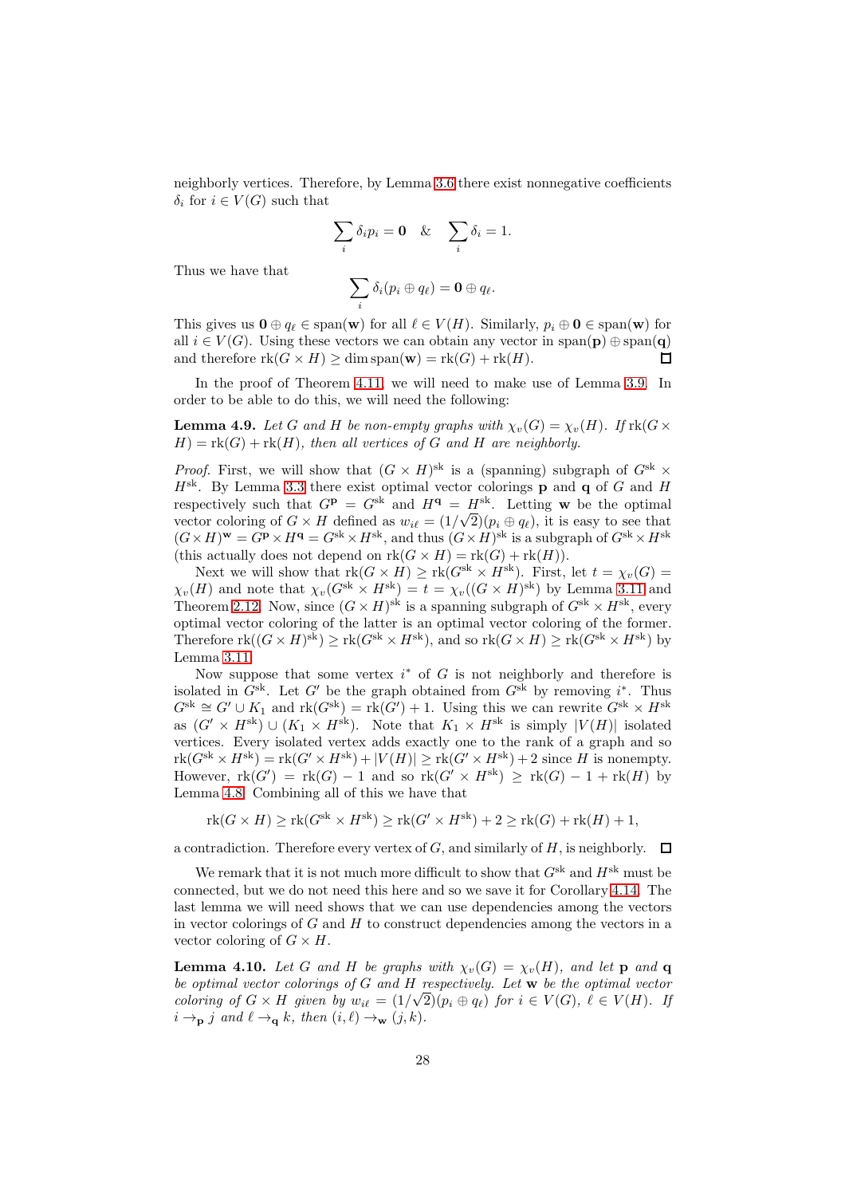neighborly vertices. Therefore, by Lemma [3.6](#page-17-0) there exist nonnegative coefficients  $\delta_i$  for  $i \in V(G)$  such that

$$
\sum_i \delta_i p_i = \mathbf{0} \quad \& \quad \sum_i \delta_i = 1.
$$

Thus we have that

$$
\sum_i \delta_i(p_i \oplus q_\ell) = \mathbf{0} \oplus q_\ell.
$$

This gives us  $\mathbf{0} \oplus q_{\ell} \in \text{span}(\mathbf{w})$  for all  $\ell \in V(H)$ . Similarly,  $p_i \oplus \mathbf{0} \in \text{span}(\mathbf{w})$  for all  $i \in V(G)$ . Using these vectors we can obtain any vector in span(p) ⊕ span(q) and therefore  $rk(G \times H)$  > dim span(w) =  $rk(G) + rk(H)$ . and therefore  $rk(G \times H) \geq \dim span(\mathbf{w}) = rk(G) + rk(H)$ .

In the proof of Theorem [4.11,](#page-29-0) we will need to make use of Lemma [3.9.](#page-19-0) In order to be able to do this, we will need the following:

<span id="page-28-1"></span>**Lemma 4.9.** *Let* G and H be non-empty graphs with  $\chi_v(G) = \chi_v(H)$ . If  $\text{rk}(G \times$  $H$ ) =  $rk(G)$  +  $rk(H)$ *, then all vertices of* G *and* H *are neighborly.* 

*Proof.* First, we will show that  $(G \times H)^{sk}$  is a (spanning) subgraph of  $G^{sk} \times$  $H<sup>sk</sup>$ . By Lemma [3.3](#page-17-1) there exist optimal vector colorings **p** and **q** of G and H respectively such that  $G^{\mathbf{p}} = G^{\text{sk}}$  and  $H^{\mathbf{q}} = H^{\text{sk}}$ . Letting **w** be the optimal vector coloring of  $G \times H$  defined as  $w_{i\ell} = (1/\sqrt{2})(p_i \oplus q_\ell)$ , it is easy to see that  $(G \times H)^{\mathbf{w}} = G^{\mathbf{p}} \times H^{\mathbf{q}} = G^{\rm sk} \times H^{\rm sk}$ , and thus  $(G \times H)^{\rm sk}$  is a subgraph of  $G^{\rm sk} \times H^{\rm sk}$ (this actually does not depend on  $rk(G \times H) = rk(G) + rk(H)$ ).

Next we will show that  $\text{rk}(G \times H) \geq \text{rk}(G^{\text{sk}} \times H^{\text{sk}})$ . First, let  $t = \chi_v(G)$  $\chi_v(H)$  and note that  $\chi_v(G^{sk} \times H^{sk}) = t = \chi_v((G \times H)^{sk})$  by Lemma [3.11](#page-20-1) and Theorem [2.12.](#page-15-1) Now, since  $(G \times H)$ <sup>sk</sup> is a spanning subgraph of  $G<sup>sk</sup> \times H<sup>sk</sup>$ , every optimal vector coloring of the latter is an optimal vector coloring of the former. Therefore  $\text{rk}((G \times H)^{\text{sk}}) \geq \text{rk}(G^{\text{sk}} \times H^{\text{sk}})$ , and so  $\text{rk}(G \times H) \geq \text{rk}(G^{\text{sk}} \times H^{\text{sk}})$  by Lemma [3.11.](#page-20-1)

Now suppose that some vertex  $i^*$  of G is not neighborly and therefore is isolated in  $G^{sk}$ . Let  $G'$  be the graph obtained from  $G^{sk}$  by removing  $i^*$ . Thus  $G^{sk} \cong G' \cup K_1$  and  $rk(G^{sk}) = rk(G') + 1$ . Using this we can rewrite  $G^{sk} \times H^{sk}$ as  $(G' \times H^{\rm sk}) \cup (K_1 \times H^{\rm sk})$ . Note that  $K_1 \times H^{\rm sk}$  is simply  $|V(H)|$  isolated vertices. Every isolated vertex adds exactly one to the rank of a graph and so  $rk(G^{sk} \times H^{sk}) = rk(G' \times H^{sk}) + |V(H)| \geq rk(G' \times H^{sk}) + 2$  since H is nonempty. However,  $rk(G') = rk(G) - 1$  and so  $rk(G' \times H^{sk}) \geq rk(G) - 1 + rk(H)$  by Lemma [4.8.](#page-27-0) Combining all of this we have that

$$
\text{rk}(G \times H) \ge \text{rk}(G^{\text{sk}} \times H^{\text{sk}}) \ge \text{rk}(G' \times H^{\text{sk}}) + 2 \ge \text{rk}(G) + \text{rk}(H) + 1,
$$

a contradiction. Therefore every vertex of G, and similarly of H, is neighborly.  $\Box$ 

We remark that it is not much more difficult to show that  $G<sup>sk</sup>$  and  $H<sup>sk</sup>$  must be connected, but we do not need this here and so we save it for Corollary [4.14.](#page-32-0) The last lemma we will need shows that we can use dependencies among the vectors in vector colorings of  $G$  and  $H$  to construct dependencies among the vectors in a vector coloring of  $G \times H$ .

<span id="page-28-0"></span>**Lemma 4.10.** *Let* G and H *be graphs with*  $\chi_v(G) = \chi_v(H)$ *, and let* **p** *and* **q** *be optimal vector colorings of* G *and* H *respectively. Let* w *be the optimal vector coloring of*  $G \times H$  *given by*  $w_{i\ell} = (1/\sqrt{2})(p_i \oplus q_\ell)$  *for*  $i \in V(G)$ *,*  $\ell \in V(H)$ *. If*  $i \rightarrow_{\mathbf{p}} j$  and  $\ell \rightarrow_{\mathbf{q}} k$ , then  $(i, \ell) \rightarrow_{\mathbf{w}} (j, k)$ .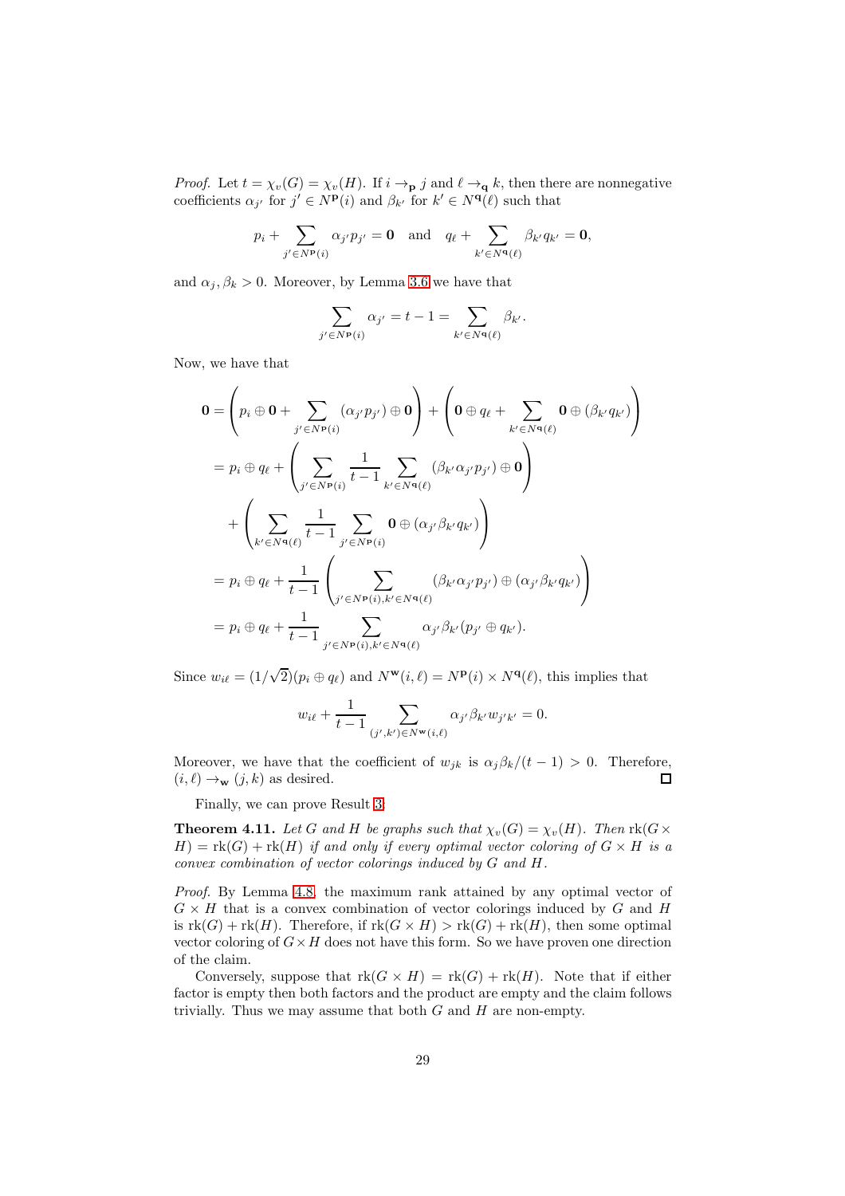*Proof.* Let  $t = \chi_v(G) = \chi_v(H)$ . If  $i \to_{\mathbf{p}} j$  and  $\ell \to_{\mathbf{q}} k$ , then there are nonnegative coefficients  $\alpha_{j'}$  for  $j' \in N^{\mathbf{p}}(i)$  and  $\beta_{k'}$  for  $k' \in N^{\mathbf{q}}(\ell)$  such that

$$
p_i + \sum_{j' \in N^{\mathbf{p}}(i)} \alpha_{j'} p_{j'} = \mathbf{0} \text{ and } q_{\ell} + \sum_{k' \in N^{\mathbf{q}}(\ell)} \beta_{k'} q_{k'} = \mathbf{0},
$$

and  $\alpha_i, \beta_k > 0$ . Moreover, by Lemma [3.6](#page-17-0) we have that

$$
\sum_{j' \in N^{\mathbf{p}}(i)} \alpha_{j'} = t - 1 = \sum_{k' \in N^{\mathbf{q}}(\ell)} \beta_{k'}.
$$

Now, we have that

$$
0 = \left(p_i \oplus 0 + \sum_{j' \in N^{\mathbf{p}}(i)} (\alpha_{j'} p_{j'}) \oplus 0\right) + \left(0 \oplus q_{\ell} + \sum_{k' \in N^{\mathbf{q}}(\ell)} 0 \oplus (\beta_{k'} q_{k'})\right)
$$
  
\n
$$
= p_i \oplus q_{\ell} + \left(\sum_{j' \in N^{\mathbf{p}}(i)} \frac{1}{t-1} \sum_{k' \in N^{\mathbf{q}}(\ell)} (\beta_{k'} \alpha_{j'} p_{j'}) \oplus 0\right)
$$
  
\n
$$
+ \left(\sum_{k' \in N^{\mathbf{q}}(\ell)} \frac{1}{t-1} \sum_{j' \in N^{\mathbf{p}}(i)} 0 \oplus (\alpha_{j'} \beta_{k'} q_{k'})\right)
$$
  
\n
$$
= p_i \oplus q_{\ell} + \frac{1}{t-1} \left(\sum_{j' \in N^{\mathbf{p}}(i), k' \in N^{\mathbf{q}}(\ell)} (\beta_{k'} \alpha_{j'} p_{j'}) \oplus (\alpha_{j'} \beta_{k'} q_{k'})\right)
$$
  
\n
$$
= p_i \oplus q_{\ell} + \frac{1}{t-1} \sum_{j' \in N^{\mathbf{p}}(i), k' \in N^{\mathbf{q}}(\ell)} \alpha_{j'} \beta_{k'} (p_{j'} \oplus q_{k'}).
$$

Since  $w_{i\ell} = (1/\sqrt{2})(p_i \oplus q_\ell)$  and  $N^{\mathbf{w}}(i,\ell) = N^{\mathbf{p}}(i) \times N^{\mathbf{q}}(\ell)$ , this implies that

$$
w_{i\ell} + \frac{1}{t-1} \sum_{(j',k') \in N^{\mathbf{w}}(i,\ell)} \alpha_{j'} \beta_{k'} w_{j'k'} = 0.
$$

Moreover, we have that the coefficient of  $w_{jk}$  is  $\alpha_j \beta_k/(t-1) > 0$ . Therefore,  $(i, \ell) \rightarrow_w (i, k)$  as desired.  $(i, \ell) \rightarrow_{\mathbf{w}} (j, k)$  as desired.

Finally, we can prove Result [3:](#page-5-0)

<span id="page-29-0"></span>**Theorem 4.11.** Let G and H be graphs such that  $\chi_v(G) = \chi_v(H)$ . Then  $\text{rk}(G \times$  $H$ ) =  $rk(G)$  +  $rk(H)$  *if and only if every optimal vector coloring of*  $G \times H$  *is a convex combination of vector colorings induced by* G *and* H*.*

*Proof.* By Lemma [4.8,](#page-27-0) the maximum rank attained by any optimal vector of  $G \times H$  that is a convex combination of vector colorings induced by G and H is  $rk(G) + rk(H)$ . Therefore, if  $rk(G \times H) > rk(G) + rk(H)$ , then some optimal vector coloring of  $G \times H$  does not have this form. So we have proven one direction of the claim.

Conversely, suppose that  $rk(G \times H) = rk(G) + rk(H)$ . Note that if either factor is empty then both factors and the product are empty and the claim follows trivially. Thus we may assume that both  $G$  and  $H$  are non-empty.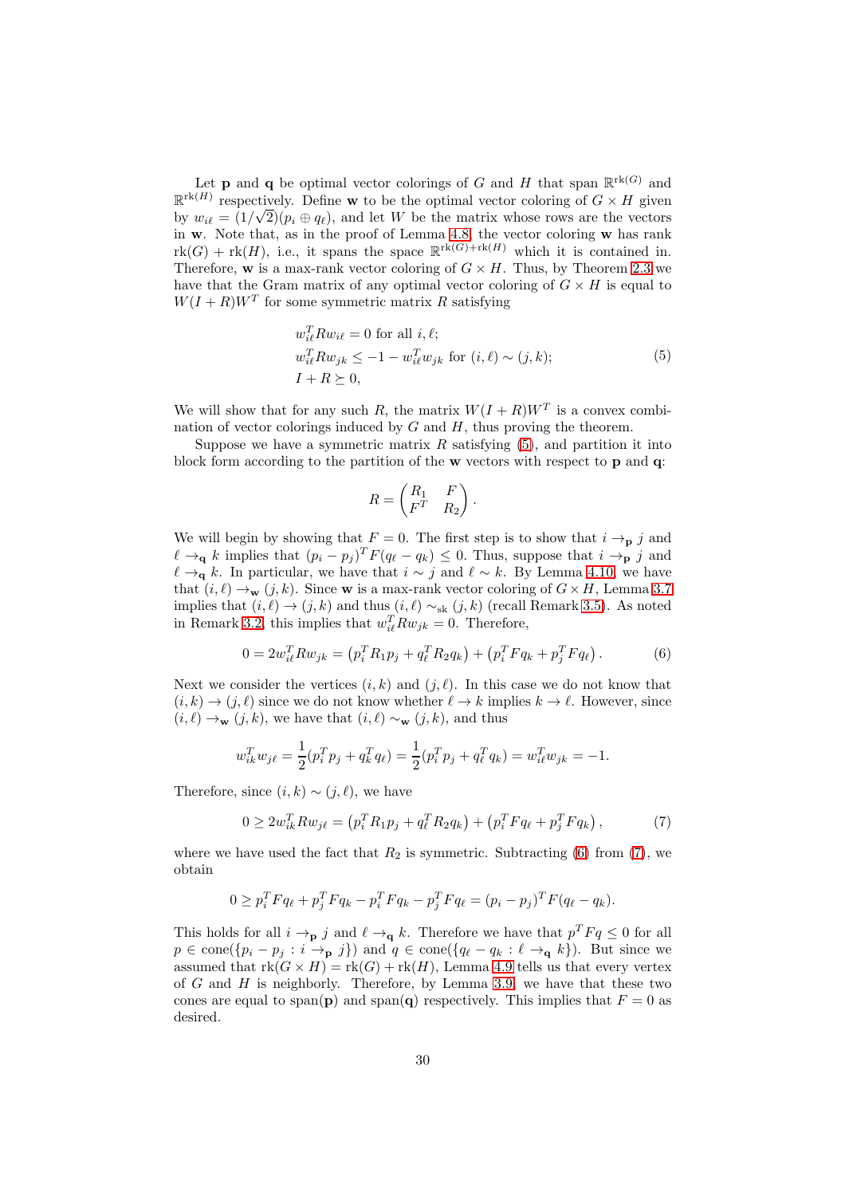Let **p** and **q** be optimal vector colorings of G and H that span  $\mathbb{R}^{\text{rk}(G)}$  and  $\mathbb{R}^{\text{rk}(H)}$  respectively. Define w to be the optimal vector coloring of  $G \times H$  given by  $w_{i\ell} = (1/\sqrt{2})(p_i \oplus q_\ell)$ , and let W be the matrix whose rows are the vectors in w. Note that, as in the proof of Lemma [4.8,](#page-27-0) the vector coloring w has rank  $rk(G) + rk(H)$ , i.e., it spans the space  $\mathbb{R}^{rk(G)+rk(H)}$  which it is contained in. Therefore, w is a max-rank vector coloring of  $G \times H$ . Thus, by Theorem [2.3](#page-10-1) we have that the Gram matrix of any optimal vector coloring of  $G \times H$  is equal to  $W(I + R)W<sup>T</sup>$  for some symmetric matrix R satisfying

<span id="page-30-0"></span>
$$
w_{i\ell}^T R w_{i\ell} = 0 \text{ for all } i, \ell;
$$
  
\n
$$
w_{i\ell}^T R w_{jk} \le -1 - w_{i\ell}^T w_{jk} \text{ for } (i, \ell) \sim (j, k);
$$
  
\n
$$
I + R \succeq 0,
$$
\n(5)

We will show that for any such R, the matrix  $W(I + R)W<sup>T</sup>$  is a convex combination of vector colorings induced by  $G$  and  $H$ , thus proving the theorem.

Suppose we have a symmetric matrix  $R$  satisfying  $(5)$ , and partition it into block form according to the partition of the w vectors with respect to p and q:

$$
R = \begin{pmatrix} R_1 & F \\ F^T & R_2 \end{pmatrix}.
$$

We will begin by showing that  $F = 0$ . The first step is to show that  $i \rightarrow p j$  and  $\ell \to_{\mathbf{q}} k$  implies that  $(p_i - p_j)^T F(q_\ell - q_k) \leq 0$ . Thus, suppose that  $i \to_{\mathbf{p}} j$  and  $\ell \rightarrow \infty$  k. In particular, we have that  $i \sim j$  and  $\ell \sim k$ . By Lemma [4.10,](#page-28-0) we have that  $(i, \ell) \rightarrow_w (j, k)$ . Since w is a max-rank vector coloring of  $G \times H$ , Lemma [3.7](#page-18-0) implies that  $(i, \ell) \rightarrow (j, k)$  and thus  $(i, \ell) \sim_{\text{sk}} (j, k)$  (recall Remark [3.5\)](#page-17-2). As noted in Remark [3.2,](#page-16-2) this implies that  $w_{i\ell}^T R w_{jk} = 0$ . Therefore,

<span id="page-30-1"></span>
$$
0 = 2w_{i\ell}^T R w_{jk} = (p_i^T R_1 p_j + q_\ell^T R_2 q_k) + (p_i^T F q_k + p_j^T F q_\ell).
$$
 (6)

Next we consider the vertices  $(i, k)$  and  $(j, \ell)$ . In this case we do not know that  $(i,k) \rightarrow (j,\ell)$  since we do not know whether  $\ell \rightarrow k$  implies  $k \rightarrow \ell$ . However, since  $(i, \ell) \rightarrow_w (j, k)$ , we have that  $(i, \ell) \sim_w (j, k)$ , and thus

$$
w_{ik}^T w_{j\ell} = \frac{1}{2} (p_i^T p_j + q_k^T q_\ell) = \frac{1}{2} (p_i^T p_j + q_\ell^T q_k) = w_{i\ell}^T w_{jk} = -1.
$$

Therefore, since  $(i, k) \sim (j, \ell)$ , we have

<span id="page-30-2"></span>
$$
0 \ge 2w_{ik}^T R w_{j\ell} = (p_i^T R_1 p_j + q_\ell^T R_2 q_k) + (p_i^T F q_\ell + p_j^T F q_k), \tag{7}
$$

where we have used the fact that  $R_2$  is symmetric. Subtracting [\(6\)](#page-30-1) from [\(7\)](#page-30-2), we obtain

$$
0 \ge p_i^T F q_\ell + p_j^T F q_k - p_i^T F q_k - p_j^T F q_\ell = (p_i - p_j)^T F (q_\ell - q_k).
$$

This holds for all  $i \to_{\mathbf{p}} j$  and  $\ell \to_{\mathbf{q}} k$ . Therefore we have that  $p^T F q \leq 0$  for all  $p \in \text{cone}(\{p_i - p_j : i \to_{\mathbf{p}} j\})$  and  $q \in \text{cone}(\{q_\ell - q_k : \ell \to_{\mathbf{q}} k\})$ . But since we assumed that  $rk(G \times H) = rk(G) + rk(H)$ , Lemma [4.9](#page-28-1) tells us that every vertex of  $G$  and  $H$  is neighborly. Therefore, by Lemma [3.9,](#page-19-0) we have that these two cones are equal to span(p) and span(q) respectively. This implies that  $F = 0$  as desired.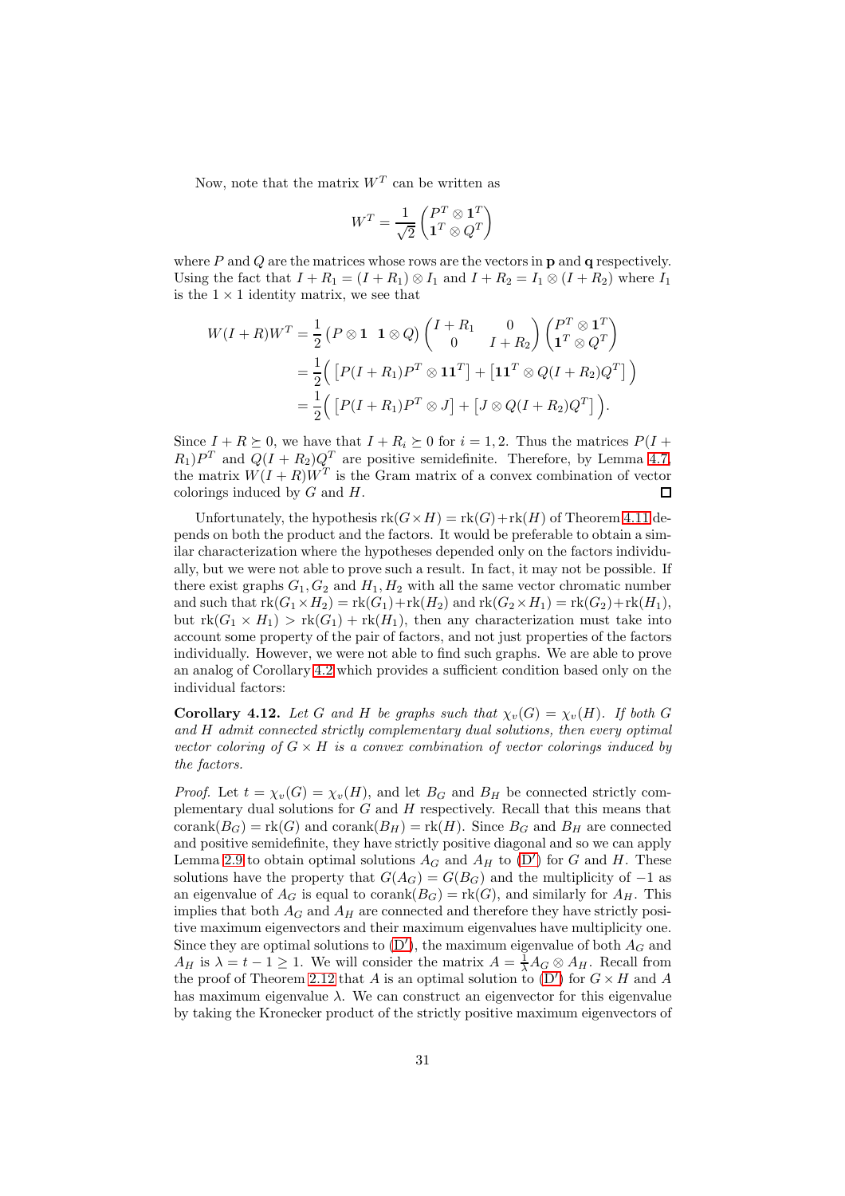Now, note that the matrix  $W<sup>T</sup>$  can be written as

$$
W^T = \frac{1}{\sqrt{2}} \begin{pmatrix} P^T \otimes \mathbf{1}^T \\ \mathbf{1}^T \otimes Q^T \end{pmatrix}
$$

where  $P$  and  $Q$  are the matrices whose rows are the vectors in  $p$  and  $q$  respectively. Using the fact that  $I + R_1 = (I + R_1) \otimes I_1$  and  $I + R_2 = I_1 \otimes (I + R_2)$  where  $I_1$ is the  $1 \times 1$  identity matrix, we see that

$$
W(I+R)W^{T} = \frac{1}{2} (P \otimes \mathbf{1} \mathbf{1} \otimes Q) \begin{pmatrix} I+R_{1} & 0 \\ 0 & I+R_{2} \end{pmatrix} \begin{pmatrix} P^{T} \otimes \mathbf{1}^{T} \\ \mathbf{1}^{T} \otimes Q^{T} \end{pmatrix}
$$
  
= 
$$
\frac{1}{2} \Big( [P(I+R_{1})P^{T} \otimes \mathbf{1}\mathbf{1}^{T}] + [\mathbf{1}\mathbf{1}^{T} \otimes Q(I+R_{2})Q^{T}] \Big)
$$
  
= 
$$
\frac{1}{2} \Big( [P(I+R_{1})P^{T} \otimes J] + [J \otimes Q(I+R_{2})Q^{T}] \Big).
$$

Since  $I + R \succeq 0$ , we have that  $I + R_i \succeq 0$  for  $i = 1, 2$ . Thus the matrices  $P(I +$  $R_1$ ) $P<sup>T</sup>$  and  $Q(I + R_2)Q<sup>T</sup>$  are positive semidefinite. Therefore, by Lemma [4.7,](#page-26-1) the matrix  $W(I + R)W<sup>T</sup>$  is the Gram matrix of a convex combination of vector colorings induced by  $G$  and  $H$ . П

Unfortunately, the hypothesis  $rk(G\times H)=rk(G)+rk(H)$  of Theorem [4.11](#page-29-0) depends on both the product and the factors. It would be preferable to obtain a similar characterization where the hypotheses depended only on the factors individually, but we were not able to prove such a result. In fact, it may not be possible. If there exist graphs  $G_1, G_2$  and  $H_1, H_2$  with all the same vector chromatic number and such that  $\text{rk}(G_1\times H_2) = \text{rk}(G_1)+\text{rk}(H_2)$  and  $\text{rk}(G_2\times H_1) = \text{rk}(G_2)+\text{rk}(H_1),$ but  $rk(G_1 \times H_1) > rk(G_1) + rk(H_1)$ , then any characterization must take into account some property of the pair of factors, and not just properties of the factors individually. However, we were not able to find such graphs. We are able to prove an analog of Corollary [4.2](#page-23-0) which provides a sufficient condition based only on the individual factors:

<span id="page-31-0"></span>**Corollary 4.12.** Let G and H be graphs such that  $\chi_v(G) = \chi_v(H)$ . If both G *and* H *admit connected strictly complementary dual solutions, then every optimal vector coloring of*  $G \times H$  *is a convex combination of vector colorings induced by the factors.*

*Proof.* Let  $t = \chi_v(G) = \chi_v(H)$ , and let  $B_G$  and  $B_H$  be connected strictly complementary dual solutions for  $G$  and  $H$  respectively. Recall that this means that corank $(B_G)$  = rk $(G)$  and corank $(B_H)$  = rk $(H)$ . Since  $B_G$  and  $B_H$  are connected and positive semidefinite, they have strictly positive diagonal and so we can apply Lemma [2.9](#page-14-1) to obtain optimal solutions  $A_G$  and  $A_H$  to  $(D')$  for G and H. These solutions have the property that  $G(A_G) = G(B_G)$  and the multiplicity of -1 as an eigenvalue of  $A_G$  is equal to corank $(B_G) = \text{rk}(G)$ , and similarly for  $A_H$ . This implies that both  $A_G$  and  $A_H$  are connected and therefore they have strictly positive maximum eigenvectors and their maximum eigenvalues have multiplicity one. Since they are optimal solutions to  $(D')$ , the maximum eigenvalue of both  $A_G$  and  $A_H$  is  $\lambda = t - 1 \geq 1$ . We will consider the matrix  $A = \frac{1}{\lambda} A_G \otimes A_H$ . Recall from the proof of Theorem [2.12](#page-15-1) that A is an optimal solution to  $(D')$  for  $G \times H$  and A has maximum eigenvalue  $\lambda$ . We can construct an eigenvector for this eigenvalue by taking the Kronecker product of the strictly positive maximum eigenvectors of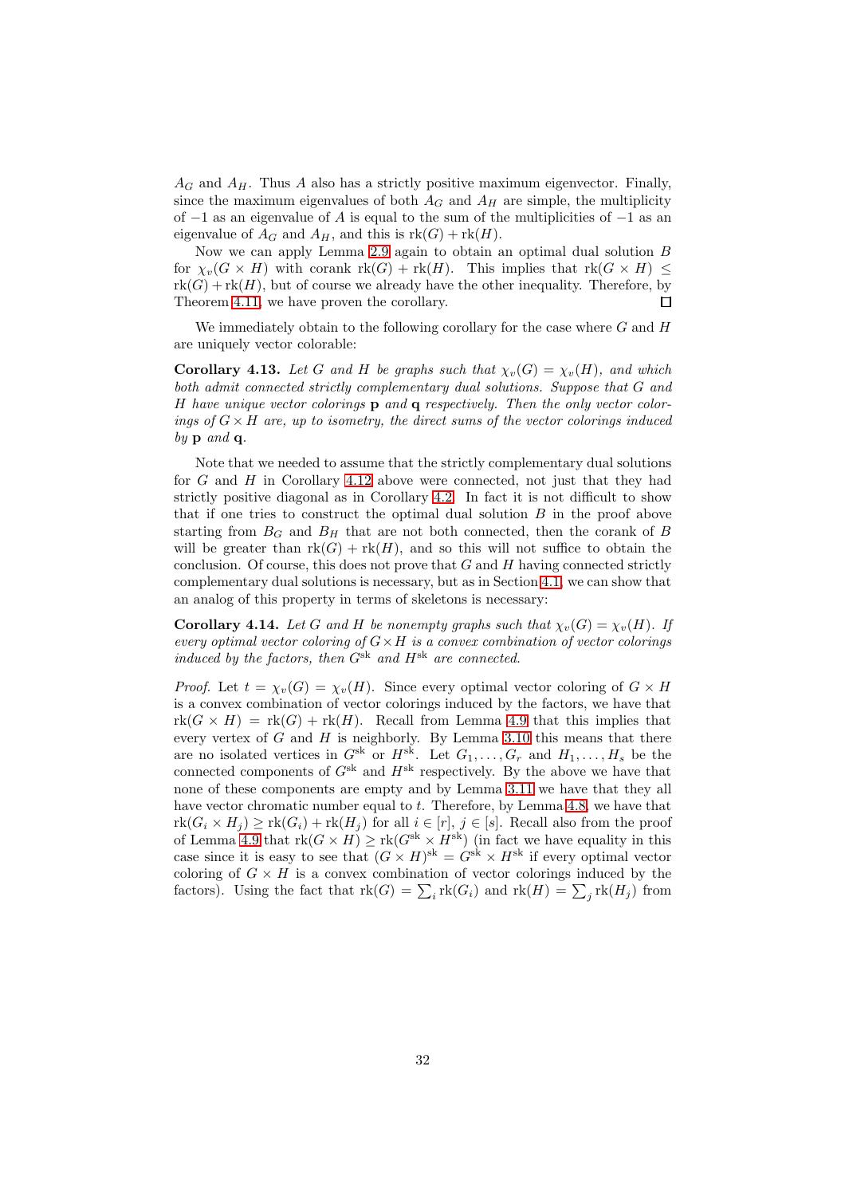$A_G$  and  $A_H$ . Thus A also has a strictly positive maximum eigenvector. Finally, since the maximum eigenvalues of both  $A_G$  and  $A_H$  are simple, the multiplicity of  $-1$  as an eigenvalue of A is equal to the sum of the multiplicities of  $-1$  as an eigenvalue of  $A_G$  and  $A_H$ , and this is  $rk(G) + rk(H)$ .

Now we can apply Lemma [2.9](#page-14-1) again to obtain an optimal dual solution B for  $\chi_v(G \times H)$  with corank  $rk(G) + rk(H)$ . This implies that  $rk(G \times H) \leq$  $rk(G) + rk(H)$ , but of course we already have the other inequality. Therefore, by Theorem [4.11,](#page-29-0) we have proven the corollary.  $\Box$ 

We immediately obtain to the following corollary for the case where  $G$  and  $H$ are uniquely vector colorable:

<span id="page-32-1"></span>**Corollary 4.13.** Let G and H be graphs such that  $\chi_v(G) = \chi_v(H)$ , and which *both admit connected strictly complementary dual solutions. Suppose that* G *and* H *have unique vector colorings* p *and* q *respectively. Then the only vector colorings of*  $G \times H$  *are, up to isometry, the direct sums of the vector colorings induced by* p *and* q*.*

Note that we needed to assume that the strictly complementary dual solutions for G and H in Corollary [4.12](#page-31-0) above were connected, not just that they had strictly positive diagonal as in Corollary [4.2.](#page-23-0) In fact it is not difficult to show that if one tries to construct the optimal dual solution  $B$  in the proof above starting from  $B_G$  and  $B_H$  that are not both connected, then the corank of B will be greater than  $rk(G) + rk(H)$ , and so this will not suffice to obtain the conclusion. Of course, this does not prove that  $G$  and  $H$  having connected strictly complementary dual solutions is necessary, but as in Section [4.1,](#page-22-0) we can show that an analog of this property in terms of skeletons is necessary:

<span id="page-32-0"></span>**Corollary 4.14.** Let G and H be nonempty graphs such that  $\chi_v(G) = \chi_v(H)$ . If *every optimal vector coloring of* G×H *is a convex combination of vector colorings induced by the factors, then* Gsk *and* Hsk *are connected.*

*Proof.* Let  $t = \chi_v(G) = \chi_v(H)$ . Since every optimal vector coloring of  $G \times H$ is a convex combination of vector colorings induced by the factors, we have that  $rk(G \times H) = rk(G) + rk(H)$ . Recall from Lemma [4.9](#page-28-1) that this implies that every vertex of  $G$  and  $H$  is neighborly. By Lemma [3.10](#page-20-0) this means that there are no isolated vertices in  $G^{sk}$  or  $H^{sk}$ . Let  $G_1, \ldots, G_r$  and  $H_1, \ldots, H_s$  be the connected components of  $G^{sk}$  and  $H^{sk}$  respectively. By the above we have that none of these components are empty and by Lemma [3.11](#page-20-1) we have that they all have vector chromatic number equal to t. Therefore, by Lemma [4.8,](#page-27-0) we have that  $rk(G_i \times H_j) \geq rk(G_i) + rk(H_j)$  for all  $i \in [r], j \in [s]$ . Recall also from the proof of Lemma [4.9](#page-28-1) that  $\text{rk}(G \times H) \geq \text{rk}(G^{\text{sk}} \times H^{\text{sk}})$  (in fact we have equality in this case since it is easy to see that  $(G \times H)^{sk} = G^{sk} \times H^{sk}$  if every optimal vector coloring of  $G \times H$  is a convex combination of vector colorings induced by the factors). Using the fact that  $rk(G) = \sum_i rk(G_i)$  and  $rk(H) = \sum_j rk(H_j)$  from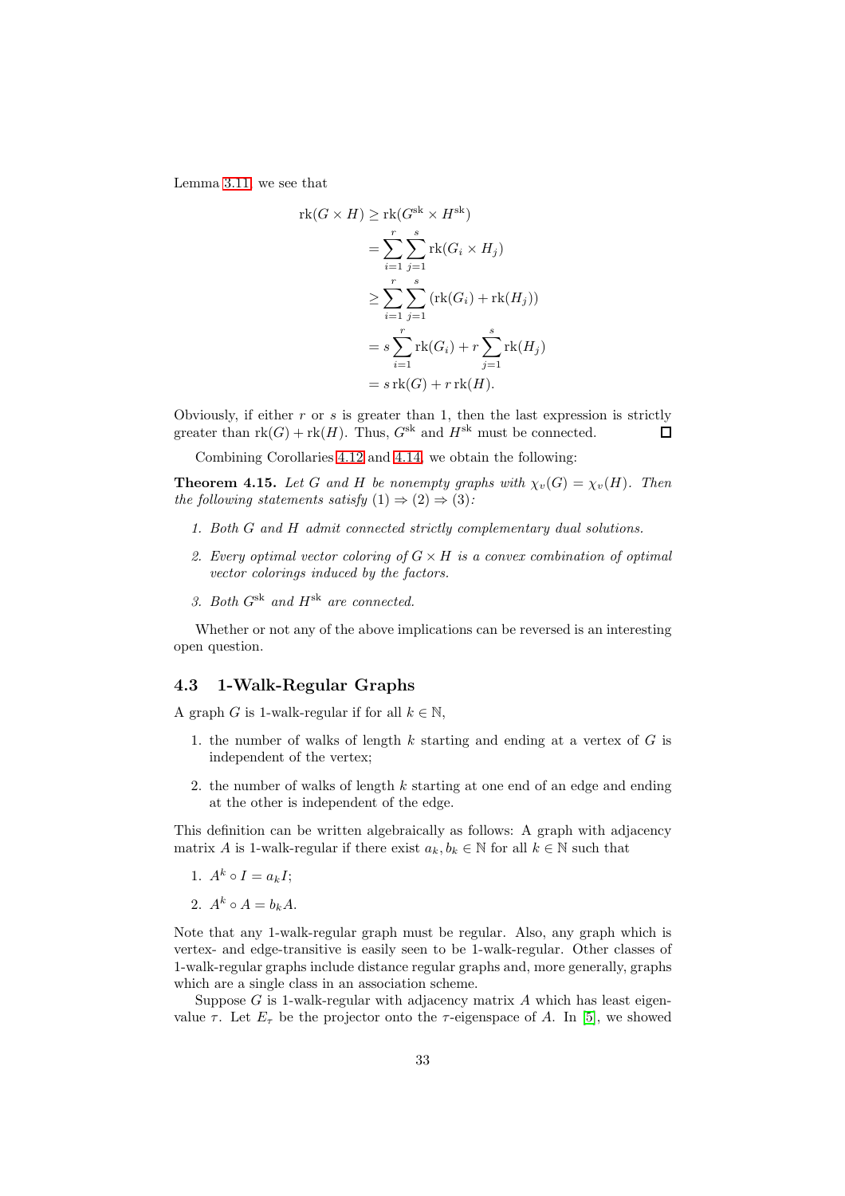Lemma [3.11,](#page-20-1) we see that

$$
rk(G \times H) \geq rk(G^{sk} \times H^{sk})
$$
  
= 
$$
\sum_{i=1}^{r} \sum_{j=1}^{s} rk(G_i \times H_j)
$$
  

$$
\geq \sum_{i=1}^{r} \sum_{j=1}^{s} (rk(G_i) + rk(H_j))
$$
  
= 
$$
s \sum_{i=1}^{r} rk(G_i) + r \sum_{j=1}^{s} rk(H_j)
$$
  
= 
$$
s rk(G) + r rk(H).
$$

Obviously, if either  $r$  or  $s$  is greater than 1, then the last expression is strictly greater than  $rk(G) + rk(H)$ . Thus,  $G^{sk}$  and  $H^{sk}$  must be connected. П

Combining Corollaries [4.12](#page-31-0) and [4.14,](#page-32-0) we obtain the following:

<span id="page-33-1"></span>**Theorem 4.15.** Let G and H be nonempty graphs with  $\chi_v(G) = \chi_v(H)$ . Then *the following statements satisfy*  $(1) \Rightarrow (2) \Rightarrow (3)$ *:* 

- *1. Both* G *and* H *admit connected strictly complementary dual solutions.*
- *2. Every optimal vector coloring of* G × H *is a convex combination of optimal vector colorings induced by the factors.*
- *3. Both* Gsk *and* Hsk *are connected.*

Whether or not any of the above implications can be reversed is an interesting open question.

### <span id="page-33-0"></span>4.3 1-Walk-Regular Graphs

A graph G is 1-walk-regular if for all  $k \in \mathbb{N}$ ,

- 1. the number of walks of length  $k$  starting and ending at a vertex of  $G$  is independent of the vertex;
- 2. the number of walks of length  $k$  starting at one end of an edge and ending at the other is independent of the edge.

This definition can be written algebraically as follows: A graph with adjacency matrix A is 1-walk-regular if there exist  $a_k, b_k \in \mathbb{N}$  for all  $k \in \mathbb{N}$  such that

- 1.  $A^k \circ I = a_k I;$
- 2.  $A^k \circ A = b_k A$ .

Note that any 1-walk-regular graph must be regular. Also, any graph which is vertex- and edge-transitive is easily seen to be 1-walk-regular. Other classes of 1-walk-regular graphs include distance regular graphs and, more generally, graphs which are a single class in an association scheme.

Suppose  $G$  is 1-walk-regular with adjacency matrix  $A$  which has least eigenvalue  $\tau$ . Let  $E_{\tau}$  be the projector onto the  $\tau$ -eigenspace of A. In [\[5\]](#page-37-1), we showed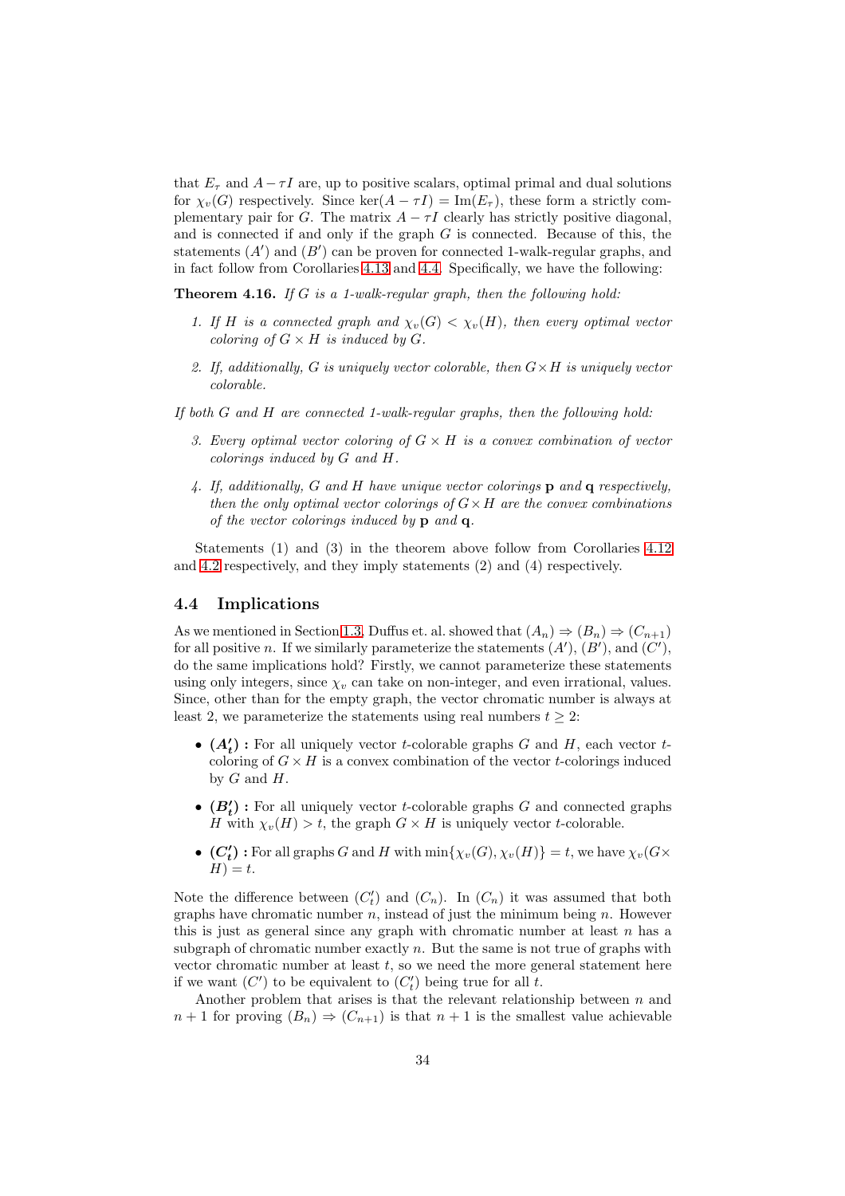that  $E_{\tau}$  and  $A-\tau I$  are, up to positive scalars, optimal primal and dual solutions for  $\chi_v(G)$  respectively. Since ker( $A - \tau I$ ) = Im( $E_{\tau}$ ), these form a strictly complementary pair for G. The matrix  $A - \tau I$  clearly has strictly positive diagonal, and is connected if and only if the graph  $G$  is connected. Because of this, the statements  $(A')$  and  $(B')$  can be proven for connected 1-walk-regular graphs, and in fact follow from Corollaries [4.13](#page-32-1) and [4.4.](#page-24-0) Specifically, we have the following:

Theorem 4.16. *If* G *is a 1-walk-regular graph, then the following hold:*

- *1. If* H is a connected graph and  $\chi_v(G) < \chi_v(H)$ , then every optimal vector *coloring of*  $G \times H$  *is induced by*  $G$ *.*
- *2. If, additionally,* G *is uniquely vector colorable, then* G×H *is uniquely vector colorable.*
- *If both* G *and* H *are connected 1-walk-regular graphs, then the following hold:*
	- *3. Every optimal vector coloring of* G × H *is a convex combination of vector colorings induced by* G *and* H*.*
	- *4. If, additionally,* G *and* H *have unique vector colorings* p *and* q *respectively, then the only optimal vector colorings of*  $G \times H$  *are the convex combinations of the vector colorings induced by* p *and* q*.*

Statements (1) and (3) in the theorem above follow from Corollaries [4.12](#page-31-0) and [4.2](#page-23-0) respectively, and they imply statements (2) and (4) respectively.

#### <span id="page-34-0"></span>4.4 Implications

As we mentioned in Section [1.3,](#page-6-2) Duffus et. al. showed that  $(A_n) \Rightarrow (B_n) \Rightarrow (C_{n+1})$ for all positive n. If we similarly parameterize the statements  $(A'), (B'),$  and  $(C'),$ do the same implications hold? Firstly, we cannot parameterize these statements using only integers, since  $\chi_v$  can take on non-integer, and even irrational, values. Since, other than for the empty graph, the vector chromatic number is always at least 2, we parameterize the statements using real numbers  $t \geq 2$ :

- $(A'_t)$ : For all uniquely vector *t*-colorable graphs G and H, each vector *t*coloring of  $G \times H$  is a convex combination of the vector *t*-colorings induced by  $G$  and  $H$ .
- $(B'_t)$ : For all uniquely vector *t*-colorable graphs G and connected graphs H with  $\chi_v(H) > t$ , the graph  $G \times H$  is uniquely vector t-colorable.
- $(C'_t)$ : For all graphs G and H with  $\min{\{\chi_v(G),\chi_v(H)\}} = t$ , we have  $\chi_v(G \times$  $H$ ) = t.

Note the difference between  $(C'_{t})$  and  $(C_{n})$ . In  $(C_{n})$  it was assumed that both graphs have chromatic number  $n$ , instead of just the minimum being  $n$ . However this is just as general since any graph with chromatic number at least  $n$  has a subgraph of chromatic number exactly  $n$ . But the same is not true of graphs with vector chromatic number at least  $t$ , so we need the more general statement here if we want  $(C')$  to be equivalent to  $(C'_{t})$  being true for all t.

Another problem that arises is that the relevant relationship between  $n$  and  $n+1$  for proving  $(B_n) \Rightarrow (C_{n+1})$  is that  $n+1$  is the smallest value achievable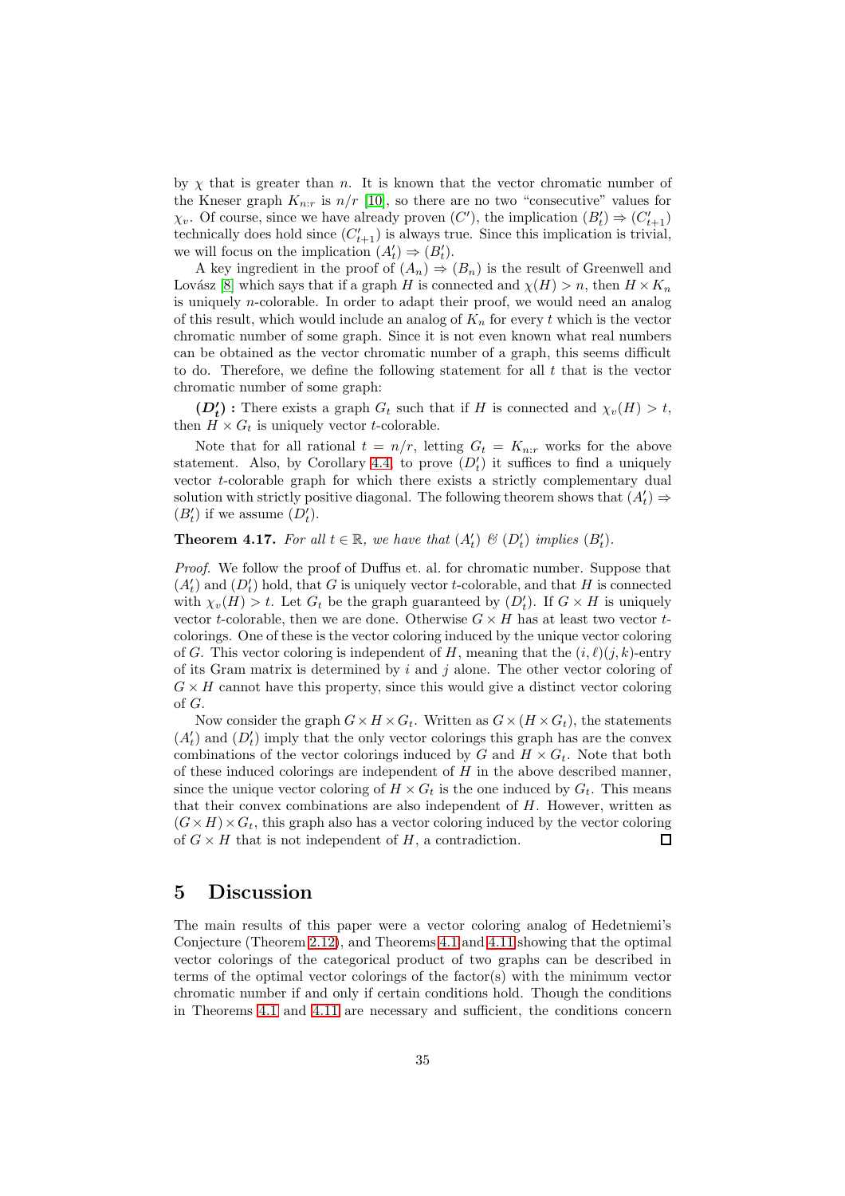by  $\chi$  that is greater than n. It is known that the vector chromatic number of the Kneser graph  $K_{n:r}$  is  $n/r$  [\[10\]](#page-38-1), so there are no two "consecutive" values for  $\chi_v$ . Of course, since we have already proven  $(C')$ , the implication  $(B'_t) \Rightarrow (C'_{t+1})$ technically does hold since  $(C'_{t+1})$  is always true. Since this implication is trivial, we will focus on the implication  $(A'_t) \Rightarrow (B'_t)$ .

A key ingredient in the proof of  $(A_n) \Rightarrow (B_n)$  is the result of Greenwell and Lovász [\[8\]](#page-38-7) which says that if a graph H is connected and  $\chi(H) > n$ , then  $H \times K_n$ is uniquely n-colorable. In order to adapt their proof, we would need an analog of this result, which would include an analog of  $K_n$  for every t which is the vector chromatic number of some graph. Since it is not even known what real numbers can be obtained as the vector chromatic number of a graph, this seems difficult to do. Therefore, we define the following statement for all  $t$  that is the vector chromatic number of some graph:

 $(D'_t)$ : There exists a graph  $G_t$  such that if H is connected and  $\chi_v(H) > t$ , then  $H \times G_t$  is uniquely vector *t*-colorable.

Note that for all rational  $t = n/r$ , letting  $G_t = K_{n:r}$  works for the above statement. Also, by Corollary [4.4,](#page-24-0) to prove  $(D'_t)$  it suffices to find a uniquely vector t-colorable graph for which there exists a strictly complementary dual solution with strictly positive diagonal. The following theorem shows that  $(A'_t) \Rightarrow$  $(B_t^{\prime})$  if we assume  $(D_t^{\prime}).$ 

**Theorem 4.17.** For all  $t \in \mathbb{R}$ , we have that  $(A'_t) \& (D'_t)$  implies  $(B'_t)$ .

*Proof.* We follow the proof of Duffus et. al. for chromatic number. Suppose that  $(A'_t)$  and  $(D'_t)$  hold, that G is uniquely vector t-colorable, and that H is connected with  $\chi_v(H) > t$ . Let  $G_t$  be the graph guaranteed by  $(D'_t)$ . If  $G \times H$  is uniquely vector t-colorable, then we are done. Otherwise  $G \times H$  has at least two vector tcolorings. One of these is the vector coloring induced by the unique vector coloring of G. This vector coloring is independent of H, meaning that the  $(i, \ell)(j, k)$ -entry of its Gram matrix is determined by  $i$  and  $j$  alone. The other vector coloring of  $G \times H$  cannot have this property, since this would give a distinct vector coloring of G.

Now consider the graph  $G \times H \times G_t$ . Written as  $G \times (H \times G_t)$ , the statements  $(A'_t)$  and  $(D'_t)$  imply that the only vector colorings this graph has are the convex combinations of the vector colorings induced by G and  $H \times G_t$ . Note that both of these induced colorings are independent of  $H$  in the above described manner, since the unique vector coloring of  $H \times G_t$  is the one induced by  $G_t$ . This means that their convex combinations are also independent of  $H$ . However, written as  $(G \times H) \times G_t$ , this graph also has a vector coloring induced by the vector coloring of  $G \times H$  that is not independent of H, a contradiction. of  $G \times H$  that is not independent of H, a contradiction.

### <span id="page-35-0"></span>5 Discussion

The main results of this paper were a vector coloring analog of Hedetniemi's Conjecture (Theorem [2.12\)](#page-15-1), and Theorems [4.1](#page-22-2) and [4.11](#page-29-0) showing that the optimal vector colorings of the categorical product of two graphs can be described in terms of the optimal vector colorings of the factor(s) with the minimum vector chromatic number if and only if certain conditions hold. Though the conditions in Theorems [4.1](#page-22-2) and [4.11](#page-29-0) are necessary and sufficient, the conditions concern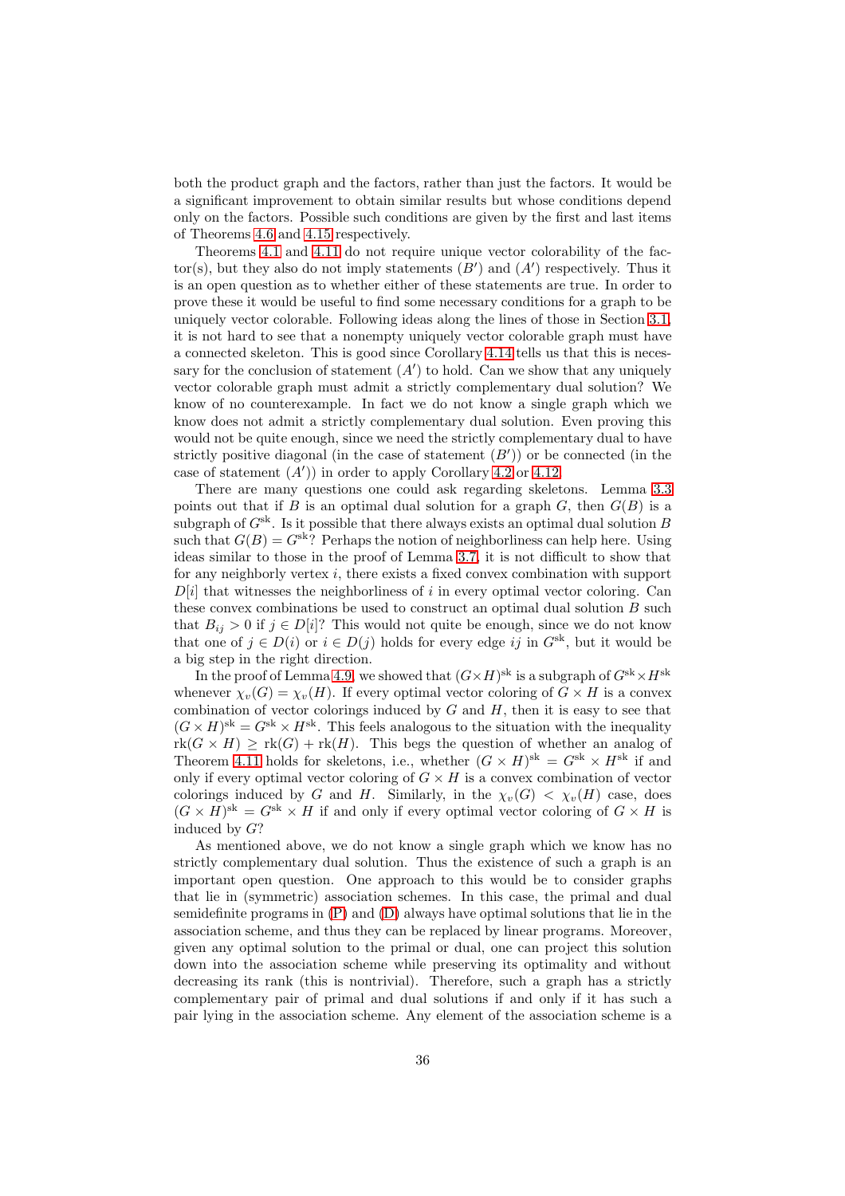both the product graph and the factors, rather than just the factors. It would be a significant improvement to obtain similar results but whose conditions depend only on the factors. Possible such conditions are given by the first and last items of Theorems [4.6](#page-25-0) and [4.15](#page-33-1) respectively.

Theorems [4.1](#page-22-2) and [4.11](#page-29-0) do not require unique vector colorability of the factor(s), but they also do not imply statements  $(B')$  and  $(A')$  respectively. Thus it is an open question as to whether either of these statements are true. In order to prove these it would be useful to find some necessary conditions for a graph to be uniquely vector colorable. Following ideas along the lines of those in Section [3.1,](#page-16-3) it is not hard to see that a nonempty uniquely vector colorable graph must have a connected skeleton. This is good since Corollary [4.14](#page-32-0) tells us that this is necessary for the conclusion of statement  $(A')$  to hold. Can we show that any uniquely vector colorable graph must admit a strictly complementary dual solution? We know of no counterexample. In fact we do not know a single graph which we know does not admit a strictly complementary dual solution. Even proving this would not be quite enough, since we need the strictly complementary dual to have strictly positive diagonal (in the case of statement  $(B')$ ) or be connected (in the case of statement  $(A')$  in order to apply Corollary [4.2](#page-23-0) or [4.12.](#page-31-0)

There are many questions one could ask regarding skeletons. Lemma [3.3](#page-17-1) points out that if B is an optimal dual solution for a graph  $G$ , then  $G(B)$  is a subgraph of  $G^{sk}$ . Is it possible that there always exists an optimal dual solution B such that  $G(B) = G^{sk}$ ? Perhaps the notion of neighborliness can help here. Using ideas similar to those in the proof of Lemma [3.7,](#page-18-0) it is not difficult to show that for any neighborly vertex  $i$ , there exists a fixed convex combination with support  $D[i]$  that witnesses the neighborliness of i in every optimal vector coloring. Can these convex combinations be used to construct an optimal dual solution  $B$  such that  $B_{ij} > 0$  if  $j \in D[i]$ ? This would not quite be enough, since we do not know that one of  $j \in D(i)$  or  $i \in D(j)$  holds for every edge ij in  $G<sup>sk</sup>$ , but it would be a big step in the right direction.

In the proof of Lemma [4.9,](#page-28-1) we showed that  $(G \times H)^{sk}$  is a subgraph of  $G^{sk} \times H^{sk}$ whenever  $\chi_v(G) = \chi_v(H)$ . If every optimal vector coloring of  $\widetilde{G} \times H$  is a convex combination of vector colorings induced by  $G$  and  $H$ , then it is easy to see that  $(G \times H)$ <sup>sk</sup> =  $G^{sk} \times H^{sk}$ . This feels analogous to the situation with the inequality  $rk(G \times H) \geq rk(G) + rk(H)$ . This begs the question of whether an analog of Theorem [4.11](#page-29-0) holds for skeletons, i.e., whether  $(G \times H)$ <sup>sk</sup> =  $G^{sk} \times H^{sk}$  if and only if every optimal vector coloring of  $G \times H$  is a convex combination of vector colorings induced by G and H. Similarly, in the  $\chi_v(G) < \chi_v(H)$  case, does  $(G \times H)$ <sup>sk</sup> =  $G^{sk} \times H$  if and only if every optimal vector coloring of  $G \times H$  is induced by G?

As mentioned above, we do not know a single graph which we know has no strictly complementary dual solution. Thus the existence of such a graph is an important open question. One approach to this would be to consider graphs that lie in (symmetric) association schemes. In this case, the primal and dual semidefinite programs in  $(P)$  and  $(D)$  always have optimal solutions that lie in the association scheme, and thus they can be replaced by linear programs. Moreover, given any optimal solution to the primal or dual, one can project this solution down into the association scheme while preserving its optimality and without decreasing its rank (this is nontrivial). Therefore, such a graph has a strictly complementary pair of primal and dual solutions if and only if it has such a pair lying in the association scheme. Any element of the association scheme is a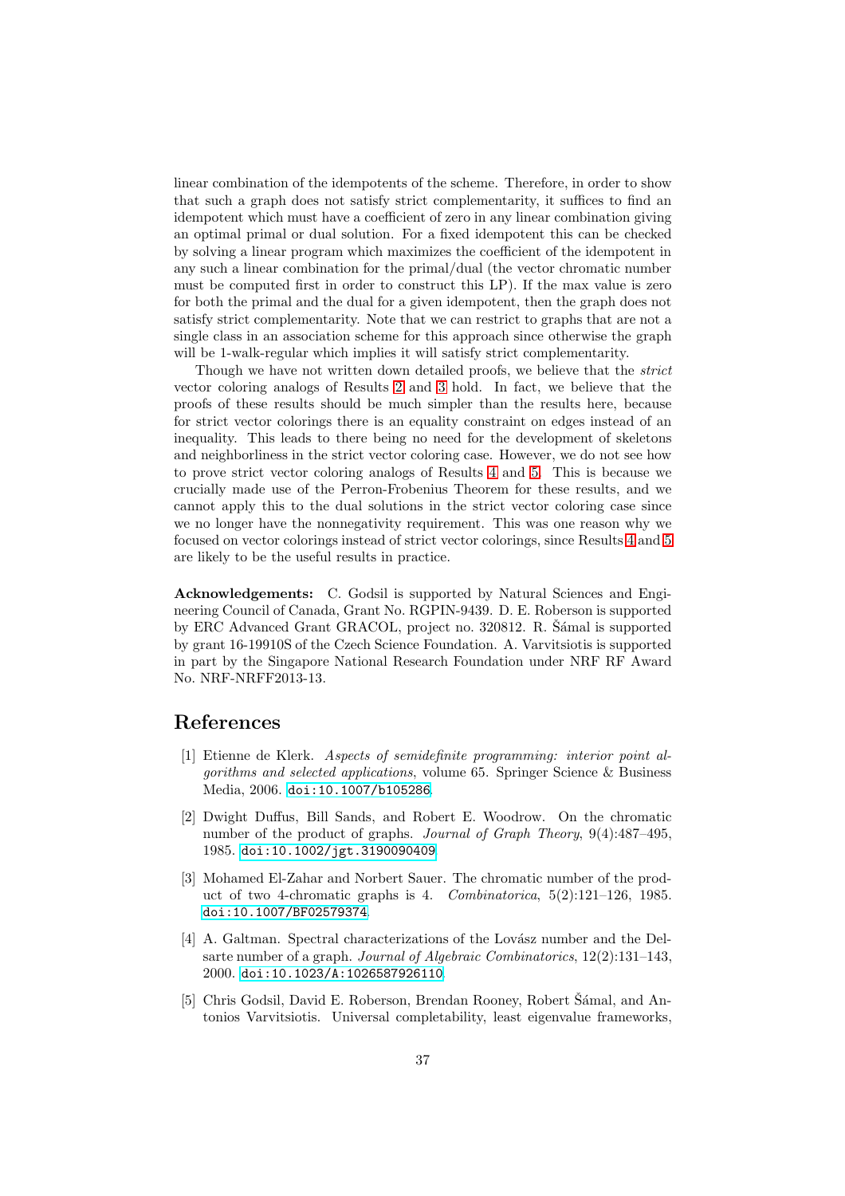linear combination of the idempotents of the scheme. Therefore, in order to show that such a graph does not satisfy strict complementarity, it suffices to find an idempotent which must have a coefficient of zero in any linear combination giving an optimal primal or dual solution. For a fixed idempotent this can be checked by solving a linear program which maximizes the coefficient of the idempotent in any such a linear combination for the primal/dual (the vector chromatic number must be computed first in order to construct this LP). If the max value is zero for both the primal and the dual for a given idempotent, then the graph does not satisfy strict complementarity. Note that we can restrict to graphs that are not a single class in an association scheme for this approach since otherwise the graph will be 1-walk-regular which implies it will satisfy strict complementarity.

Though we have not written down detailed proofs, we believe that the *strict* vector coloring analogs of Results [2](#page-4-2) and [3](#page-5-0) hold. In fact, we believe that the proofs of these results should be much simpler than the results here, because for strict vector colorings there is an equality constraint on edges instead of an inequality. This leads to there being no need for the development of skeletons and neighborliness in the strict vector coloring case. However, we do not see how to prove strict vector coloring analogs of Results [4](#page-6-0) and [5.](#page-6-1) This is because we crucially made use of the Perron-Frobenius Theorem for these results, and we cannot apply this to the dual solutions in the strict vector coloring case since we no longer have the nonnegativity requirement. This was one reason why we focused on vector colorings instead of strict vector colorings, since Results [4](#page-6-0) and [5](#page-6-1) are likely to be the useful results in practice.

Acknowledgements: C. Godsil is supported by Natural Sciences and Engineering Council of Canada, Grant No. RGPIN-9439. D. E. Roberson is supported by ERC Advanced Grant GRACOL, project no. 320812. R. Šámal is supported by grant 16-19910S of the Czech Science Foundation. A. Varvitsiotis is supported in part by the Singapore National Research Foundation under NRF RF Award No. NRF-NRFF2013-13.

### <span id="page-37-3"></span>References

- [1] Etienne de Klerk. *Aspects of semidefinite programming: interior point algorithms and selected applications*, volume 65. Springer Science & Business Media, 2006. [doi:10.1007/b105286](http://dx.doi.org/10.1007/b105286).
- <span id="page-37-2"></span>[2] Dwight Duffus, Bill Sands, and Robert E. Woodrow. On the chromatic number of the product of graphs. *Journal of Graph Theory*, 9(4):487–495, 1985. [doi:10.1002/jgt.3190090409](http://dx.doi.org/10.1002/jgt.3190090409).
- <span id="page-37-0"></span>[3] Mohamed El-Zahar and Norbert Sauer. The chromatic number of the product of two 4-chromatic graphs is 4. *Combinatorica*, 5(2):121–126, 1985. [doi:10.1007/BF02579374](http://dx.doi.org/10.1007/BF02579374).
- <span id="page-37-4"></span>[4] A. Galtman. Spectral characterizations of the Lovász number and the Delsarte number of a graph. *Journal of Algebraic Combinatorics*, 12(2):131–143, 2000. [doi:10.1023/A:1026587926110](http://dx.doi.org/10.1023/A:1026587926110).
- <span id="page-37-1"></span>[5] Chris Godsil, David E. Roberson, Brendan Rooney, Robert Šámal, and Antonios Varvitsiotis. Universal completability, least eigenvalue frameworks,